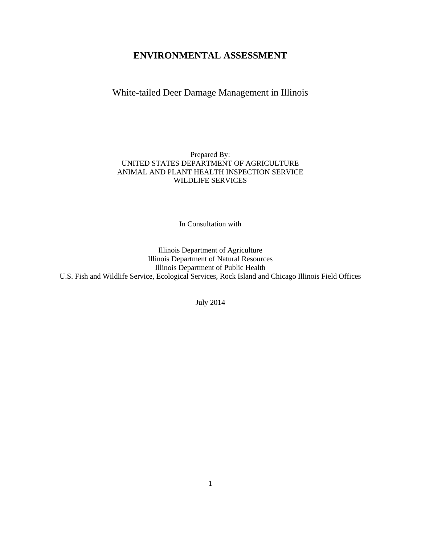# **ENVIRONMENTAL ASSESSMENT**

White-tailed Deer Damage Management in Illinois

# Prepared By: UNITED STATES DEPARTMENT OF AGRICULTURE ANIMAL AND PLANT HEALTH INSPECTION SERVICE WILDLIFE SERVICES

In Consultation with

Illinois Department of Agriculture Illinois Department of Natural Resources Illinois Department of Public Health U.S. Fish and Wildlife Service, Ecological Services, Rock Island and Chicago Illinois Field Offices

July 2014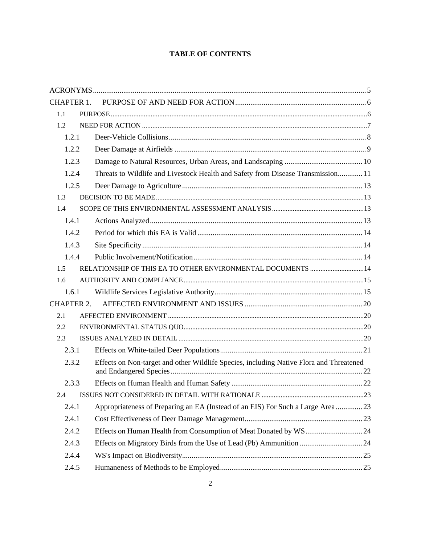# **TABLE OF CONTENTS**

| 1.2.1 |                                                                                                                                                                                                                                                                                                                                                                         |
|-------|-------------------------------------------------------------------------------------------------------------------------------------------------------------------------------------------------------------------------------------------------------------------------------------------------------------------------------------------------------------------------|
| 1.2.2 |                                                                                                                                                                                                                                                                                                                                                                         |
| 1.2.3 |                                                                                                                                                                                                                                                                                                                                                                         |
| 1.2.4 |                                                                                                                                                                                                                                                                                                                                                                         |
| 1.2.5 |                                                                                                                                                                                                                                                                                                                                                                         |
|       |                                                                                                                                                                                                                                                                                                                                                                         |
|       |                                                                                                                                                                                                                                                                                                                                                                         |
| 1.4.1 |                                                                                                                                                                                                                                                                                                                                                                         |
| 1.4.2 |                                                                                                                                                                                                                                                                                                                                                                         |
| 1.4.3 |                                                                                                                                                                                                                                                                                                                                                                         |
| 1.4.4 |                                                                                                                                                                                                                                                                                                                                                                         |
|       |                                                                                                                                                                                                                                                                                                                                                                         |
|       |                                                                                                                                                                                                                                                                                                                                                                         |
| 1.6.1 |                                                                                                                                                                                                                                                                                                                                                                         |
|       |                                                                                                                                                                                                                                                                                                                                                                         |
|       |                                                                                                                                                                                                                                                                                                                                                                         |
|       |                                                                                                                                                                                                                                                                                                                                                                         |
|       |                                                                                                                                                                                                                                                                                                                                                                         |
| 2.3.1 |                                                                                                                                                                                                                                                                                                                                                                         |
| 2.3.2 |                                                                                                                                                                                                                                                                                                                                                                         |
| 2.3.3 |                                                                                                                                                                                                                                                                                                                                                                         |
|       |                                                                                                                                                                                                                                                                                                                                                                         |
| 2.4.1 |                                                                                                                                                                                                                                                                                                                                                                         |
| 2.4.1 |                                                                                                                                                                                                                                                                                                                                                                         |
| 2.4.2 |                                                                                                                                                                                                                                                                                                                                                                         |
| 2.4.3 |                                                                                                                                                                                                                                                                                                                                                                         |
| 2.4.4 |                                                                                                                                                                                                                                                                                                                                                                         |
| 2.4.5 |                                                                                                                                                                                                                                                                                                                                                                         |
|       | <b>CHAPTER 1.</b><br>Threats to Wildlife and Livestock Health and Safety from Disease Transmission 11<br>RELATIONSHIP OF THIS EA TO OTHER ENVIRONMENTAL DOCUMENTS  14<br><b>CHAPTER 2.</b><br>Effects on Non-target and other Wildlife Species, including Native Flora and Threatened<br>Appropriateness of Preparing an EA (Instead of an EIS) For Such a Large Area23 |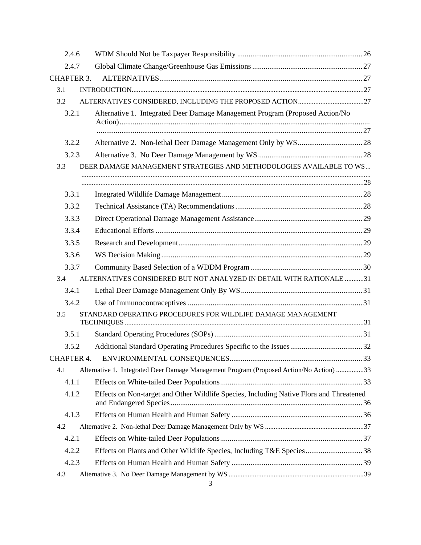| 2.4.6             |                                                                                         |  |
|-------------------|-----------------------------------------------------------------------------------------|--|
| 2.4.7             |                                                                                         |  |
| <b>CHAPTER 3.</b> |                                                                                         |  |
| 3.1               |                                                                                         |  |
| 3.2               |                                                                                         |  |
| 3.2.1             | Alternative 1. Integrated Deer Damage Management Program (Proposed Action/No            |  |
|                   |                                                                                         |  |
| 3.2.2             |                                                                                         |  |
| 3.2.3             |                                                                                         |  |
| 3.3               | DEER DAMAGE MANAGEMENT STRATEGIES AND METHODOLOGIES AVAILABLE TO WS                     |  |
|                   |                                                                                         |  |
|                   |                                                                                         |  |
| 3.3.1             |                                                                                         |  |
| 3.3.2             |                                                                                         |  |
| 3.3.3             |                                                                                         |  |
| 3.3.4             |                                                                                         |  |
| 3.3.5             |                                                                                         |  |
| 3.3.6             |                                                                                         |  |
| 3.3.7             |                                                                                         |  |
| 3.4               | ALTERNATIVES CONSIDERED BUT NOT ANALYZED IN DETAIL WITH RATIONALE 31                    |  |
| 3.4.1             |                                                                                         |  |
| 3.4.2             |                                                                                         |  |
| 3.5               | STANDARD OPERATING PROCEDURES FOR WILDLIFE DAMAGE MANAGEMENT                            |  |
| 3.5.1             |                                                                                         |  |
| 3.5.2             |                                                                                         |  |
| <b>CHAPTER 4.</b> |                                                                                         |  |
| 4.1               | Alternative 1. Integrated Deer Damage Management Program (Proposed Action/No Action)33  |  |
| 4.1.1             |                                                                                         |  |
| 4.1.2             | Effects on Non-target and Other Wildlife Species, Including Native Flora and Threatened |  |
|                   |                                                                                         |  |
| 4.1.3             |                                                                                         |  |
| 4.2               |                                                                                         |  |
| 4.2.1             |                                                                                         |  |
| 4.2.2             | Effects on Plants and Other Wildlife Species, Including T&E Species38                   |  |
| 4.2.3             |                                                                                         |  |
| 4.3               |                                                                                         |  |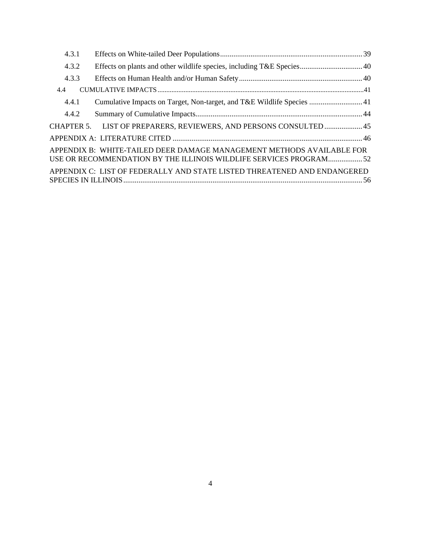| 4.3.1 |                                                                                                                                             |  |
|-------|---------------------------------------------------------------------------------------------------------------------------------------------|--|
| 4.3.2 |                                                                                                                                             |  |
| 4.3.3 |                                                                                                                                             |  |
| 4.4   |                                                                                                                                             |  |
| 4.4.1 |                                                                                                                                             |  |
| 4.4.2 |                                                                                                                                             |  |
|       | CHAPTER 5. LIST OF PREPARERS, REVIEWERS, AND PERSONS CONSULTED 45                                                                           |  |
|       |                                                                                                                                             |  |
|       | APPENDIX B: WHITE-TAILED DEER DAMAGE MANAGEMENT METHODS AVAILABLE FOR<br>USE OR RECOMMENDATION BY THE ILLINOIS WILDLIFE SERVICES PROGRAM 52 |  |
|       | APPENDIX C: LIST OF FEDERALLY AND STATE LISTED THREATENED AND ENDANGERED                                                                    |  |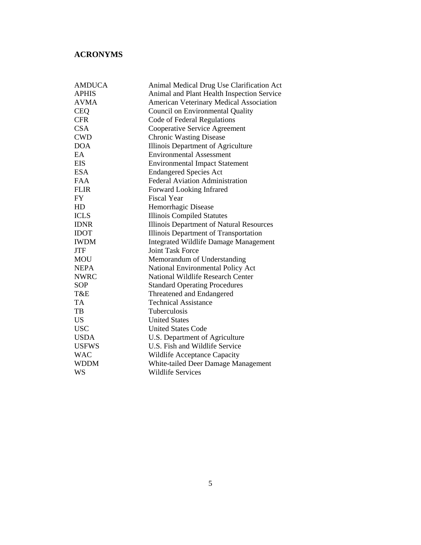# **ACRONYMS**

| <b>AMDUCA</b> | Animal Medical Drug Use Clarification Act    |
|---------------|----------------------------------------------|
| <b>APHIS</b>  | Animal and Plant Health Inspection Service   |
| <b>AVMA</b>   | American Veterinary Medical Association      |
| <b>CEQ</b>    | Council on Environmental Quality             |
| <b>CFR</b>    | Code of Federal Regulations                  |
| <b>CSA</b>    | Cooperative Service Agreement                |
| <b>CWD</b>    | <b>Chronic Wasting Disease</b>               |
| <b>DOA</b>    | Illinois Department of Agriculture           |
| EA            | <b>Environmental Assessment</b>              |
| <b>EIS</b>    | <b>Environmental Impact Statement</b>        |
| <b>ESA</b>    | <b>Endangered Species Act</b>                |
| <b>FAA</b>    | <b>Federal Aviation Administration</b>       |
| <b>FLIR</b>   | Forward Looking Infrared                     |
| <b>FY</b>     | <b>Fiscal Year</b>                           |
| HD            | Hemorrhagic Disease                          |
| <b>ICLS</b>   | <b>Illinois Compiled Statutes</b>            |
| <b>IDNR</b>   | Illinois Department of Natural Resources     |
| <b>IDOT</b>   | Illinois Department of Transportation        |
| <b>IWDM</b>   | <b>Integrated Wildlife Damage Management</b> |
| <b>JTF</b>    | <b>Joint Task Force</b>                      |
| <b>MOU</b>    | Memorandum of Understanding                  |
| <b>NEPA</b>   | National Environmental Policy Act            |
| <b>NWRC</b>   | National Wildlife Research Center            |
| <b>SOP</b>    | <b>Standard Operating Procedures</b>         |
| T&E           | Threatened and Endangered                    |
| TA            | <b>Technical Assistance</b>                  |
| TB            | <b>Tuberculosis</b>                          |
| <b>US</b>     | <b>United States</b>                         |
| <b>USC</b>    | <b>United States Code</b>                    |
| <b>USDA</b>   | U.S. Department of Agriculture               |
| <b>USFWS</b>  | U.S. Fish and Wildlife Service               |
| <b>WAC</b>    | Wildlife Acceptance Capacity                 |
| <b>WDDM</b>   | White-tailed Deer Damage Management          |
| WS            | <b>Wildlife Services</b>                     |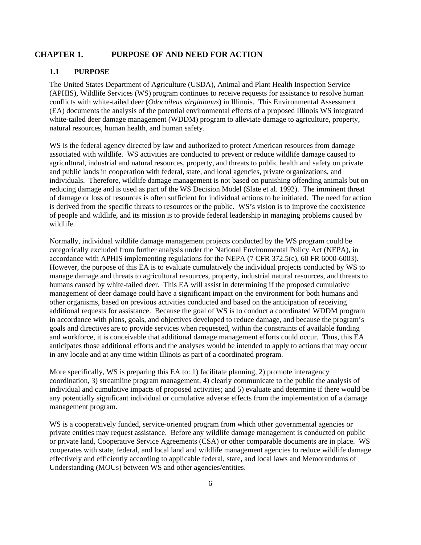# **CHAPTER 1. PURPOSE OF AND NEED FOR ACTION**

# **1.1 PURPOSE**

The United States Department of Agriculture (USDA), Animal and Plant Health Inspection Service (APHIS), Wildlife Services (WS) program continues to receive requests for assistance to resolve human conflicts with white-tailed deer (*Odocoileus virginianus*) in Illinois. This Environmental Assessment (EA) documents the analysis of the potential environmental effects of a proposed Illinois WS integrated white-tailed deer damage management (WDDM) program to alleviate damage to agriculture, property, natural resources, human health, and human safety.

WS is the federal agency directed by law and authorized to protect American resources from damage associated with wildlife. WS activities are conducted to prevent or reduce wildlife damage caused to agricultural, industrial and natural resources, property, and threats to public health and safety on private and public lands in cooperation with federal, state, and local agencies, private organizations, and individuals. Therefore, wildlife damage management is not based on punishing offending animals but on reducing damage and is used as part of the WS Decision Model (Slate et al. 1992). The imminent threat of damage or loss of resources is often sufficient for individual actions to be initiated. The need for action is derived from the specific threats to resources or the public. WS's vision is to improve the coexistence of people and wildlife, and its mission is to provide federal leadership in managing problems caused by wildlife.

Normally, individual wildlife damage management projects conducted by the WS program could be categorically excluded from further analysis under the National Environmental Policy Act (NEPA), in accordance with APHIS implementing regulations for the NEPA (7 CFR 372.5(c), 60 FR 6000-6003). However, the purpose of this EA is to evaluate cumulatively the individual projects conducted by WS to manage damage and threats to agricultural resources, property, industrial natural resources, and threats to humans caused by white-tailed deer. This EA will assist in determining if the proposed cumulative management of deer damage could have a significant impact on the environment for both humans and other organisms, based on previous activities conducted and based on the anticipation of receiving additional requests for assistance. Because the goal of WS is to conduct a coordinated WDDM program in accordance with plans, goals, and objectives developed to reduce damage, and because the program's goals and directives are to provide services when requested, within the constraints of available funding and workforce, it is conceivable that additional damage management efforts could occur. Thus, this EA anticipates those additional efforts and the analyses would be intended to apply to actions that may occur in any locale and at any time within Illinois as part of a coordinated program.

More specifically, WS is preparing this EA to: 1) facilitate planning, 2) promote interagency coordination, 3) streamline program management, 4) clearly communicate to the public the analysis of individual and cumulative impacts of proposed activities; and 5) evaluate and determine if there would be any potentially significant individual or cumulative adverse effects from the implementation of a damage management program.

WS is a cooperatively funded, service-oriented program from which other governmental agencies or private entities may request assistance. Before any wildlife damage management is conducted on public or private land, Cooperative Service Agreements (CSA) or other comparable documents are in place. WS cooperates with state, federal, and local land and wildlife management agencies to reduce wildlife damage effectively and efficiently according to applicable federal, state, and local laws and Memorandums of Understanding (MOUs) between WS and other agencies/entities.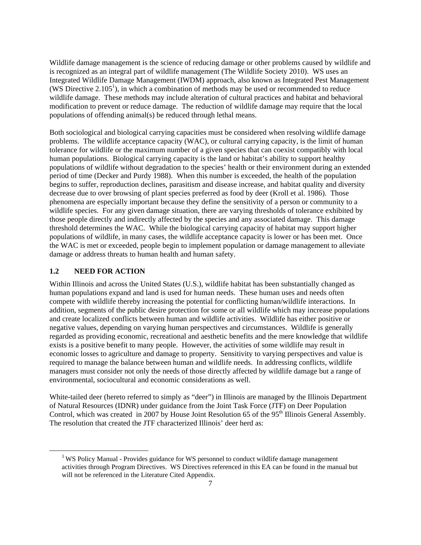Wildlife damage management is the science of reducing damage or other problems caused by wildlife and is recognized as an integral part of wildlife management (The Wildlife Society 2010). WS uses an Integrated Wildlife Damage Management (IWDM) approach, also known as Integrated Pest Management  $(WS\,$  Directive  $2.105<sup>1</sup>$ ), in which a combination of methods may be used or recommended to reduce wildlife damage. These methods may include alteration of cultural practices and habitat and behavioral modification to prevent or reduce damage. The reduction of wildlife damage may require that the local populations of offending animal(s) be reduced through lethal means.

Both sociological and biological carrying capacities must be considered when resolving wildlife damage problems. The wildlife acceptance capacity (WAC), or cultural carrying capacity, is the limit of human tolerance for wildlife or the maximum number of a given species that can coexist compatibly with local human populations. Biological carrying capacity is the land or habitat's ability to support healthy populations of wildlife without degradation to the species' health or their environment during an extended period of time (Decker and Purdy 1988). When this number is exceeded, the health of the population begins to suffer, reproduction declines, parasitism and disease increase, and habitat quality and diversity decrease due to over browsing of plant species preferred as food by deer (Kroll et al. 1986). Those phenomena are especially important because they define the sensitivity of a person or community to a wildlife species. For any given damage situation, there are varying thresholds of tolerance exhibited by those people directly and indirectly affected by the species and any associated damage. This damage threshold determines the WAC. While the biological carrying capacity of habitat may support higher populations of wildlife, in many cases, the wildlife acceptance capacity is lower or has been met. Once the WAC is met or exceeded, people begin to implement population or damage management to alleviate damage or address threats to human health and human safety.

### **1.2 NEED FOR ACTION**

Within Illinois and across the United States (U.S.), wildlife habitat has been substantially changed as human populations expand and land is used for human needs. These human uses and needs often compete with wildlife thereby increasing the potential for conflicting human/wildlife interactions. In addition, segments of the public desire protection for some or all wildlife which may increase populations and create localized conflicts between human and wildlife activities. Wildlife has either positive or negative values, depending on varying human perspectives and circumstances. Wildlife is generally regarded as providing economic, recreational and aesthetic benefits and the mere knowledge that wildlife exists is a positive benefit to many people. However, the activities of some wildlife may result in economic losses to agriculture and damage to property. Sensitivity to varying perspectives and value is required to manage the balance between human and wildlife needs. In addressing conflicts, wildlife managers must consider not only the needs of those directly affected by wildlife damage but a range of environmental, sociocultural and economic considerations as well.

White-tailed deer (hereto referred to simply as "deer") in Illinois are managed by the Illinois Department of Natural Resources (IDNR) under guidance from the Joint Task Force (JTF) on Deer Population Control, which was created in 2007 by House Joint Resolution 65 of the 95<sup>th</sup> Illinois General Assembly. The resolution that created the JTF characterized Illinois' deer herd as:

<sup>&</sup>lt;sup>1</sup> WS Policy Manual - Provides guidance for WS personnel to conduct wildlife damage management activities through Program Directives. WS Directives referenced in this EA can be found in the manual but will not be referenced in the Literature Cited Appendix.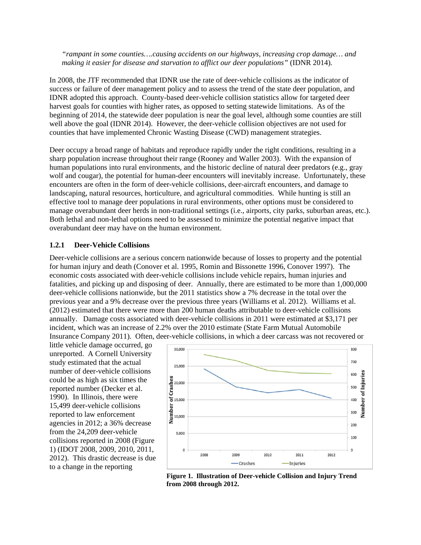*"rampant in some counties….causing accidents on our highways, increasing crop damage… and making it easier for disease and starvation to afflict our deer populations"* (IDNR 2014)*.*

In 2008, the JTF recommended that IDNR use the rate of deer-vehicle collisions as the indicator of success or failure of deer management policy and to assess the trend of the state deer population, and IDNR adopted this approach. County-based deer-vehicle collision statistics allow for targeted deer harvest goals for counties with higher rates, as opposed to setting statewide limitations. As of the beginning of 2014, the statewide deer population is near the goal level, although some counties are still well above the goal (IDNR 2014). However, the deer-vehicle collision objectives are not used for counties that have implemented Chronic Wasting Disease (CWD) management strategies.

Deer occupy a broad range of habitats and reproduce rapidly under the right conditions, resulting in a sharp population increase throughout their range (Rooney and Waller 2003). With the expansion of human populations into rural environments, and the historic decline of natural deer predators (e.g., gray wolf and cougar), the potential for human-deer encounters will inevitably increase. Unfortunately, these encounters are often in the form of deer-vehicle collisions, deer-aircraft encounters, and damage to landscaping, natural resources, horticulture, and agricultural commodities. While hunting is still an effective tool to manage deer populations in rural environments, other options must be considered to manage overabundant deer herds in non-traditional settings (i.e., airports, city parks, suburban areas, etc.). Both lethal and non-lethal options need to be assessed to minimize the potential negative impact that overabundant deer may have on the human environment.

### **1.2.1 Deer-Vehicle Collisions**

Deer-vehicle collisions are a serious concern nationwide because of losses to property and the potential for human injury and death (Conover et al. 1995, Romin and Bissonette 1996, Conover 1997). The economic costs associated with deer-vehicle collisions include vehicle repairs, human injuries and fatalities, and picking up and disposing of deer. Annually, there are estimated to be more than 1,000,000 deer-vehicle collisions nationwide, but the 2011 statistics show a 7% decrease in the total over the previous year and a 9% decrease over the previous three years (Williams et al. 2012). Williams et al. (2012) estimated that there were more than 200 human deaths attributable to deer-vehicle collisions annually. Damage costs associated with deer-vehicle collisions in 2011 were estimated at \$3,171 per incident, which was an increase of 2.2% over the 2010 estimate (State Farm Mutual Automobile Insurance Company 2011). Often, deer-vehicle collisions, in which a deer carcass was not recovered or

little vehicle damage occurred, go unreported. A Cornell University study estimated that the actual number of deer-vehicle collisions could be as high as six times the reported number (Decker et al. 1990). In Illinois, there were 15,499 deer-vehicle collisions reported to law enforcement agencies in 2012; a 36% decrease from the 24,209 deer-vehicle collisions reported in 2008 (Figure 1) (IDOT 2008, 2009, 2010, 2011, 2012). This drastic decrease is due to a change in the reporting



8 **from 2008 through 2012. Figure 1. Illustration of Deer-vehicle Collision and Injury Trend**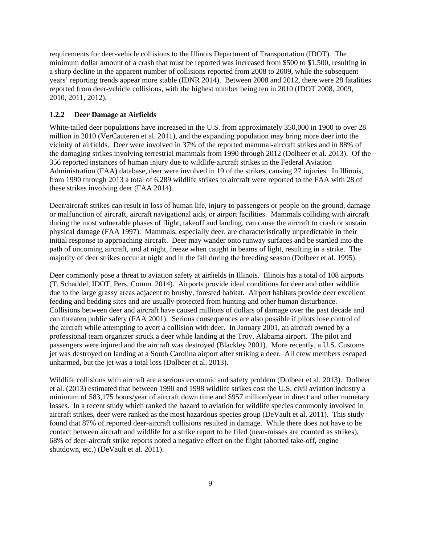requirements for deer-vehicle collisions to the Illinois Department of Transportation (IDOT). The minimum dollar amount of a crash that must be reported was increased from \$500 to \$1,500, resulting in a sharp decline in the apparent number of collisions reported from 2008 to 2009, while the subsequent years' reporting trends appear more stable (IDNR 2014). Between 2008 and 2012, there were 28 fatalities reported from deer-vehicle collisions, with the highest number being ten in 2010 (IDOT 2008, 2009, 2010, 2011, 2012).

#### **1.2.2 Deer Damage at Airfields**

White-tailed deer populations have increased in the U.S. from approximately 350,000 in 1900 to over 28 million in 2010 (VerCauteren et al. 2011), and the expanding population may bring more deer into the vicinity of airfields. Deer were involved in 37% of the reported mammal-aircraft strikes and in 88% of the damaging strikes involving terrestrial mammals from 1990 through 2012 (Dolbeer et al. 2013). Of the 356 reported instances of human injury due to wildlife-aircraft strikes in the Federal Aviation Administration (FAA) database, deer were involved in 19 of the strikes, causing 27 injuries. In Illinois, from 1990 through 2013 a total of 6,289 wildlife strikes to aircraft were reported to the FAA with 28 of these strikes involving deer (FAA 2014).

Deer/aircraft strikes can result in loss of human life, injury to passengers or people on the ground, damage or malfunction of aircraft, aircraft navigational aids, or airport facilities. Mammals colliding with aircraft during the most vulnerable phases of flight, takeoff and landing, can cause the aircraft to crash or sustain physical damage (FAA 1997). Mammals, especially deer, are characteristically unpredictable in their initial response to approaching aircraft. Deer may wander onto runway surfaces and be startled into the path of oncoming aircraft, and at night, freeze when caught in beams of light, resulting in a strike. The majority of deer strikes occur at night and in the fall during the breeding season (Dolbeer et al. 1995).

Deer commonly pose a threat to aviation safety at airfields in Illinois. Illinois has a total of 108 airports (T. Schaddel, IDOT, Pers. Comm. 2014). Airports provide ideal conditions for deer and other wildlife due to the large grassy areas adjacent to brushy, forested habitat. Airport habitats provide deer excellent feeding and bedding sites and are usually protected from hunting and other human disturbance. Collisions between deer and aircraft have caused millions of dollars of damage over the past decade and can threaten public safety (FAA 2001). Serious consequences are also possible if pilots lose control of the aircraft while attempting to avert a collision with deer. In January 2001, an aircraft owned by a professional team organizer struck a deer while landing at the Troy, Alabama airport. The pilot and passengers were injured and the aircraft was destroyed (Blackley 2001). More recently, a U.S. Customs jet was destroyed on landing at a South Carolina airport after striking a deer. All crew members escaped unharmed, but the jet was a total loss (Dolbeer et al. 2013).

Wildlife collisions with aircraft are a serious economic and safety problem (Dolbeer et al. 2013). Dolbeer et al. (2013) estimated that between 1990 and 1998 wildlife strikes cost the U.S. civil aviation industry a minimum of 583,175 hours/year of aircraft down time and \$957 million/year in direct and other monetary losses. In a recent study which ranked the hazard to aviation for wildlife species commonly involved in aircraft strikes, deer were ranked as the most hazardous species group (DeVault et al. 2011). This study found that 87% of reported deer-aircraft collisions resulted in damage. While there does not have to be contact between aircraft and wildlife for a strike report to be filed (near-misses are counted as strikes), 68% of deer-aircraft strike reports noted a negative effect on the flight (aborted take-off, engine shutdown, etc.) (DeVault et al. 2011).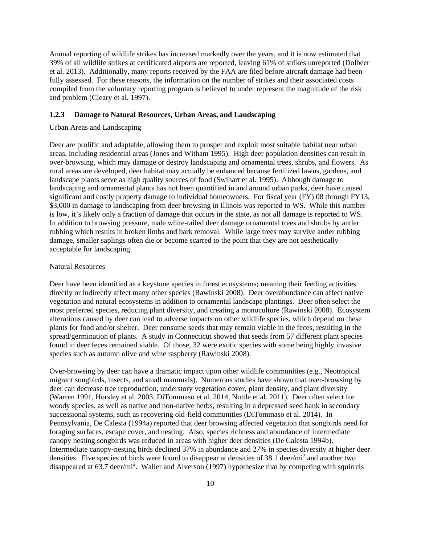Annual reporting of wildlife strikes has increased markedly over the years, and it is now estimated that 39% of all wildlife strikes at certificated airports are reported, leaving 61% of strikes unreported (Dolbeer et al. 2013). Additionally, many reports received by the FAA are filed before aircraft damage had been fully assessed. For these reasons, the information on the number of strikes and their associated costs compiled from the voluntary reporting program is believed to under represent the magnitude of the risk and problem (Cleary et al. 1997).

#### **1.2.3 Damage to Natural Resources, Urban Areas, and Landscaping**

#### Urban Areas and Landscaping

Deer are prolific and adaptable, allowing them to prosper and exploit most suitable habitat near urban areas, including residential areas (Jones and Witham 1995). High deer population densities can result in over-browsing, which may damage or destroy landscaping and ornamental trees, shrubs, and flowers. As rural areas are developed, deer habitat may actually be enhanced because fertilized lawns, gardens, and landscape plants serve as high quality sources of food (Swihart et al. 1995). Although damage to landscaping and ornamental plants has not been quantified in and around urban parks, deer have caused significant and costly property damage to individual homeowners. For fiscal year (FY) 08 through FY13, \$3,000 in damage to landscaping from deer browsing in Illinois was reported to WS. While this number is low, it's likely only a fraction of damage that occurs in the state, as not all damage is reported to WS. In addition to browsing pressure, male white-tailed deer damage ornamental trees and shrubs by antler rubbing which results in broken limbs and bark removal. While large trees may survive antler rubbing damage, smaller saplings often die or become scarred to the point that they are not aesthetically acceptable for landscaping.

#### Natural Resources

Deer have been identified as a keystone species in forest ecosystems; meaning their feeding activities directly or indirectly affect many other species (Rawinski 2008). Deer overabundance can affect native vegetation and natural ecosystems in addition to ornamental landscape plantings. Deer often select the most preferred species, reducing plant diversity, and creating a monoculture (Rawinski 2008). Ecosystem alterations caused by deer can lead to adverse impacts on other wildlife species, which depend on these plants for food and/or shelter. Deer consume seeds that may remain viable in the feces, resulting in the spread/germination of plants. A study in Connecticut showed that seeds from 57 different plant species found in deer feces remained viable. Of those, 32 were exotic species with some being highly invasive species such as autumn olive and wine raspberry (Rawinski 2008).

Over-browsing by deer can have a dramatic impact upon other wildlife communities (e.g., Neotropical migrant songbirds, insects, and small mammals). Numerous studies have shown that over-browsing by deer can decrease tree reproduction, understory vegetation cover, plant density, and plant diversity (Warren 1991, Horsley et al. 2003, DiTommaso et al. 2014, Nuttle et al. 2011). Deer often select for woody species, as well as native and non-native herbs, resulting in a depressed seed bank in secondary successional systems, such as recovering old-field communities (DiTommaso et al. 2014). In Pennsylvania, De Calesta (1994a) reported that deer browsing affected vegetation that songbirds need for foraging surfaces, escape cover, and nesting. Also, species richness and abundance of intermediate canopy nesting songbirds was reduced in areas with higher deer densities (De Calesta 1994b). Intermediate canopy-nesting birds declined 37% in abundance and 27% in species diversity at higher deer densities. Five species of birds were found to disappear at densities of 38.1 deer/mi<sup>2</sup> and another two disappeared at  $63.7$  deer/mi<sup>2</sup>. Waller and Alverson (1997) hypothesize that by competing with squirrels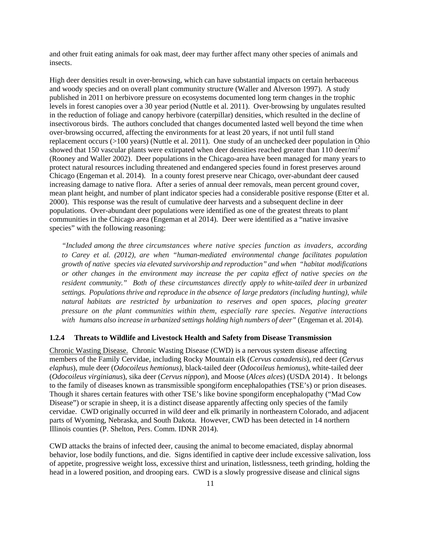and other fruit eating animals for oak mast, deer may further affect many other species of animals and insects.

High deer densities result in over-browsing, which can have substantial impacts on certain herbaceous and woody species and on overall plant community structure (Waller and Alverson 1997). A study published in 2011 on herbivore pressure on ecosystems documented long term changes in the trophic levels in forest canopies over a 30 year period (Nuttle et al. 2011). Over-browsing by ungulates resulted in the reduction of foliage and canopy herbivore (caterpillar) densities, which resulted in the decline of insectivorous birds. The authors concluded that changes documented lasted well beyond the time when over-browsing occurred, affecting the environments for at least 20 years, if not until full stand replacement occurs (>100 years) (Nuttle et al. 2011). One study of an unchecked deer population in Ohio showed that 150 vascular plants were extirpated when deer densities reached greater than 110 deer/mi<sup>2</sup> (Rooney and Waller 2002). Deer populations in the Chicago-area have been managed for many years to protect natural resources including threatened and endangered species found in forest preserves around Chicago (Engeman et al. 2014). In a county forest preserve near Chicago, over-abundant deer caused increasing damage to native flora. After a series of annual deer removals, mean percent ground cover, mean plant height, and number of plant indicator species had a considerable positive response (Etter et al. 2000). This response was the result of cumulative deer harvests and a subsequent decline in deer populations. Over-abundant deer populations were identified as one of the greatest threats to plant communities in the Chicago area (Engeman et al 2014). Deer were identified as a "native invasive species" with the following reasoning:

*"Included among the three circumstances where native species function as invaders, according to Carey et al. (2012), are when "human-mediated environmental change facilitates population growth of native species via elevated survivorship and reproduction" and when "habitat modifications or other changes in the environment may increase the per capita effect of native species on the resident community." Both of these circumstances directly apply to white-tailed deer in urbanized settings. Populations thrive and reproduce in the absence of large predators (including hunting), while natural habitats are restricted by urbanization to reserves and open spaces, placing greater pressure on the plant communities within them, especially rare species. Negative interactions with humans also increase in urbanized settings holding high numbers of deer"* (Engeman et al. 2014).

### **1.2.4 Threats to Wildlife and Livestock Health and Safety from Disease Transmission**

Chronic Wasting Disease. Chronic Wasting Disease (CWD) is a nervous system disease affecting members of the Family Cervidae, including Rocky Mountain elk (*Cervus canadensis*), red deer (*Cervus elaphus*), mule deer (*Odocoileus hemionus)*, black-tailed deer (*Odocoileus hemionus*), white-tailed deer (*Odocoileus virginianus*), sika deer (*Cervus nippon*), and Moose (*Alces alces*) (USDA 2014) . It belongs to the family of diseases known as transmissible spongiform encephalopathies (TSE's) or prion diseases. Though it shares certain features with other TSE's like bovine spongiform encephalopathy ("Mad Cow Disease") or scrapie in sheep, it is a distinct disease apparently affecting only species of the family cervidae. CWD originally occurred in wild deer and elk primarily in northeastern Colorado, and adjacent parts of Wyoming, Nebraska, and South Dakota. However, CWD has been detected in 14 northern Illinois counties (P. Shelton, Pers. Comm. IDNR 2014).

CWD attacks the brains of infected deer, causing the animal to become emaciated, display abnormal behavior, lose bodily functions, and die. Signs identified in captive deer include excessive salivation, loss of appetite, progressive weight loss, excessive thirst and urination, listlessness, teeth grinding, holding the head in a lowered position, and drooping ears. CWD is a slowly progressive disease and clinical signs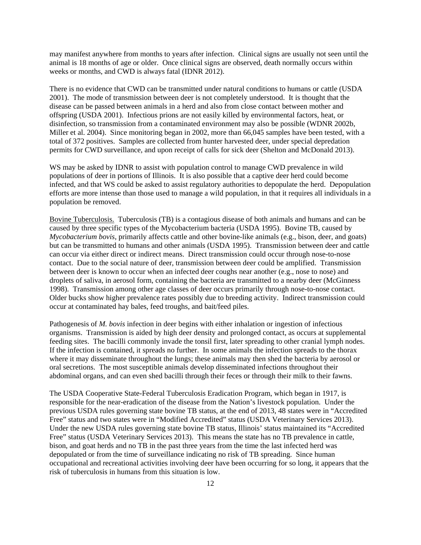may manifest anywhere from months to years after infection. Clinical signs are usually not seen until the animal is 18 months of age or older. Once clinical signs are observed, death normally occurs within weeks or months, and CWD is always fatal (IDNR 2012).

There is no evidence that CWD can be transmitted under natural conditions to humans or cattle (USDA 2001). The mode of transmission between deer is not completely understood. It is thought that the disease can be passed between animals in a herd and also from close contact between mother and offspring (USDA 2001). Infectious prions are not easily killed by environmental factors, heat, or disinfection, so transmission from a contaminated environment may also be possible (WDNR 2002b, Miller et al. 2004). Since monitoring began in 2002, more than 66,045 samples have been tested, with a total of 372 positives. Samples are collected from hunter harvested deer, under special depredation permits for CWD surveillance, and upon receipt of calls for sick deer (Shelton and McDonald 2013).

WS may be asked by IDNR to assist with population control to manage CWD prevalence in wild populations of deer in portions of Illinois. It is also possible that a captive deer herd could become infected, and that WS could be asked to assist regulatory authorities to depopulate the herd. Depopulation efforts are more intense than those used to manage a wild population, in that it requires all individuals in a population be removed.

Bovine Tuberculosis. Tuberculosis (TB) is a contagious disease of both animals and humans and can be caused by three specific types of the Mycobacterium bacteria (USDA 1995). Bovine TB, caused by *Mycobacterium bovis,* primarily affects cattle and other bovine-like animals (e.g., bison, deer, and goats) but can be transmitted to humans and other animals (USDA 1995). Transmission between deer and cattle can occur via either direct or indirect means. Direct transmission could occur through nose-to-nose contact. Due to the social nature of deer, transmission between deer could be amplified. Transmission between deer is known to occur when an infected deer coughs near another (e.g., nose to nose) and droplets of saliva, in aerosol form, containing the bacteria are transmitted to a nearby deer (McGinness 1998). Transmission among other age classes of deer occurs primarily through nose-to-nose contact. Older bucks show higher prevalence rates possibly due to breeding activity. Indirect transmission could occur at contaminated hay bales, feed troughs, and bait/feed piles.

Pathogenesis of *M. bovis* infection in deer begins with either inhalation or ingestion of infectious organisms. Transmission is aided by high deer density and prolonged contact, as occurs at supplemental feeding sites. The bacilli commonly invade the tonsil first, later spreading to other cranial lymph nodes. If the infection is contained, it spreads no further. In some animals the infection spreads to the thorax where it may disseminate throughout the lungs; these animals may then shed the bacteria by aerosol or oral secretions. The most susceptible animals develop disseminated infections throughout their abdominal organs, and can even shed bacilli through their feces or through their milk to their fawns.

The USDA Cooperative State-Federal Tuberculosis Eradication Program, which began in 1917, is responsible for the near-eradication of the disease from the Nation's livestock population. Under the previous USDA rules governing state bovine TB status, at the end of 2013, 48 states were in "Accredited Free" status and two states were in "Modified Accredited" status (USDA Veterinary Services 2013). Under the new USDA rules governing state bovine TB status, Illinois' status maintained its "Accredited Free" status (USDA Veterinary Services 2013). This means the state has no TB prevalence in cattle, bison, and goat herds and no TB in the past three years from the time the last infected herd was depopulated or from the time of surveillance indicating no risk of TB spreading. Since human occupational and recreational activities involving deer have been occurring for so long, it appears that the risk of tuberculosis in humans from this situation is low.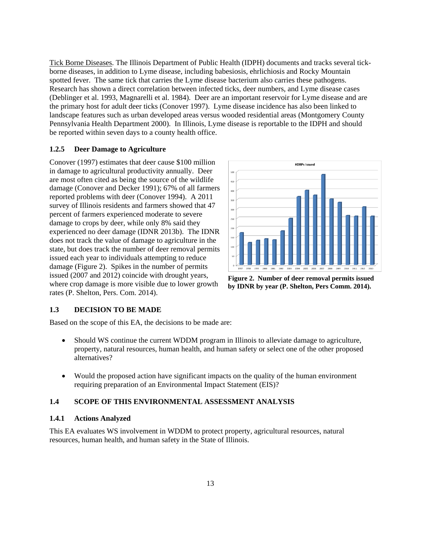Tick Borne Diseases. The Illinois Department of Public Health (IDPH) documents and tracks several tickborne diseases, in addition to Lyme disease, including babesiosis, ehrlichiosis and Rocky Mountain spotted fever. The same tick that carries the Lyme disease bacterium also carries these pathogens. Research has shown a direct correlation between infected ticks, deer numbers, and Lyme disease cases (Deblinger et al. 1993, Magnarelli et al. 1984). Deer are an important reservoir for Lyme disease and are the primary host for adult deer ticks (Conover 1997). Lyme disease incidence has also been linked to landscape features such as urban developed areas versus wooded residential areas (Montgomery County Pennsylvania Health Department 2000). In Illinois, Lyme disease is reportable to the IDPH and should be reported within seven days to a county health office.

### **1.2.5 Deer Damage to Agriculture**

Conover (1997) estimates that deer cause \$100 million in damage to agricultural productivity annually. Deer are most often cited as being the source of the wildlife damage (Conover and Decker 1991); 67% of all farmers reported problems with deer (Conover 1994). A 2011 survey of Illinois residents and farmers showed that 47 percent of farmers experienced moderate to severe damage to crops by deer, while only 8% said they experienced no deer damage (IDNR 2013b). The IDNR does not track the value of damage to agriculture in the state, but does track the number of deer removal permits issued each year to individuals attempting to reduce damage (Figure 2). Spikes in the number of permits issued (2007 and 2012) coincide with drought years, where crop damage is more visible due to lower growth rates (P. Shelton, Pers. Com. 2014).



**Figure 2. Number of deer removal permits issued by IDNR by year (P. Shelton, Pers Comm. 2014).** 

### **1.3 DECISION TO BE MADE**

Based on the scope of this EA, the decisions to be made are:

- Should WS continue the current WDDM program in Illinois to alleviate damage to agriculture, property, natural resources, human health, and human safety or select one of the other proposed alternatives?
- Would the proposed action have significant impacts on the quality of the human environment requiring preparation of an Environmental Impact Statement (EIS)?

# **1.4 SCOPE OF THIS ENVIRONMENTAL ASSESSMENT ANALYSIS**

### **1.4.1 Actions Analyzed**

This EA evaluates WS involvement in WDDM to protect property, agricultural resources, natural resources, human health, and human safety in the State of Illinois.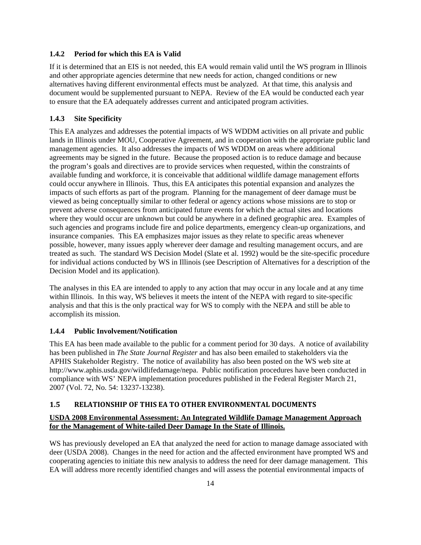### **1.4.2 Period for which this EA is Valid**

If it is determined that an EIS is not needed, this EA would remain valid until the WS program in Illinois and other appropriate agencies determine that new needs for action, changed conditions or new alternatives having different environmental effects must be analyzed. At that time, this analysis and document would be supplemented pursuant to NEPA. Review of the EA would be conducted each year to ensure that the EA adequately addresses current and anticipated program activities.

# **1.4.3 Site Specificity**

This EA analyzes and addresses the potential impacts of WS WDDM activities on all private and public lands in Illinois under MOU, Cooperative Agreement, and in cooperation with the appropriate public land management agencies. It also addresses the impacts of WS WDDM on areas where additional agreements may be signed in the future. Because the proposed action is to reduce damage and because the program's goals and directives are to provide services when requested, within the constraints of available funding and workforce, it is conceivable that additional wildlife damage management efforts could occur anywhere in Illinois. Thus, this EA anticipates this potential expansion and analyzes the impacts of such efforts as part of the program. Planning for the management of deer damage must be viewed as being conceptually similar to other federal or agency actions whose missions are to stop or prevent adverse consequences from anticipated future events for which the actual sites and locations where they would occur are unknown but could be anywhere in a defined geographic area. Examples of such agencies and programs include fire and police departments, emergency clean-up organizations, and insurance companies. This EA emphasizes major issues as they relate to specific areas whenever possible, however, many issues apply wherever deer damage and resulting management occurs, and are treated as such. The standard WS Decision Model (Slate et al. 1992) would be the site-specific procedure for individual actions conducted by WS in Illinois (see Description of Alternatives for a description of the Decision Model and its application).

The analyses in this EA are intended to apply to any action that may occur in any locale and at any time within Illinois. In this way, WS believes it meets the intent of the NEPA with regard to site-specific analysis and that this is the only practical way for WS to comply with the NEPA and still be able to accomplish its mission.

# **1.4.4 Public Involvement/Notification**

This EA has been made available to the public for a comment period for 30 days. A notice of availability has been published in *The State Journal Register* and has also been emailed to stakeholders via the APHIS Stakeholder Registry. The notice of availability has also been posted on the WS web site at http://www.aphis.usda.gov/wildlifedamage/nepa. Public notification procedures have been conducted in compliance with WS' NEPA implementation procedures published in the Federal Register March 21, 2007 (Vol. 72, No. 54: 13237-13238).

# **1.5 RELATIONSHIP OF THIS EA TO OTHER ENVIRONMENTAL DOCUMENTS**

# **USDA 2008 Environmental Assessment: An Integrated Wildlife Damage Management Approach for the Management of White-tailed Deer Damage In the State of Illinois.**

WS has previously developed an EA that analyzed the need for action to manage damage associated with deer (USDA 2008). Changes in the need for action and the affected environment have prompted WS and cooperating agencies to initiate this new analysis to address the need for deer damage management. This EA will address more recently identified changes and will assess the potential environmental impacts of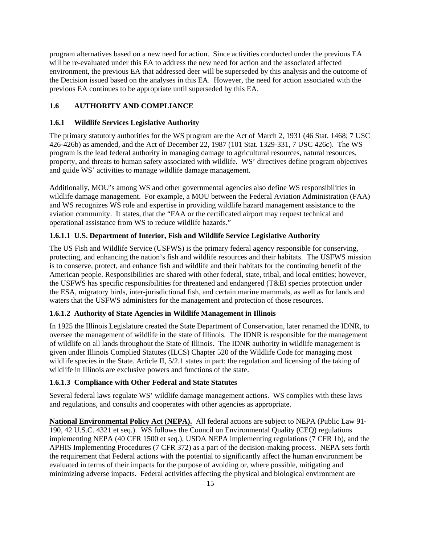program alternatives based on a new need for action. Since activities conducted under the previous EA will be re-evaluated under this EA to address the new need for action and the associated affected environment, the previous EA that addressed deer will be superseded by this analysis and the outcome of the Decision issued based on the analyses in this EA. However, the need for action associated with the previous EA continues to be appropriate until superseded by this EA.

# **1.6 AUTHORITY AND COMPLIANCE**

# **1.6.1 Wildlife Services Legislative Authority**

The primary statutory authorities for the WS program are the Act of March 2, 1931 (46 Stat. 1468; 7 USC 426-426b) as amended, and the Act of December 22, 1987 (101 Stat. 1329-331, 7 USC 426c). The WS program is the lead federal authority in managing damage to agricultural resources, natural resources, property, and threats to human safety associated with wildlife. WS' directives define program objectives and guide WS' activities to manage wildlife damage management.

Additionally, MOU's among WS and other governmental agencies also define WS responsibilities in wildlife damage management. For example, a MOU between the Federal Aviation Administration (FAA) and WS recognizes WS role and expertise in providing wildlife hazard management assistance to the aviation community. It states, that the "FAA or the certificated airport may request technical and operational assistance from WS to reduce wildlife hazards."

# **1.6.1.1 U.S. Department of Interior, Fish and Wildlife Service Legislative Authority**

The US Fish and Wildlife Service (USFWS) is the primary federal agency responsible for conserving, protecting, and enhancing the nation's fish and wildlife resources and their habitats. The USFWS mission is to conserve, protect, and enhance fish and wildlife and their habitats for the continuing benefit of the American people. Responsibilities are shared with other federal, state, tribal, and local entities; however, the USFWS has specific responsibilities for threatened and endangered (T&E) species protection under the ESA, migratory birds, inter-jurisdictional fish, and certain marine mammals, as well as for lands and waters that the USFWS administers for the management and protection of those resources.

### **1.6.1.2 Authority of State Agencies in Wildlife Management in Illinois**

In 1925 the Illinois Legislature created the State Department of Conservation, later renamed the IDNR, to oversee the management of wildlife in the state of Illinois. The IDNR is responsible for the management of wildlife on all lands throughout the State of Illinois. The IDNR authority in wildlife management is given under Illinois Complied Statutes (ILCS) Chapter 520 of the Wildlife Code for managing most wildlife species in the State. Article II, 5/2.1 states in part: the regulation and licensing of the taking of wildlife in Illinois are exclusive powers and functions of the state.

# **1.6.1.3 Compliance with Other Federal and State Statutes**

Several federal laws regulate WS' wildlife damage management actions. WS complies with these laws and regulations, and consults and cooperates with other agencies as appropriate.

**National Environmental Policy Act (NEPA).** All federal actions are subject to NEPA (Public Law 91- 190, 42 U.S.C. 4321 et seq.). WS follows the Council on Environmental Quality (CEQ) regulations implementing NEPA (40 CFR 1500 et seq.), USDA NEPA implementing regulations (7 CFR 1b), and the APHIS Implementing Procedures (7 CFR 372) as a part of the decision-making process. NEPA sets forth the requirement that Federal actions with the potential to significantly affect the human environment be evaluated in terms of their impacts for the purpose of avoiding or, where possible, mitigating and minimizing adverse impacts. Federal activities affecting the physical and biological environment are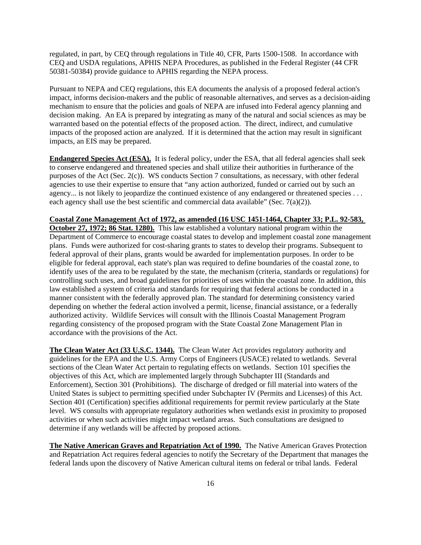regulated, in part, by CEQ through regulations in Title 40, CFR, Parts 1500-1508. In accordance with CEQ and USDA regulations, APHIS NEPA Procedures, as published in the Federal Register (44 CFR 50381-50384) provide guidance to APHIS regarding the NEPA process.

Pursuant to NEPA and CEQ regulations, this EA documents the analysis of a proposed federal action's impact, informs decision-makers and the public of reasonable alternatives, and serves as a decision-aiding mechanism to ensure that the policies and goals of NEPA are infused into Federal agency planning and decision making. An EA is prepared by integrating as many of the natural and social sciences as may be warranted based on the potential effects of the proposed action. The direct, indirect, and cumulative impacts of the proposed action are analyzed. If it is determined that the action may result in significant impacts, an EIS may be prepared.

**Endangered Species Act (ESA).** It is federal policy, under the ESA, that all federal agencies shall seek to conserve endangered and threatened species and shall utilize their authorities in furtherance of the purposes of the Act (Sec. 2(c)). WS conducts Section 7 consultations, as necessary, with other federal agencies to use their expertise to ensure that "any action authorized, funded or carried out by such an agency... is not likely to jeopardize the continued existence of any endangered or threatened species . . . each agency shall use the best scientific and commercial data available" (Sec.  $7(a)(2)$ ).

**Coastal Zone Management Act of 1972, as amended (16 USC 1451-1464, Chapter 33; P.L. 92-583, October 27, 1972; 86 Stat. 1280).** This law established a voluntary national program within the Department of Commerce to encourage coastal states to develop and implement coastal zone management plans. Funds were authorized for cost-sharing grants to states to develop their programs. Subsequent to federal approval of their plans, grants would be awarded for implementation purposes. In order to be eligible for federal approval, each state's plan was required to define boundaries of the coastal zone, to identify uses of the area to be regulated by the state, the mechanism (criteria, standards or regulations) for controlling such uses, and broad guidelines for priorities of uses within the coastal zone. In addition, this law established a system of criteria and standards for requiring that federal actions be conducted in a manner consistent with the federally approved plan. The standard for determining consistency varied depending on whether the federal action involved a permit, license, financial assistance, or a federally authorized activity. Wildlife Services will consult with the Illinois Coastal Management Program regarding consistency of the proposed program with the State Coastal Zone Management Plan in accordance with the provisions of the Act.

**The Clean Water Act (33 U.S.C. 1344).** The Clean Water Act provides regulatory authority and guidelines for the EPA and the U.S. Army Corps of Engineers (USACE) related to wetlands. Several sections of the Clean Water Act pertain to regulating effects on wetlands. Section 101 specifies the objectives of this Act, which are implemented largely through Subchapter III (Standards and Enforcement), Section 301 (Prohibitions). The discharge of dredged or fill material into waters of the United States is subject to permitting specified under Subchapter IV (Permits and Licenses) of this Act. Section 401 (Certification) specifies additional requirements for permit review particularly at the State level. WS consults with appropriate regulatory authorities when wetlands exist in proximity to proposed activities or when such activities might impact wetland areas. Such consultations are designed to determine if any wetlands will be affected by proposed actions.

**The Native American Graves and Repatriation Act of 1990.** The Native American Graves Protection and Repatriation Act requires federal agencies to notify the Secretary of the Department that manages the federal lands upon the discovery of Native American cultural items on federal or tribal lands. Federal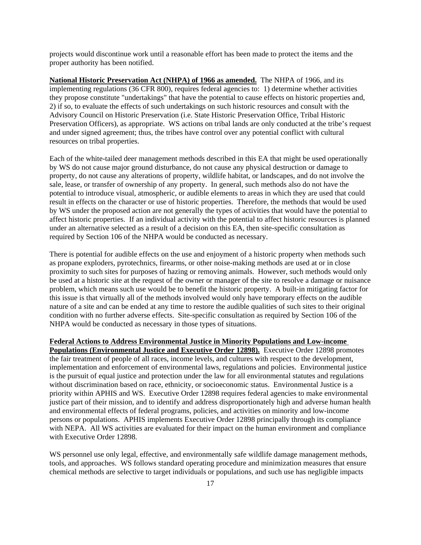projects would discontinue work until a reasonable effort has been made to protect the items and the proper authority has been notified.

**National Historic Preservation Act (NHPA) of 1966 as amended.** The NHPA of 1966, and its implementing regulations (36 CFR 800), requires federal agencies to: 1) determine whether activities they propose constitute "undertakings" that have the potential to cause effects on historic properties and, 2) if so, to evaluate the effects of such undertakings on such historic resources and consult with the Advisory Council on Historic Preservation (i.e. State Historic Preservation Office, Tribal Historic Preservation Officers), as appropriate. WS actions on tribal lands are only conducted at the tribe's request and under signed agreement; thus, the tribes have control over any potential conflict with cultural resources on tribal properties.

Each of the white-tailed deer management methods described in this EA that might be used operationally by WS do not cause major ground disturbance, do not cause any physical destruction or damage to property, do not cause any alterations of property, wildlife habitat, or landscapes, and do not involve the sale, lease, or transfer of ownership of any property. In general, such methods also do not have the potential to introduce visual, atmospheric, or audible elements to areas in which they are used that could result in effects on the character or use of historic properties. Therefore, the methods that would be used by WS under the proposed action are not generally the types of activities that would have the potential to affect historic properties. If an individual activity with the potential to affect historic resources is planned under an alternative selected as a result of a decision on this EA, then site-specific consultation as required by Section 106 of the NHPA would be conducted as necessary.

There is potential for audible effects on the use and enjoyment of a historic property when methods such as propane exploders, pyrotechnics, firearms, or other noise-making methods are used at or in close proximity to such sites for purposes of hazing or removing animals. However, such methods would only be used at a historic site at the request of the owner or manager of the site to resolve a damage or nuisance problem, which means such use would be to benefit the historic property. A built-in mitigating factor for this issue is that virtually all of the methods involved would only have temporary effects on the audible nature of a site and can be ended at any time to restore the audible qualities of such sites to their original condition with no further adverse effects. Site-specific consultation as required by Section 106 of the NHPA would be conducted as necessary in those types of situations.

### **Federal Actions to Address Environmental Justice in Minority Populations and Low-income**

**Populations (Environmental Justice and Executive Order 12898).** Executive Order 12898 promotes the fair treatment of people of all races, income levels, and cultures with respect to the development, implementation and enforcement of environmental laws, regulations and policies. Environmental justice is the pursuit of equal justice and protection under the law for all environmental statutes and regulations without discrimination based on race, ethnicity, or socioeconomic status. Environmental Justice is a priority within APHIS and WS. Executive Order 12898 requires federal agencies to make environmental justice part of their mission, and to identify and address disproportionately high and adverse human health and environmental effects of federal programs, policies, and activities on minority and low-income persons or populations. APHIS implements Executive Order 12898 principally through its compliance with NEPA. All WS activities are evaluated for their impact on the human environment and compliance with Executive Order 12898.

WS personnel use only legal, effective, and environmentally safe wildlife damage management methods, tools, and approaches. WS follows standard operating procedure and minimization measures that ensure chemical methods are selective to target individuals or populations, and such use has negligible impacts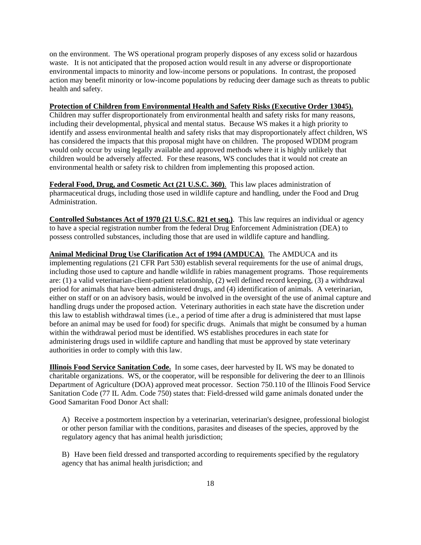on the environment. The WS operational program properly disposes of any excess solid or hazardous waste. It is not anticipated that the proposed action would result in any adverse or disproportionate environmental impacts to minority and low-income persons or populations. In contrast, the proposed action may benefit minority or low-income populations by reducing deer damage such as threats to public health and safety.

### **Protection of Children from Environmental Health and Safety Risks (Executive Order 13045).**

Children may suffer disproportionately from environmental health and safety risks for many reasons, including their developmental, physical and mental status. Because WS makes it a high priority to identify and assess environmental health and safety risks that may disproportionately affect children, WS has considered the impacts that this proposal might have on children. The proposed WDDM program would only occur by using legally available and approved methods where it is highly unlikely that children would be adversely affected. For these reasons, WS concludes that it would not create an environmental health or safety risk to children from implementing this proposed action.

**Federal Food, Drug, and Cosmetic Act (21 U.S.C. 360)**. This law places administration of pharmaceutical drugs, including those used in wildlife capture and handling, under the Food and Drug Administration.

**Controlled Substances Act of 1970 (21 U.S.C. 821 et seq.)**. This law requires an individual or agency to have a special registration number from the federal Drug Enforcement Administration (DEA) to possess controlled substances, including those that are used in wildlife capture and handling.

**Animal Medicinal Drug Use Clarification Act of 1994 (AMDUCA)**. The AMDUCA and its implementing regulations (21 CFR Part 530) establish several requirements for the use of animal drugs, including those used to capture and handle wildlife in rabies management programs. Those requirements are: (1) a valid veterinarian-client-patient relationship, (2) well defined record keeping, (3) a withdrawal period for animals that have been administered drugs, and (4) identification of animals. A veterinarian, either on staff or on an advisory basis, would be involved in the oversight of the use of animal capture and handling drugs under the proposed action. Veterinary authorities in each state have the discretion under this law to establish withdrawal times (i.e., a period of time after a drug is administered that must lapse before an animal may be used for food) for specific drugs. Animals that might be consumed by a human within the withdrawal period must be identified. WS establishes procedures in each state for administering drugs used in wildlife capture and handling that must be approved by state veterinary authorities in order to comply with this law.

**Illinois Food Service Sanitation Code.** In some cases, deer harvested by IL WS may be donated to charitable organizations. WS, or the cooperator, will be responsible for delivering the deer to an Illinois Department of Agriculture (DOA) approved meat processor. Section 750.110 of the Illinois Food Service Sanitation Code (77 IL Adm. Code 750) states that: Field-dressed wild game animals donated under the Good Samaritan Food Donor Act shall:

A) Receive a postmortem inspection by a veterinarian, veterinarian's designee, professional biologist or other person familiar with the conditions, parasites and diseases of the species, approved by the regulatory agency that has animal health jurisdiction;

B) Have been field dressed and transported according to requirements specified by the regulatory agency that has animal health jurisdiction; and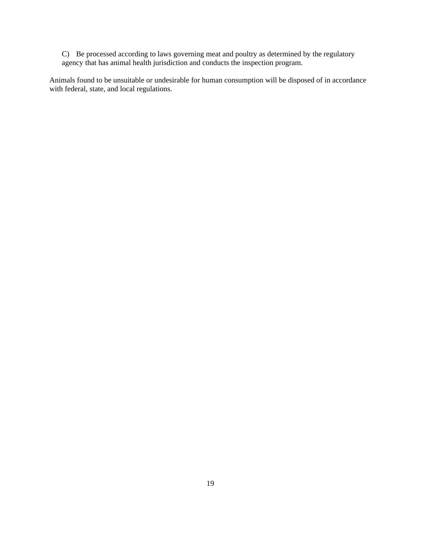C) Be processed according to laws governing meat and poultry as determined by the regulatory agency that has animal health jurisdiction and conducts the inspection program.

Animals found to be unsuitable or undesirable for human consumption will be disposed of in accordance with federal, state, and local regulations.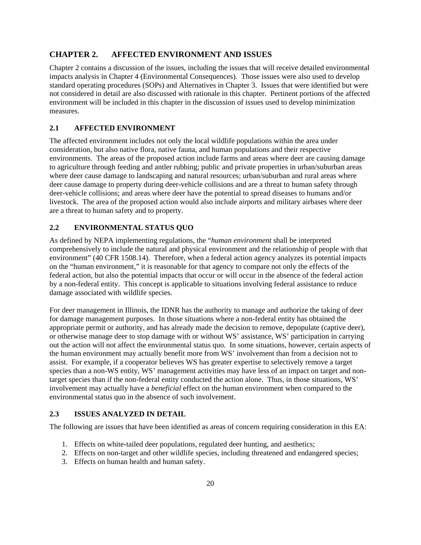# **CHAPTER 2. AFFECTED ENVIRONMENT AND ISSUES**

Chapter 2 contains a discussion of the issues, including the issues that will receive detailed environmental impacts analysis in Chapter 4 (Environmental Consequences). Those issues were also used to develop standard operating procedures (SOPs) and Alternatives in Chapter 3. Issues that were identified but were not considered in detail are also discussed with rationale in this chapter. Pertinent portions of the affected environment will be included in this chapter in the discussion of issues used to develop minimization measures.

# **2.1 AFFECTED ENVIRONMENT**

The affected environment includes not only the local wildlife populations within the area under consideration, but also native flora, native fauna, and human populations and their respective environments. The areas of the proposed action include farms and areas where deer are causing damage to agriculture through feeding and antler rubbing; public and private properties in urban/suburban areas where deer cause damage to landscaping and natural resources; urban/suburban and rural areas where deer cause damage to property during deer-vehicle collisions and are a threat to human safety through deer-vehicle collisions; and areas where deer have the potential to spread diseases to humans and/or livestock. The area of the proposed action would also include airports and military airbases where deer are a threat to human safety and to property.

# **2.2 ENVIRONMENTAL STATUS QUO**

As defined by NEPA implementing regulations, the "*human environment* shall be interpreted comprehensively to include the natural and physical environment and the relationship of people with that environment" (40 CFR 1508.14). Therefore, when a federal action agency analyzes its potential impacts on the "human environment," it is reasonable for that agency to compare not only the effects of the federal action, but also the potential impacts that occur or will occur in the absence of the federal action by a non-federal entity. This concept is applicable to situations involving federal assistance to reduce damage associated with wildlife species.

For deer management in Illinois, the IDNR has the authority to manage and authorize the taking of deer for damage management purposes. In those situations where a non-federal entity has obtained the appropriate permit or authority, and has already made the decision to remove, depopulate (captive deer), or otherwise manage deer to stop damage with or without WS' assistance, WS' participation in carrying out the action will not affect the environmental status quo. In some situations, however, certain aspects of the human environment may actually benefit more from WS' involvement than from a decision not to assist. For example, if a cooperator believes WS has greater expertise to selectively remove a target species than a non-WS entity, WS' management activities may have less of an impact on target and nontarget species than if the non-federal entity conducted the action alone. Thus, in those situations, WS' involvement may actually have a *beneficial* effect on the human environment when compared to the environmental status quo in the absence of such involvement.

# **2.3 ISSUES ANALYZED IN DETAIL**

The following are issues that have been identified as areas of concern requiring consideration in this EA:

- 1. Effects on white-tailed deer populations, regulated deer hunting, and aesthetics;
- 2. Effects on non-target and other wildlife species, including threatened and endangered species;
- 3. Effects on human health and human safety.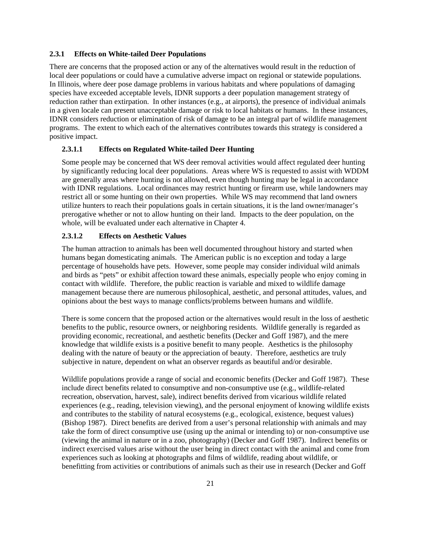#### **2.3.1 Effects on White-tailed Deer Populations**

There are concerns that the proposed action or any of the alternatives would result in the reduction of local deer populations or could have a cumulative adverse impact on regional or statewide populations. In Illinois, where deer pose damage problems in various habitats and where populations of damaging species have exceeded acceptable levels, IDNR supports a deer population management strategy of reduction rather than extirpation. In other instances (e.g., at airports), the presence of individual animals in a given locale can present unacceptable damage or risk to local habitats or humans. In these instances, IDNR considers reduction or elimination of risk of damage to be an integral part of wildlife management programs. The extent to which each of the alternatives contributes towards this strategy is considered a positive impact.

### **2.3.1.1 Effects on Regulated White-tailed Deer Hunting**

Some people may be concerned that WS deer removal activities would affect regulated deer hunting by significantly reducing local deer populations. Areas where WS is requested to assist with WDDM are generally areas where hunting is not allowed, even though hunting may be legal in accordance with IDNR regulations. Local ordinances may restrict hunting or firearm use, while landowners may restrict all or some hunting on their own properties. While WS may recommend that land owners utilize hunters to reach their populations goals in certain situations, it is the land owner/manager's prerogative whether or not to allow hunting on their land. Impacts to the deer population, on the whole, will be evaluated under each alternative in Chapter 4.

### **2.3.1.2 Effects on Aesthetic Values**

The human attraction to animals has been well documented throughout history and started when humans began domesticating animals. The American public is no exception and today a large percentage of households have pets. However, some people may consider individual wild animals and birds as "pets" or exhibit affection toward these animals, especially people who enjoy coming in contact with wildlife. Therefore, the public reaction is variable and mixed to wildlife damage management because there are numerous philosophical, aesthetic, and personal attitudes, values, and opinions about the best ways to manage conflicts/problems between humans and wildlife.

There is some concern that the proposed action or the alternatives would result in the loss of aesthetic benefits to the public, resource owners, or neighboring residents. Wildlife generally is regarded as providing economic, recreational, and aesthetic benefits (Decker and Goff 1987), and the mere knowledge that wildlife exists is a positive benefit to many people. Aesthetics is the philosophy dealing with the nature of beauty or the appreciation of beauty. Therefore, aesthetics are truly subjective in nature, dependent on what an observer regards as beautiful and/or desirable.

Wildlife populations provide a range of social and economic benefits (Decker and Goff 1987). These include direct benefits related to consumptive and non-consumptive use (e.g., wildlife-related recreation, observation, harvest, sale), indirect benefits derived from vicarious wildlife related experiences (e.g., reading, television viewing), and the personal enjoyment of knowing wildlife exists and contributes to the stability of natural ecosystems (e.g., ecological, existence, bequest values) (Bishop 1987). Direct benefits are derived from a user's personal relationship with animals and may take the form of direct consumptive use (using up the animal or intending to) or non-consumptive use (viewing the animal in nature or in a zoo, photography) (Decker and Goff 1987). Indirect benefits or indirect exercised values arise without the user being in direct contact with the animal and come from experiences such as looking at photographs and films of wildlife, reading about wildlife, or benefitting from activities or contributions of animals such as their use in research (Decker and Goff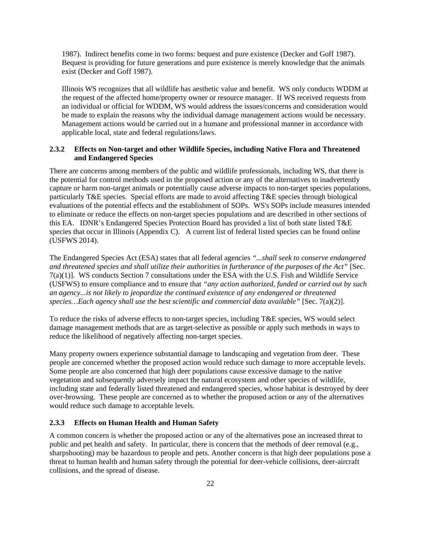1987). Indirect benefits come in two forms: bequest and pure existence (Decker and Goff 1987). Bequest is providing for future generations and pure existence is merely knowledge that the animals exist (Decker and Goff 1987).

Illinois WS recognizes that all wildlife has aesthetic value and benefit. WS only conducts WDDM at the request of the affected home/property owner or resource manager. If WS received requests from an individual or official for WDDM, WS would address the issues/concerns and consideration would be made to explain the reasons why the individual damage management actions would be necessary. Management actions would be carried out in a humane and professional manner in accordance with applicable local, state and federal regulations/laws.

### **2.3.2 Effects on Non-target and other Wildlife Species, including Native Flora and Threatened and Endangered Species**

There are concerns among members of the public and wildlife professionals, including WS, that there is the potential for control methods used in the proposed action or any of the alternatives to inadvertently capture or harm non-target animals or potentially cause adverse impacts to non-target species populations, particularly T&E species. Special efforts are made to avoid affecting T&E species through biological evaluations of the potential effects and the establishment of SOPs. WS's SOPs include measures intended to eliminate or reduce the effects on non-target species populations and are described in other sections of this EA. IDNR's Endangered Species Protection Board has provided a list of both state listed T&E species that occur in Illinois (Appendix C). A current list of federal listed species can be found online (USFWS 2014).

The Endangered Species Act (ESA) states that all federal agencies *"...shall seek to conserve endangered and threatened species and shall utilize their authorities in furtherance of the purposes of the Act"* [Sec. 7(a)(1)]. WS conducts Section 7 consultations under the ESA with the U.S. Fish and Wildlife Service (USFWS) to ensure compliance and to ensure that *"any action authorized, funded or carried out by such an agency...is not likely to jeopardize the continued existence of any endangered or threatened species…Each agency shall use the best scientific and commercial data available"* [Sec. 7(a)(2)].

To reduce the risks of adverse effects to non-target species, including T&E species, WS would select damage management methods that are as target-selective as possible or apply such methods in ways to reduce the likelihood of negatively affecting non-target species.

Many property owners experience substantial damage to landscaping and vegetation from deer. These people are concerned whether the proposed action would reduce such damage to more acceptable levels. Some people are also concerned that high deer populations cause excessive damage to the native vegetation and subsequently adversely impact the natural ecosystem and other species of wildlife, including state and federally listed threatened and endangered species, whose habitat is destroyed by deer over-browsing. These people are concerned as to whether the proposed action or any of the alternatives would reduce such damage to acceptable levels.

### **2.3.3 Effects on Human Health and Human Safety**

A common concern is whether the proposed action or any of the alternatives pose an increased threat to public and pet health and safety. In particular, there is concern that the methods of deer removal (e.g., sharpshooting) may be hazardous to people and pets. Another concern is that high deer populations pose a threat to human health and human safety through the potential for deer-vehicle collisions, deer-aircraft collisions, and the spread of disease.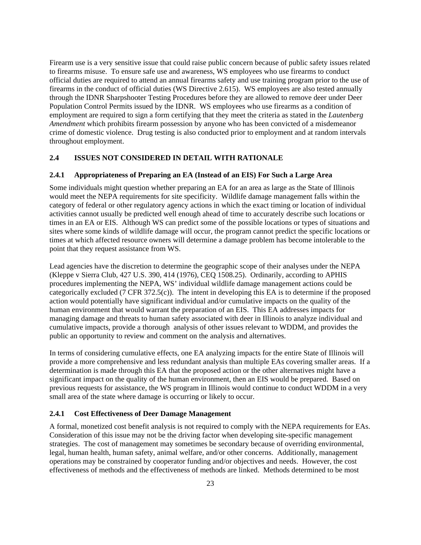Firearm use is a very sensitive issue that could raise public concern because of public safety issues related to firearms misuse. To ensure safe use and awareness, WS employees who use firearms to conduct official duties are required to attend an annual firearms safety and use training program prior to the use of firearms in the conduct of official duties (WS Directive 2.615). WS employees are also tested annually through the IDNR Sharpshooter Testing Procedures before they are allowed to remove deer under Deer Population Control Permits issued by the IDNR. WS employees who use firearms as a condition of employment are required to sign a form certifying that they meet the criteria as stated in the *Lautenberg Amendment* which prohibits firearm possession by anyone who has been convicted of a misdemeanor crime of domestic violence. Drug testing is also conducted prior to employment and at random intervals throughout employment.

# **2.4 ISSUES NOT CONSIDERED IN DETAIL WITH RATIONALE**

### **2.4.1 Appropriateness of Preparing an EA (Instead of an EIS) For Such a Large Area**

Some individuals might question whether preparing an EA for an area as large as the State of Illinois would meet the NEPA requirements for site specificity. Wildlife damage management falls within the category of federal or other regulatory agency actions in which the exact timing or location of individual activities cannot usually be predicted well enough ahead of time to accurately describe such locations or times in an EA or EIS. Although WS can predict some of the possible locations or types of situations and sites where some kinds of wildlife damage will occur, the program cannot predict the specific locations or times at which affected resource owners will determine a damage problem has become intolerable to the point that they request assistance from WS.

Lead agencies have the discretion to determine the geographic scope of their analyses under the NEPA (Kleppe v Sierra Club, 427 U.S. 390, 414 (1976), CEQ 1508.25). Ordinarily, according to APHIS procedures implementing the NEPA, WS' individual wildlife damage management actions could be categorically excluded ( $\overline{7}$  CFR 372.5(c)). The intent in developing this EA is to determine if the proposed action would potentially have significant individual and/or cumulative impacts on the quality of the human environment that would warrant the preparation of an EIS. This EA addresses impacts for managing damage and threats to human safety associated with deer in Illinois to analyze individual and cumulative impacts, provide a thorough analysis of other issues relevant to WDDM, and provides the public an opportunity to review and comment on the analysis and alternatives.

In terms of considering cumulative effects, one EA analyzing impacts for the entire State of Illinois will provide a more comprehensive and less redundant analysis than multiple EAs covering smaller areas. If a determination is made through this EA that the proposed action or the other alternatives might have a significant impact on the quality of the human environment, then an EIS would be prepared. Based on previous requests for assistance, the WS program in Illinois would continue to conduct WDDM in a very small area of the state where damage is occurring or likely to occur.

# **2.4.1 Cost Effectiveness of Deer Damage Management**

A formal, monetized cost benefit analysis is not required to comply with the NEPA requirements for EAs. Consideration of this issue may not be the driving factor when developing site-specific management strategies. The cost of management may sometimes be secondary because of overriding environmental, legal, human health, human safety, animal welfare, and/or other concerns. Additionally, management operations may be constrained by cooperator funding and/or objectives and needs. However, the cost effectiveness of methods and the effectiveness of methods are linked. Methods determined to be most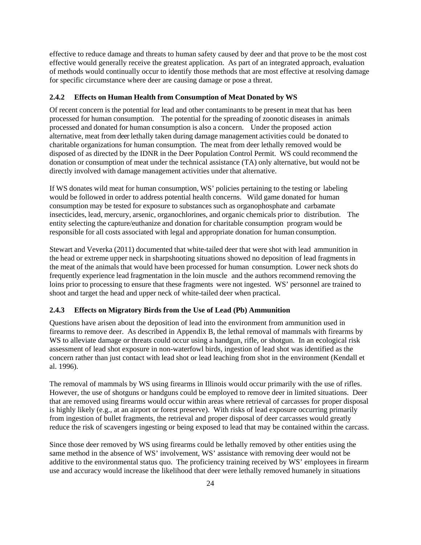effective to reduce damage and threats to human safety caused by deer and that prove to be the most cost effective would generally receive the greatest application. As part of an integrated approach, evaluation of methods would continually occur to identify those methods that are most effective at resolving damage for specific circumstance where deer are causing damage or pose a threat.

### **2.4.2 Effects on Human Health from Consumption of Meat Donated by WS**

Of recent concern is the potential for lead and other contaminants to be present in meat that has been processed for human consumption. The potential for the spreading of zoonotic diseases in animals processed and donated for human consumption is also a concern. Under the proposed action alternative, meat from deer lethally taken during damage management activities could be donated to charitable organizations for human consumption. The meat from deer lethally removed would be disposed of as directed by the IDNR in the Deer Population Control Permit. WS could recommend the donation or consumption of meat under the technical assistance (TA) only alternative, but would not be directly involved with damage management activities under that alternative.

If WS donates wild meat for human consumption, WS' policies pertaining to the testing or labeling would be followed in order to address potential health concerns. Wild game donated for human consumption may be tested for exposure to substances such as organophosphate and carbamate insecticides, lead, mercury, arsenic, organochlorines, and organic chemicals prior to distribution. The entity selecting the capture/euthanize and donation for charitable consumption program would be responsible for all costs associated with legal and appropriate donation for human consumption.

Stewart and Veverka (2011) documented that white-tailed deer that were shot with lead ammunition in the head or extreme upper neck in sharpshooting situations showed no deposition of lead fragments in the meat of the animals that would have been processed for human consumption. Lower neck shots do frequently experience lead fragmentation in the loin muscle and the authors recommend removing the loins prior to processing to ensure that these fragments were not ingested. WS' personnel are trained to shoot and target the head and upper neck of white-tailed deer when practical.

# **2.4.3 Effects on Migratory Birds from the Use of Lead (Pb) Ammunition**

Questions have arisen about the deposition of lead into the environment from ammunition used in firearms to remove deer. As described in Appendix B, the lethal removal of mammals with firearms by WS to alleviate damage or threats could occur using a handgun, rifle, or shotgun. In an ecological risk assessment of lead shot exposure in non-waterfowl birds, ingestion of lead shot was identified as the concern rather than just contact with lead shot or lead leaching from shot in the environment (Kendall et al. 1996).

The removal of mammals by WS using firearms in Illinois would occur primarily with the use of rifles. However, the use of shotguns or handguns could be employed to remove deer in limited situations. Deer that are removed using firearms would occur within areas where retrieval of carcasses for proper disposal is highly likely (e.g., at an airport or forest preserve). With risks of lead exposure occurring primarily from ingestion of bullet fragments, the retrieval and proper disposal of deer carcasses would greatly reduce the risk of scavengers ingesting or being exposed to lead that may be contained within the carcass.

Since those deer removed by WS using firearms could be lethally removed by other entities using the same method in the absence of WS' involvement, WS' assistance with removing deer would not be additive to the environmental status quo. The proficiency training received by WS' employees in firearm use and accuracy would increase the likelihood that deer were lethally removed humanely in situations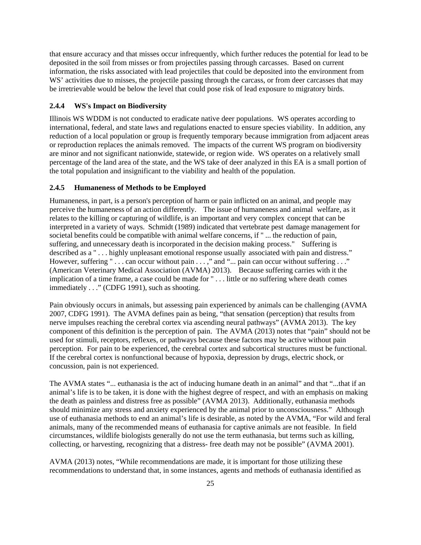that ensure accuracy and that misses occur infrequently, which further reduces the potential for lead to be deposited in the soil from misses or from projectiles passing through carcasses. Based on current information, the risks associated with lead projectiles that could be deposited into the environment from WS' activities due to misses, the projectile passing through the carcass, or from deer carcasses that may be irretrievable would be below the level that could pose risk of lead exposure to migratory birds.

# **2.4.4 WS's Impact on Biodiversity**

Illinois WS WDDM is not conducted to eradicate native deer populations. WS operates according to international, federal, and state laws and regulations enacted to ensure species viability. In addition, any reduction of a local population or group is frequently temporary because immigration from adjacent areas or reproduction replaces the animals removed. The impacts of the current WS program on biodiversity are minor and not significant nationwide, statewide, or region wide. WS operates on a relatively small percentage of the land area of the state, and the WS take of deer analyzed in this EA is a small portion of the total population and insignificant to the viability and health of the population.

#### **2.4.5 Humaneness of Methods to be Employed**

Humaneness, in part, is a person's perception of harm or pain inflicted on an animal, and people may perceive the humaneness of an action differently. The issue of humaneness and animal welfare, as it relates to the killing or capturing of wildlife, is an important and very complex concept that can be interpreted in a variety of ways. Schmidt (1989) indicated that vertebrate pest damage management for societal benefits could be compatible with animal welfare concerns, if " ... the reduction of pain, suffering, and unnecessary death is incorporated in the decision making process." Suffering is described as a " . . . highly unpleasant emotional response usually associated with pain and distress." However, suffering " . . . can occur without pain . . . ," and "... pain can occur without suffering . . ." (American Veterinary Medical Association (AVMA) 2013). Because suffering carries with it the implication of a time frame, a case could be made for " . . . little or no suffering where death comes immediately . . ." (CDFG 1991), such as shooting.

Pain obviously occurs in animals, but assessing pain experienced by animals can be challenging (AVMA 2007, CDFG 1991). The AVMA defines pain as being, "that sensation (perception) that results from nerve impulses reaching the cerebral cortex via ascending neural pathways" (AVMA 2013). The key component of this definition is the perception of pain. The AVMA (2013) notes that "pain" should not be used for stimuli, receptors, reflexes, or pathways because these factors may be active without pain perception. For pain to be experienced, the cerebral cortex and subcortical structures must be functional. If the cerebral cortex is nonfunctional because of hypoxia, depression by drugs, electric shock, or concussion, pain is not experienced.

The AVMA states "... euthanasia is the act of inducing humane death in an animal" and that "...that if an animal's life is to be taken, it is done with the highest degree of respect, and with an emphasis on making the death as painless and distress free as possible" (AVMA 2013). Additionally, euthanasia methods should minimize any stress and anxiety experienced by the animal prior to unconsciousness." Although use of euthanasia methods to end an animal's life is desirable, as noted by the AVMA, "For wild and feral animals, many of the recommended means of euthanasia for captive animals are not feasible. In field circumstances, wildlife biologists generally do not use the term euthanasia, but terms such as killing, collecting, or harvesting, recognizing that a distress- free death may not be possible" (AVMA 2001).

AVMA (2013) notes, "While recommendations are made, it is important for those utilizing these recommendations to understand that, in some instances, agents and methods of euthanasia identified as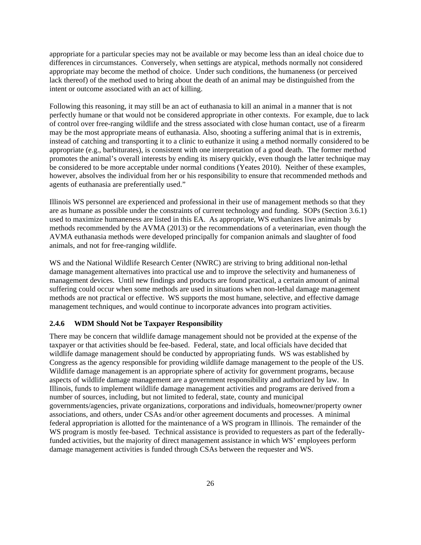appropriate for a particular species may not be available or may become less than an ideal choice due to differences in circumstances. Conversely, when settings are atypical, methods normally not considered appropriate may become the method of choice. Under such conditions, the humaneness (or perceived lack thereof) of the method used to bring about the death of an animal may be distinguished from the intent or outcome associated with an act of killing.

Following this reasoning, it may still be an act of euthanasia to kill an animal in a manner that is not perfectly humane or that would not be considered appropriate in other contexts. For example, due to lack of control over free-ranging wildlife and the stress associated with close human contact, use of a firearm may be the most appropriate means of euthanasia. Also, shooting a suffering animal that is in extremis, instead of catching and transporting it to a clinic to euthanize it using a method normally considered to be appropriate (e.g., barbiturates), is consistent with one interpretation of a good death. The former method promotes the animal's overall interests by ending its misery quickly, even though the latter technique may be considered to be more acceptable under normal conditions (Yeates 2010). Neither of these examples, however, absolves the individual from her or his responsibility to ensure that recommended methods and agents of euthanasia are preferentially used."

Illinois WS personnel are experienced and professional in their use of management methods so that they are as humane as possible under the constraints of current technology and funding. SOPs (Section 3.6.1) used to maximize humaneness are listed in this EA. As appropriate, WS euthanizes live animals by methods recommended by the AVMA (2013) or the recommendations of a veterinarian, even though the AVMA euthanasia methods were developed principally for companion animals and slaughter of food animals, and not for free-ranging wildlife.

WS and the National Wildlife Research Center (NWRC) are striving to bring additional non-lethal damage management alternatives into practical use and to improve the selectivity and humaneness of management devices. Until new findings and products are found practical, a certain amount of animal suffering could occur when some methods are used in situations when non-lethal damage management methods are not practical or effective. WS supports the most humane, selective, and effective damage management techniques, and would continue to incorporate advances into program activities.

### **2.4.6 WDM Should Not be Taxpayer Responsibility**

There may be concern that wildlife damage management should not be provided at the expense of the taxpayer or that activities should be fee-based. Federal, state, and local officials have decided that wildlife damage management should be conducted by appropriating funds. WS was established by Congress as the agency responsible for providing wildlife damage management to the people of the US. Wildlife damage management is an appropriate sphere of activity for government programs, because aspects of wildlife damage management are a government responsibility and authorized by law. In Illinois, funds to implement wildlife damage management activities and programs are derived from a number of sources, including, but not limited to federal, state, county and municipal governments/agencies, private organizations, corporations and individuals, homeowner/property owner associations, and others, under CSAs and/or other agreement documents and processes. A minimal federal appropriation is allotted for the maintenance of a WS program in Illinois. The remainder of the WS program is mostly fee-based. Technical assistance is provided to requesters as part of the federallyfunded activities, but the majority of direct management assistance in which WS' employees perform damage management activities is funded through CSAs between the requester and WS.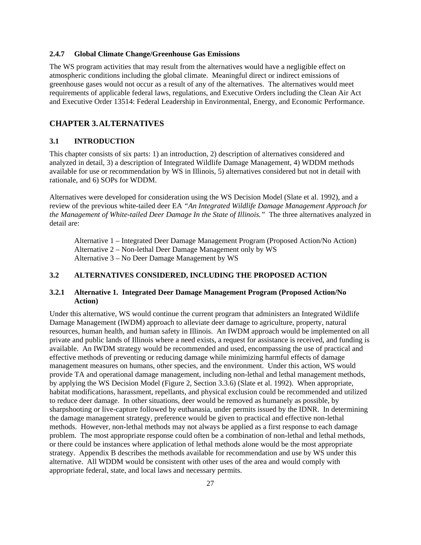#### **2.4.7 Global Climate Change/Greenhouse Gas Emissions**

The WS program activities that may result from the alternatives would have a negligible effect on atmospheric conditions including the global climate. Meaningful direct or indirect emissions of greenhouse gases would not occur as a result of any of the alternatives. The alternatives would meet requirements of applicable federal laws, regulations, and Executive Orders including the Clean Air Act and Executive Order 13514: Federal Leadership in Environmental, Energy, and Economic Performance.

### **CHAPTER 3.ALTERNATIVES**

# **3.1 INTRODUCTION**

This chapter consists of six parts: 1) an introduction, 2) description of alternatives considered and analyzed in detail, 3) a description of Integrated Wildlife Damage Management, 4) WDDM methods available for use or recommendation by WS in Illinois, 5) alternatives considered but not in detail with rationale, and 6) SOPs for WDDM.

Alternatives were developed for consideration using the WS Decision Model (Slate et al. 1992), and a review of the previous white-tailed deer EA *"An Integrated Wildlife Damage Management Approach for the Management of White-tailed Deer Damage In the State of Illinois."* The three alternatives analyzed in detail are:

Alternative 1 – Integrated Deer Damage Management Program (Proposed Action/No Action) Alternative 2 – Non-lethal Deer Damage Management only by WS Alternative 3 – No Deer Damage Management by WS

# **3.2 ALTERNATIVES CONSIDERED, INCLUDING THE PROPOSED ACTION**

# **3.2.1 Alternative 1. Integrated Deer Damage Management Program (Proposed Action/No Action)**

Under this alternative, WS would continue the current program that administers an Integrated Wildlife Damage Management (IWDM) approach to alleviate deer damage to agriculture, property, natural resources, human health, and human safety in Illinois. An IWDM approach would be implemented on all private and public lands of Illinois where a need exists, a request for assistance is received, and funding is available. An IWDM strategy would be recommended and used, encompassing the use of practical and effective methods of preventing or reducing damage while minimizing harmful effects of damage management measures on humans, other species, and the environment. Under this action, WS would provide TA and operational damage management, including non-lethal and lethal management methods, by applying the WS Decision Model (Figure 2, Section 3.3.6) (Slate et al. 1992). When appropriate, habitat modifications, harassment, repellants, and physical exclusion could be recommended and utilized to reduce deer damage. In other situations, deer would be removed as humanely as possible, by sharpshooting or live-capture followed by euthanasia, under permits issued by the IDNR. In determining the damage management strategy, preference would be given to practical and effective non-lethal methods. However, non-lethal methods may not always be applied as a first response to each damage problem. The most appropriate response could often be a combination of non-lethal and lethal methods, or there could be instances where application of lethal methods alone would be the most appropriate strategy. Appendix B describes the methods available for recommendation and use by WS under this alternative. All WDDM would be consistent with other uses of the area and would comply with appropriate federal, state, and local laws and necessary permits.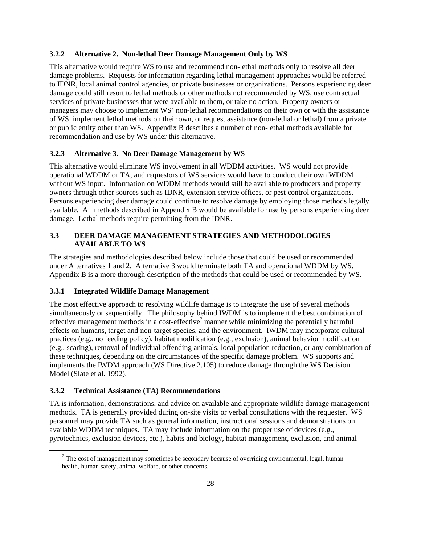### **3.2.2 Alternative 2. Non-lethal Deer Damage Management Only by WS**

This alternative would require WS to use and recommend non-lethal methods only to resolve all deer damage problems. Requests for information regarding lethal management approaches would be referred to IDNR, local animal control agencies, or private businesses or organizations. Persons experiencing deer damage could still resort to lethal methods or other methods not recommended by WS, use contractual services of private businesses that were available to them, or take no action. Property owners or managers may choose to implement WS' non-lethal recommendations on their own or with the assistance of WS, implement lethal methods on their own, or request assistance (non-lethal or lethal) from a private or public entity other than WS. Appendix B describes a number of non-lethal methods available for recommendation and use by WS under this alternative.

### **3.2.3 Alternative 3. No Deer Damage Management by WS**

This alternative would eliminate WS involvement in all WDDM activities. WS would not provide operational WDDM or TA, and requestors of WS services would have to conduct their own WDDM without WS input. Information on WDDM methods would still be available to producers and property owners through other sources such as IDNR, extension service offices, or pest control organizations. Persons experiencing deer damage could continue to resolve damage by employing those methods legally available. All methods described in Appendix B would be available for use by persons experiencing deer damage. Lethal methods require permitting from the IDNR.

# **3.3 DEER DAMAGE MANAGEMENT STRATEGIES AND METHODOLOGIES AVAILABLE TO WS**

The strategies and methodologies described below include those that could be used or recommended under Alternatives 1 and 2. Alternative 3 would terminate both TA and operational WDDM by WS. Appendix B is a more thorough description of the methods that could be used or recommended by WS.

### **3.3.1 Integrated Wildlife Damage Management**

The most effective approach to resolving wildlife damage is to integrate the use of several methods simultaneously or sequentially. The philosophy behind IWDM is to implement the best combination of effective management methods in a cost-effective<sup>2</sup> manner while minimizing the potentially harmful effects on humans, target and non-target species, and the environment. IWDM may incorporate cultural practices (e.g., no feeding policy), habitat modification (e.g., exclusion), animal behavior modification (e.g., scaring), removal of individual offending animals, local population reduction, or any combination of these techniques, depending on the circumstances of the specific damage problem. WS supports and implements the IWDM approach (WS Directive 2.105) to reduce damage through the WS Decision Model (Slate et al. 1992).

#### **3.3.2 Technical Assistance (TA) Recommendations**

TA is information, demonstrations, and advice on available and appropriate wildlife damage management methods. TA is generally provided during on-site visits or verbal consultations with the requester. WS personnel may provide TA such as general information, instructional sessions and demonstrations on available WDDM techniques. TA may include information on the proper use of devices (e.g., pyrotechnics, exclusion devices, etc.), habits and biology, habitat management, exclusion, and animal

 $2$  The cost of management may sometimes be secondary because of overriding environmental, legal, human health, human safety, animal welfare, or other concerns.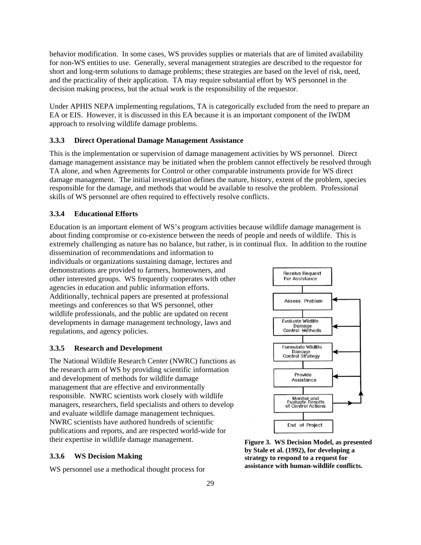behavior modification. In some cases, WS provides supplies or materials that are of limited availability for non-WS entities to use. Generally, several management strategies are described to the requestor for short and long-term solutions to damage problems; these strategies are based on the level of risk, need, and the practicality of their application. TA may require substantial effort by WS personnel in the decision making process, but the actual work is the responsibility of the requestor.

Under APHIS NEPA implementing regulations, TA is categorically excluded from the need to prepare an EA or EIS. However, it is discussed in this EA because it is an important component of the IWDM approach to resolving wildlife damage problems.

#### **3.3.3 Direct Operational Damage Management Assistance**

This is the implementation or supervision of damage management activities by WS personnel. Direct damage management assistance may be initiated when the problem cannot effectively be resolved through TA alone, and when Agreements for Control or other comparable instruments provide for WS direct damage management. The initial investigation defines the nature, history, extent of the problem, species responsible for the damage, and methods that would be available to resolve the problem. Professional skills of WS personnel are often required to effectively resolve conflicts.

#### **3.3.4 Educational Efforts**

Education is an important element of WS's program activities because wildlife damage management is about finding compromise or co-existence between the needs of people and needs of wildlife. This is extremely challenging as nature has no balance, but rather, is in continual flux. In addition to the routine

dissemination of recommendations and information to individuals or organizations sustaining damage, lectures and demonstrations are provided to farmers, homeowners, and other interested groups. WS frequently cooperates with other agencies in education and public information efforts. Additionally, technical papers are presented at professional meetings and conferences so that WS personnel, other wildlife professionals, and the public are updated on recent developments in damage management technology, laws and regulations, and agency policies.

### **3.3.5 Research and Development**

The National Wildlife Research Center (NWRC) functions as the research arm of WS by providing scientific information and development of methods for wildlife damage management that are effective and environmentally responsible. NWRC scientists work closely with wildlife managers, researchers, field specialists and others to develop and evaluate wildlife damage management techniques. NWRC scientists have authored hundreds of scientific publications and reports, and are respected world-wide for their expertise in wildlife damage management.

### **3.3.6 WS Decision Making**

WS personnel use a methodical thought process for



**Figure 3. WS Decision Model, as presented by Stale et al. (1992), for developing a strategy to respond to a request for assistance with human-wildlife conflicts.**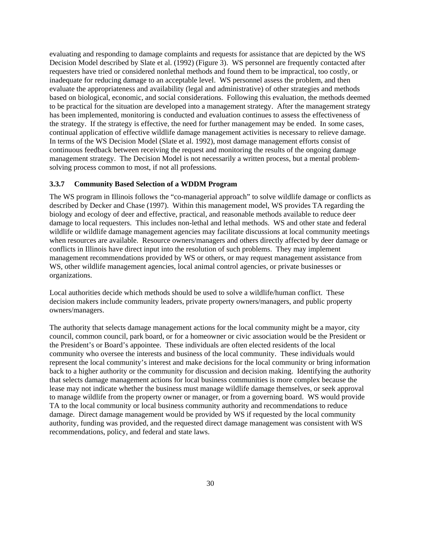evaluating and responding to damage complaints and requests for assistance that are depicted by the WS Decision Model described by Slate et al. (1992) (Figure 3). WS personnel are frequently contacted after requesters have tried or considered nonlethal methods and found them to be impractical, too costly, or inadequate for reducing damage to an acceptable level. WS personnel assess the problem, and then evaluate the appropriateness and availability (legal and administrative) of other strategies and methods based on biological, economic, and social considerations. Following this evaluation, the methods deemed to be practical for the situation are developed into a management strategy. After the management strategy has been implemented, monitoring is conducted and evaluation continues to assess the effectiveness of the strategy. If the strategy is effective, the need for further management may be ended. In some cases, continual application of effective wildlife damage management activities is necessary to relieve damage. In terms of the WS Decision Model (Slate et al. 1992), most damage management efforts consist of continuous feedback between receiving the request and monitoring the results of the ongoing damage management strategy. The Decision Model is not necessarily a written process, but a mental problemsolving process common to most, if not all professions.

### **3.3.7 Community Based Selection of a WDDM Program**

The WS program in Illinois follows the "co-managerial approach" to solve wildlife damage or conflicts as described by Decker and Chase (1997). Within this management model, WS provides TA regarding the biology and ecology of deer and effective, practical, and reasonable methods available to reduce deer damage to local requesters. This includes non-lethal and lethal methods. WS and other state and federal wildlife or wildlife damage management agencies may facilitate discussions at local community meetings when resources are available. Resource owners/managers and others directly affected by deer damage or conflicts in Illinois have direct input into the resolution of such problems. They may implement management recommendations provided by WS or others, or may request management assistance from WS, other wildlife management agencies, local animal control agencies, or private businesses or organizations.

Local authorities decide which methods should be used to solve a wildlife/human conflict. These decision makers include community leaders, private property owners/managers, and public property owners/managers.

The authority that selects damage management actions for the local community might be a mayor, city council, common council, park board, or for a homeowner or civic association would be the President or the President's or Board's appointee. These individuals are often elected residents of the local community who oversee the interests and business of the local community. These individuals would represent the local community's interest and make decisions for the local community or bring information back to a higher authority or the community for discussion and decision making. Identifying the authority that selects damage management actions for local business communities is more complex because the lease may not indicate whether the business must manage wildlife damage themselves, or seek approval to manage wildlife from the property owner or manager, or from a governing board. WS would provide TA to the local community or local business community authority and recommendations to reduce damage. Direct damage management would be provided by WS if requested by the local community authority, funding was provided, and the requested direct damage management was consistent with WS recommendations, policy, and federal and state laws.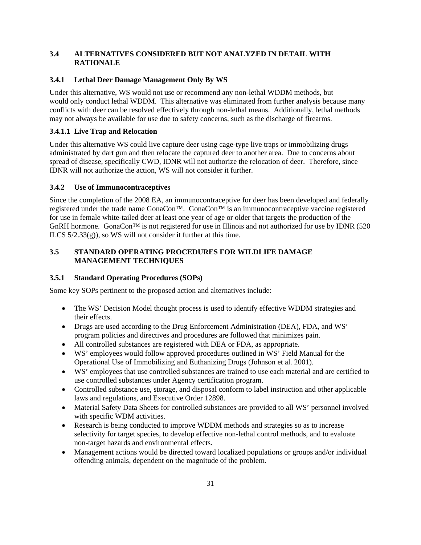# **3.4 ALTERNATIVES CONSIDERED BUT NOT ANALYZED IN DETAIL WITH RATIONALE**

# **3.4.1 Lethal Deer Damage Management Only By WS**

Under this alternative, WS would not use or recommend any non-lethal WDDM methods, but would only conduct lethal WDDM. This alternative was eliminated from further analysis because many conflicts with deer can be resolved effectively through non-lethal means. Additionally, lethal methods may not always be available for use due to safety concerns, such as the discharge of firearms.

# **3.4.1.1 Live Trap and Relocation**

Under this alternative WS could live capture deer using cage-type live traps or immobilizing drugs administrated by dart gun and then relocate the captured deer to another area. Due to concerns about spread of disease, specifically CWD, IDNR will not authorize the relocation of deer. Therefore, since IDNR will not authorize the action, WS will not consider it further.

# **3.4.2 Use of Immunocontraceptives**

Since the completion of the 2008 EA, an immunocontraceptive for deer has been developed and federally registered under the trade name GonaCon™. GonaCon™ is an immunocontraceptive vaccine registered for use in female white-tailed deer at least one year of age or older that targets the production of the GnRH hormone. GonaCon<sup>TM</sup> is not registered for use in Illinois and not authorized for use by IDNR (520) ILCS  $5/2.33(g)$ , so WS will not consider it further at this time.

# **3.5 STANDARD OPERATING PROCEDURES FOR WILDLIFE DAMAGE MANAGEMENT TECHNIQUES**

### **3.5.1 Standard Operating Procedures (SOPs)**

Some key SOPs pertinent to the proposed action and alternatives include:

- The WS' Decision Model thought process is used to identify effective WDDM strategies and their effects.
- Drugs are used according to the Drug Enforcement Administration (DEA), FDA, and WS' program policies and directives and procedures are followed that minimizes pain.
- All controlled substances are registered with DEA or FDA, as appropriate.
- WS' employees would follow approved procedures outlined in WS' Field Manual for the Operational Use of Immobilizing and Euthanizing Drugs (Johnson et al. 2001).
- WS' employees that use controlled substances are trained to use each material and are certified to use controlled substances under Agency certification program.
- Controlled substance use, storage, and disposal conform to label instruction and other applicable laws and regulations, and Executive Order 12898.
- Material Safety Data Sheets for controlled substances are provided to all WS' personnel involved with specific WDM activities.
- Research is being conducted to improve WDDM methods and strategies so as to increase selectivity for target species, to develop effective non-lethal control methods, and to evaluate non-target hazards and environmental effects.
- Management actions would be directed toward localized populations or groups and/or individual offending animals, dependent on the magnitude of the problem.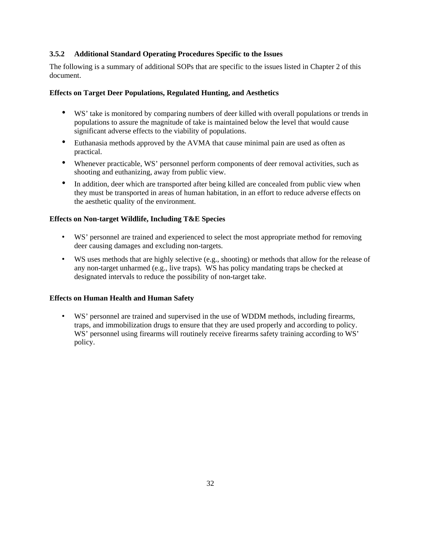# **3.5.2 Additional Standard Operating Procedures Specific to the Issues**

The following is a summary of additional SOPs that are specific to the issues listed in Chapter 2 of this document.

### **Effects on Target Deer Populations, Regulated Hunting, and Aesthetics**

- WS' take is monitored by comparing numbers of deer killed with overall populations or trends in populations to assure the magnitude of take is maintained below the level that would cause significant adverse effects to the viability of populations.
- Euthanasia methods approved by the AVMA that cause minimal pain are used as often as practical.
- Whenever practicable, WS' personnel perform components of deer removal activities, such as shooting and euthanizing, away from public view.
- In addition, deer which are transported after being killed are concealed from public view when they must be transported in areas of human habitation, in an effort to reduce adverse effects on the aesthetic quality of the environment.

# **Effects on Non-target Wildlife, Including T&E Species**

- WS' personnel are trained and experienced to select the most appropriate method for removing deer causing damages and excluding non-targets.
- WS uses methods that are highly selective (e.g., shooting) or methods that allow for the release of any non-target unharmed (e.g., live traps). WS has policy mandating traps be checked at designated intervals to reduce the possibility of non-target take.

### **Effects on Human Health and Human Safety**

• WS' personnel are trained and supervised in the use of WDDM methods, including firearms, traps, and immobilization drugs to ensure that they are used properly and according to policy. WS' personnel using firearms will routinely receive firearms safety training according to WS' policy.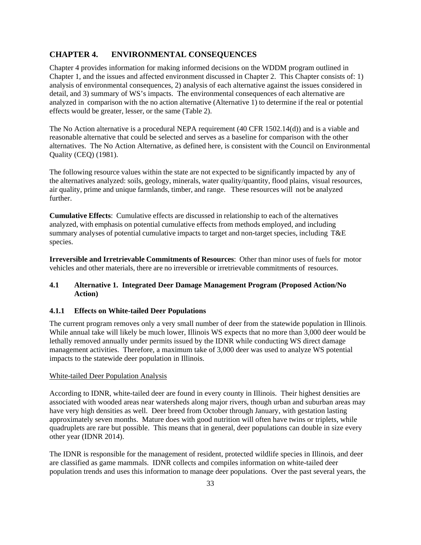# **CHAPTER 4. ENVIRONMENTAL CONSEQUENCES**

Chapter 4 provides information for making informed decisions on the WDDM program outlined in Chapter 1, and the issues and affected environment discussed in Chapter 2. This Chapter consists of: 1) analysis of environmental consequences, 2) analysis of each alternative against the issues considered in detail, and 3) summary of WS's impacts. The environmental consequences of each alternative are analyzed in comparison with the no action alternative (Alternative 1) to determine if the real or potential effects would be greater, lesser, or the same (Table 2).

The No Action alternative is a procedural NEPA requirement (40 CFR 1502.14(d)) and is a viable and reasonable alternative that could be selected and serves as a baseline for comparison with the other alternatives. The No Action Alternative, as defined here, is consistent with the Council on Environmental Quality (CEQ) (1981).

The following resource values within the state are not expected to be significantly impacted by any of the alternatives analyzed: soils, geology, minerals, water quality/quantity, flood plains, visual resources, air quality, prime and unique farmlands, timber, and range. These resources will not be analyzed further.

**Cumulative Effects**: Cumulative effects are discussed in relationship to each of the alternatives analyzed, with emphasis on potential cumulative effects from methods employed, and including summary analyses of potential cumulative impacts to target and non-target species, including T&E species.

**Irreversible and Irretrievable Commitments of Resources**: Other than minor uses of fuels for motor vehicles and other materials, there are no irreversible or irretrievable commitments of resources.

# **4.1 Alternative 1. Integrated Deer Damage Management Program (Proposed Action/No Action)**

# **4.1.1 Effects on White-tailed Deer Populations**

The current program removes only a very small number of deer from the statewide population in Illinois. While annual take will likely be much lower, Illinois WS expects that no more than 3,000 deer would be lethally removed annually under permits issued by the IDNR while conducting WS direct damage management activities. Therefore, a maximum take of 3,000 deer was used to analyze WS potential impacts to the statewide deer population in Illinois.

### White-tailed Deer Population Analysis

According to IDNR, white-tailed deer are found in every county in Illinois. Their highest densities are associated with wooded areas near watersheds along major rivers, though urban and suburban areas may have very high densities as well. Deer breed from October through January, with gestation lasting approximately seven months. Mature does with good nutrition will often have twins or triplets, while quadruplets are rare but possible. This means that in general, deer populations can double in size every other year (IDNR 2014).

The IDNR is responsible for the management of resident, protected wildlife species in Illinois, and deer are classified as game mammals. IDNR collects and compiles information on white-tailed deer population trends and uses this information to manage deer populations. Over the past several years, the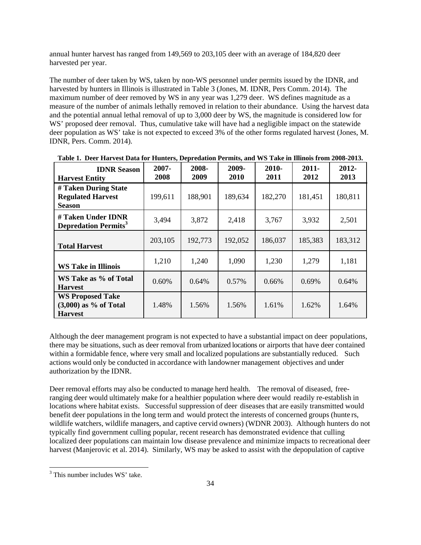annual hunter harvest has ranged from 149,569 to 203,105 deer with an average of 184,820 deer harvested per year.

The number of deer taken by WS, taken by non-WS personnel under permits issued by the IDNR, and harvested by hunters in Illinois is illustrated in Table 3 (Jones, M. IDNR, Pers Comm. 2014). The maximum number of deer removed by WS in any year was 1,279 deer. WS defines magnitude as a measure of the number of animals lethally removed in relation to their abundance. Using the harvest data and the potential annual lethal removal of up to 3,000 deer by WS, the magnitude is considered low for WS' proposed deer removal. Thus, cumulative take will have had a negligible impact on the statewide deer population as WS' take is not expected to exceed 3% of the other forms regulated harvest (Jones, M. IDNR, Pers. Comm. 2014).

| <b>IDNR Season</b><br><b>Harvest Entity</b>                          | $2007 -$<br>2008 | 2008-<br>2009 | 2009-<br>2010 | 2010-<br>2011 | $2011 -$<br>2012 | $2012 -$<br>2013 |
|----------------------------------------------------------------------|------------------|---------------|---------------|---------------|------------------|------------------|
| # Taken During State<br><b>Regulated Harvest</b><br><b>Season</b>    | 199,611          | 188,901       | 189,634       | 182,270       | 181,451          | 180,811          |
| # Taken Under IDNR<br><b>Depredation Permits</b> <sup>3</sup>        | 3,494            | 3,872         | 2,418         | 3,767         | 3,932            | 2,501            |
| <b>Total Harvest</b>                                                 | 203,105          | 192,773       | 192,052       | 186,037       | 185,383          | 183,312          |
| <b>WS Take in Illinois</b>                                           | 1,210            | 1,240         | 1,090         | 1,230         | 1,279            | 1,181            |
| WS Take as % of Total<br><b>Harvest</b>                              | 0.60%            | 0.64%         | 0.57%         | 0.66%         | 0.69%            | 0.64%            |
| <b>WS Proposed Take</b><br>$(3,000)$ as % of Total<br><b>Harvest</b> | 1.48%            | 1.56%         | 1.56%         | 1.61%         | 1.62%            | 1.64%            |

| Table 1. Deer Harvest Data for Hunters, Depredation Permits, and WS Take in Illinois from 2008-2013. |  |  |  |
|------------------------------------------------------------------------------------------------------|--|--|--|
|------------------------------------------------------------------------------------------------------|--|--|--|

Although the deer management program is not expected to have a substantial impact on deer populations, there may be situations, such as deer removal from urbanized locations or airports that have deer contained within a formidable fence, where very small and localized populations are substantially reduced. Such actions would only be conducted in accordance with landowner management objectives and under authorization by the IDNR.

Deer removal efforts may also be conducted to manage herd health. The removal of diseased, freeranging deer would ultimately make for a healthier population where deer would readily re-establish in locations where habitat exists. Successful suppression of deer diseases that are easily transmitted would benefit deer populations in the long term and would protect the interests of concerned groups (hunte rs, wildlife watchers, wildlife managers, and captive cervid owners) (WDNR 2003). Although hunters do not typically find government culling popular, recent research has demonstrated evidence that culling localized deer populations can maintain low disease prevalence and minimize impacts to recreational deer harvest (Manjerovic et al. 2014). Similarly, WS may be asked to assist with the depopulation of captive

l

<sup>&</sup>lt;sup>3</sup> This number includes WS' take.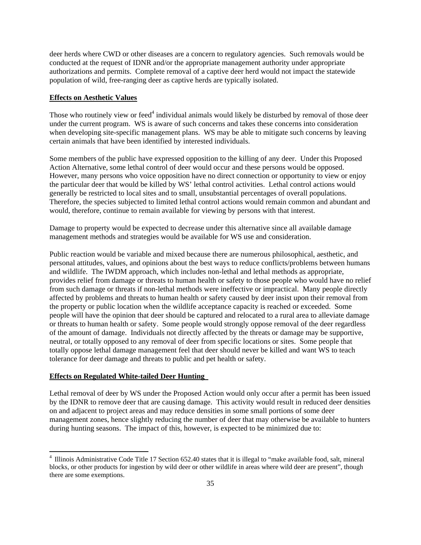deer herds where CWD or other diseases are a concern to regulatory agencies. Such removals would be conducted at the request of IDNR and/or the appropriate management authority under appropriate authorizations and permits. Complete removal of a captive deer herd would not impact the statewide population of wild, free-ranging deer as captive herds are typically isolated.

### **Effects on Aesthetic Values**

Those who routinely view or feed<sup>4</sup> individual animals would likely be disturbed by removal of those deer under the current program. WS is aware of such concerns and takes these concerns into consideration when developing site-specific management plans. WS may be able to mitigate such concerns by leaving certain animals that have been identified by interested individuals.

Some members of the public have expressed opposition to the killing of any deer. Under this Proposed Action Alternative, some lethal control of deer would occur and these persons would be opposed. However, many persons who voice opposition have no direct connection or opportunity to view or enjoy the particular deer that would be killed by WS' lethal control activities. Lethal control actions would generally be restricted to local sites and to small, unsubstantial percentages of overall populations. Therefore, the species subjected to limited lethal control actions would remain common and abundant and would, therefore, continue to remain available for viewing by persons with that interest.

Damage to property would be expected to decrease under this alternative since all available damage management methods and strategies would be available for WS use and consideration.

Public reaction would be variable and mixed because there are numerous philosophical, aesthetic, and personal attitudes, values, and opinions about the best ways to reduce conflicts/problems between humans and wildlife. The IWDM approach, which includes non-lethal and lethal methods as appropriate, provides relief from damage or threats to human health or safety to those people who would have no relief from such damage or threats if non-lethal methods were ineffective or impractical. Many people directly affected by problems and threats to human health or safety caused by deer insist upon their removal from the property or public location when the wildlife acceptance capacity is reached or exceeded. Some people will have the opinion that deer should be captured and relocated to a rural area to alleviate damage or threats to human health or safety. Some people would strongly oppose removal of the deer regardless of the amount of damage. Individuals not directly affected by the threats or damage may be supportive, neutral, or totally opposed to any removal of deer from specific locations or sites. Some people that totally oppose lethal damage management feel that deer should never be killed and want WS to teach tolerance for deer damage and threats to public and pet health or safety.

### **Effects on Regulated White-tailed Deer Hunting**

l

Lethal removal of deer by WS under the Proposed Action would only occur after a permit has been issued by the IDNR to remove deer that are causing damage. This activity would result in reduced deer densities on and adjacent to project areas and may reduce densities in some small portions of some deer management zones, hence slightly reducing the number of deer that may otherwise be available to hunters during hunting seasons. The impact of this, however, is expected to be minimized due to:

<sup>&</sup>lt;sup>4</sup> Illinois Administrative Code Title 17 Section 652.40 states that it is illegal to "make available food, salt, mineral blocks, or other products for ingestion by wild deer or other wildlife in areas where wild deer are present", though there are some exemptions.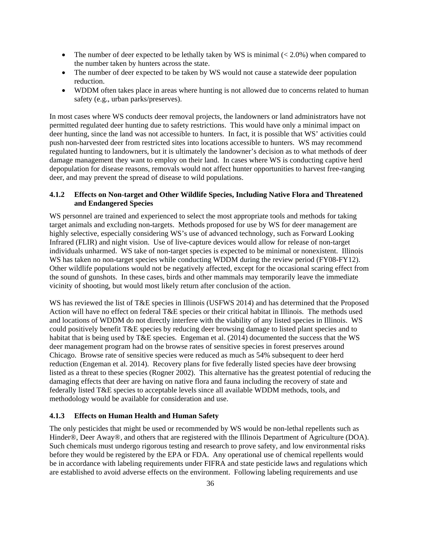- The number of deer expected to be lethally taken by WS is minimal  $( $2.0\%$ )$  when compared to the number taken by hunters across the state.
- The number of deer expected to be taken by WS would not cause a statewide deer population reduction.
- WDDM often takes place in areas where hunting is not allowed due to concerns related to human safety (e.g., urban parks/preserves).

In most cases where WS conducts deer removal projects, the landowners or land administrators have not permitted regulated deer hunting due to safety restrictions. This would have only a minimal impact on deer hunting, since the land was not accessible to hunters. In fact, it is possible that WS' activities could push non-harvested deer from restricted sites into locations accessible to hunters. WS may recommend regulated hunting to landowners, but it is ultimately the landowner's decision as to what methods of deer damage management they want to employ on their land. In cases where WS is conducting captive herd depopulation for disease reasons, removals would not affect hunter opportunities to harvest free-ranging deer, and may prevent the spread of disease to wild populations.

# **4.1.2 Effects on Non-target and Other Wildlife Species, Including Native Flora and Threatened and Endangered Species**

WS personnel are trained and experienced to select the most appropriate tools and methods for taking target animals and excluding non-targets. Methods proposed for use by WS for deer management are highly selective, especially considering WS's use of advanced technology, such as Forward Looking Infrared (FLIR) and night vision. Use of live-capture devices would allow for release of non-target individuals unharmed. WS take of non-target species is expected to be minimal or nonexistent. Illinois WS has taken no non-target species while conducting WDDM during the review period (FY08-FY12). Other wildlife populations would not be negatively affected, except for the occasional scaring effect from the sound of gunshots. In these cases, birds and other mammals may temporarily leave the immediate vicinity of shooting, but would most likely return after conclusion of the action.

WS has reviewed the list of T&E species in Illinois (USFWS 2014) and has determined that the Proposed Action will have no effect on federal T&E species or their critical habitat in Illinois. The methods used and locations of WDDM do not directly interfere with the viability of any listed species in Illinois. WS could positively benefit T&E species by reducing deer browsing damage to listed plant species and to habitat that is being used by T&E species. Engeman et al. (2014) documented the success that the WS deer management program had on the browse rates of sensitive species in forest preserves around Chicago. Browse rate of sensitive species were reduced as much as 54% subsequent to deer herd reduction (Engeman et al. 2014). Recovery plans for five federally listed species have deer browsing listed as a threat to these species (Rogner 2002). This alternative has the greatest potential of reducing the damaging effects that deer are having on native flora and fauna including the recovery of state and federally listed T&E species to acceptable levels since all available WDDM methods, tools, and methodology would be available for consideration and use.

### **4.1.3 Effects on Human Health and Human Safety**

The only pesticides that might be used or recommended by WS would be non-lethal repellents such as Hinder®, Deer Away®, and others that are registered with the Illinois Department of Agriculture (DOA). Such chemicals must undergo rigorous testing and research to prove safety, and low environmental risks before they would be registered by the EPA or FDA. Any operational use of chemical repellents would be in accordance with labeling requirements under FIFRA and state pesticide laws and regulations which are established to avoid adverse effects on the environment. Following labeling requirements and use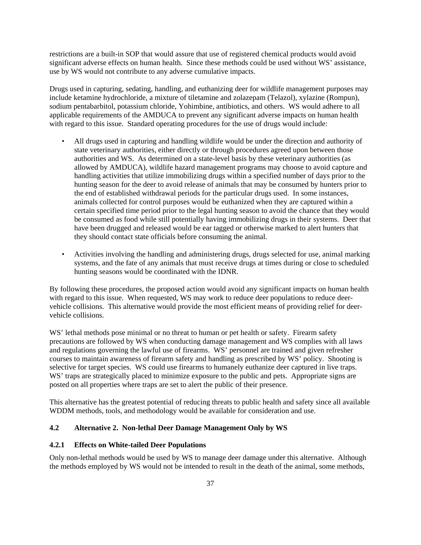restrictions are a built-in SOP that would assure that use of registered chemical products would avoid significant adverse effects on human health. Since these methods could be used without WS' assistance, use by WS would not contribute to any adverse cumulative impacts.

Drugs used in capturing, sedating, handling, and euthanizing deer for wildlife management purposes may include ketamine hydrochloride, a mixture of tiletamine and zolazepam (Telazol), xylazine (Rompun), sodium pentabarbitol, potassium chloride, Yohimbine, antibiotics, and others. WS would adhere to all applicable requirements of the AMDUCA to prevent any significant adverse impacts on human health with regard to this issue. Standard operating procedures for the use of drugs would include:

- All drugs used in capturing and handling wildlife would be under the direction and authority of state veterinary authorities, either directly or through procedures agreed upon between those authorities and WS. As determined on a state-level basis by these veterinary authorities (as allowed by AMDUCA), wildlife hazard management programs may choose to avoid capture and handling activities that utilize immobilizing drugs within a specified number of days prior to the hunting season for the deer to avoid release of animals that may be consumed by hunters prior to the end of established withdrawal periods for the particular drugs used. In some instances, animals collected for control purposes would be euthanized when they are captured within a certain specified time period prior to the legal hunting season to avoid the chance that they would be consumed as food while still potentially having immobilizing drugs in their systems. Deer that have been drugged and released would be ear tagged or otherwise marked to alert hunters that they should contact state officials before consuming the animal.
- Activities involving the handling and administering drugs, drugs selected for use, animal marking systems, and the fate of any animals that must receive drugs at times during or close to scheduled hunting seasons would be coordinated with the IDNR.

By following these procedures, the proposed action would avoid any significant impacts on human health with regard to this issue. When requested, WS may work to reduce deer populations to reduce deervehicle collisions. This alternative would provide the most efficient means of providing relief for deervehicle collisions.

WS' lethal methods pose minimal or no threat to human or pet health or safety. Firearm safety precautions are followed by WS when conducting damage management and WS complies with all laws and regulations governing the lawful use of firearms. WS' personnel are trained and given refresher courses to maintain awareness of firearm safety and handling as prescribed by WS' policy. Shooting is selective for target species. WS could use firearms to humanely euthanize deer captured in live traps. WS' traps are strategically placed to minimize exposure to the public and pets. Appropriate signs are posted on all properties where traps are set to alert the public of their presence.

This alternative has the greatest potential of reducing threats to public health and safety since all available WDDM methods, tools, and methodology would be available for consideration and use.

# **4.2 Alternative 2. Non-lethal Deer Damage Management Only by WS**

### **4.2.1 Effects on White-tailed Deer Populations**

Only non-lethal methods would be used by WS to manage deer damage under this alternative. Although the methods employed by WS would not be intended to result in the death of the animal, some methods,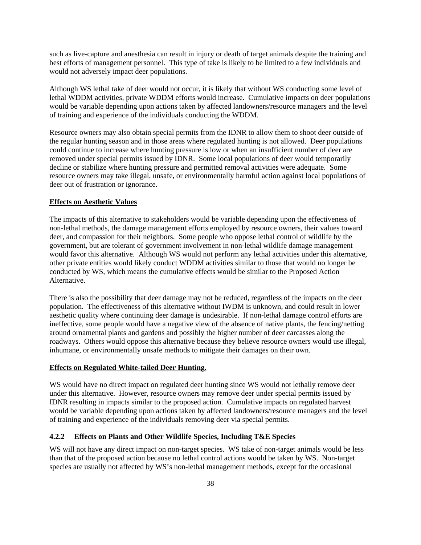such as live-capture and anesthesia can result in injury or death of target animals despite the training and best efforts of management personnel. This type of take is likely to be limited to a few individuals and would not adversely impact deer populations.

Although WS lethal take of deer would not occur, it is likely that without WS conducting some level of lethal WDDM activities, private WDDM efforts would increase. Cumulative impacts on deer populations would be variable depending upon actions taken by affected landowners/resource managers and the level of training and experience of the individuals conducting the WDDM.

Resource owners may also obtain special permits from the IDNR to allow them to shoot deer outside of the regular hunting season and in those areas where regulated hunting is not allowed. Deer populations could continue to increase where hunting pressure is low or when an insufficient number of deer are removed under special permits issued by IDNR. Some local populations of deer would temporarily decline or stabilize where hunting pressure and permitted removal activities were adequate. Some resource owners may take illegal, unsafe, or environmentally harmful action against local populations of deer out of frustration or ignorance.

### **Effects on Aesthetic Values**

The impacts of this alternative to stakeholders would be variable depending upon the effectiveness of non-lethal methods, the damage management efforts employed by resource owners, their values toward deer, and compassion for their neighbors. Some people who oppose lethal control of wildlife by the government, but are tolerant of government involvement in non-lethal wildlife damage management would favor this alternative. Although WS would not perform any lethal activities under this alternative, other private entities would likely conduct WDDM activities similar to those that would no longer be conducted by WS, which means the cumulative effects would be similar to the Proposed Action Alternative.

There is also the possibility that deer damage may not be reduced, regardless of the impacts on the deer population. The effectiveness of this alternative without IWDM is unknown, and could result in lower aesthetic quality where continuing deer damage is undesirable. If non-lethal damage control efforts are ineffective, some people would have a negative view of the absence of native plants, the fencing/netting around ornamental plants and gardens and possibly the higher number of deer carcasses along the roadways. Others would oppose this alternative because they believe resource owners would use illegal, inhumane, or environmentally unsafe methods to mitigate their damages on their own.

### **Effects on Regulated White-tailed Deer Hunting.**

WS would have no direct impact on regulated deer hunting since WS would not lethally remove deer under this alternative. However, resource owners may remove deer under special permits issued by IDNR resulting in impacts similar to the proposed action. Cumulative impacts on regulated harvest would be variable depending upon actions taken by affected landowners/resource managers and the level of training and experience of the individuals removing deer via special permits.

# **4.2.2 Effects on Plants and Other Wildlife Species, Including T&E Species**

WS will not have any direct impact on non-target species. WS take of non-target animals would be less than that of the proposed action because no lethal control actions would be taken by WS. Non-target species are usually not affected by WS's non-lethal management methods, except for the occasional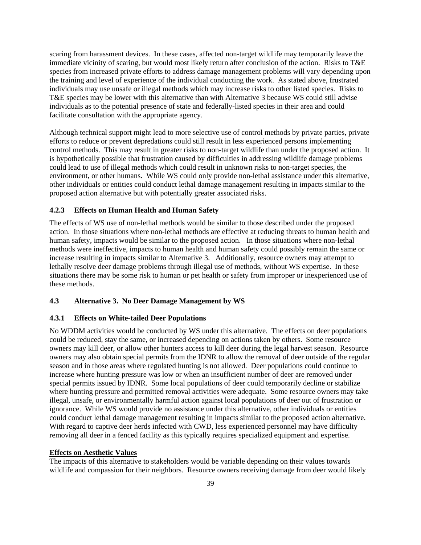scaring from harassment devices. In these cases, affected non-target wildlife may temporarily leave the immediate vicinity of scaring, but would most likely return after conclusion of the action. Risks to T&E species from increased private efforts to address damage management problems will vary depending upon the training and level of experience of the individual conducting the work. As stated above, frustrated individuals may use unsafe or illegal methods which may increase risks to other listed species. Risks to T&E species may be lower with this alternative than with Alternative 3 because WS could still advise individuals as to the potential presence of state and federally-listed species in their area and could facilitate consultation with the appropriate agency.

Although technical support might lead to more selective use of control methods by private parties, private efforts to reduce or prevent depredations could still result in less experienced persons implementing control methods. This may result in greater risks to non-target wildlife than under the proposed action. It is hypothetically possible that frustration caused by difficulties in addressing wildlife damage problems could lead to use of illegal methods which could result in unknown risks to non-target species, the environment, or other humans. While WS could only provide non-lethal assistance under this alternative, other individuals or entities could conduct lethal damage management resulting in impacts similar to the proposed action alternative but with potentially greater associated risks.

### **4.2.3 Effects on Human Health and Human Safety**

The effects of WS use of non-lethal methods would be similar to those described under the proposed action. In those situations where non-lethal methods are effective at reducing threats to human health and human safety, impacts would be similar to the proposed action. In those situations where non-lethal methods were ineffective, impacts to human health and human safety could possibly remain the same or increase resulting in impacts similar to Alternative 3. Additionally, resource owners may attempt to lethally resolve deer damage problems through illegal use of methods, without WS expertise. In these situations there may be some risk to human or pet health or safety from improper or inexperienced use of these methods.

# **4.3 Alternative 3. No Deer Damage Management by WS**

# **4.3.1 Effects on White-tailed Deer Populations**

No WDDM activities would be conducted by WS under this alternative. The effects on deer populations could be reduced, stay the same, or increased depending on actions taken by others. Some resource owners may kill deer, or allow other hunters access to kill deer during the legal harvest season. Resource owners may also obtain special permits from the IDNR to allow the removal of deer outside of the regular season and in those areas where regulated hunting is not allowed. Deer populations could continue to increase where hunting pressure was low or when an insufficient number of deer are removed under special permits issued by IDNR. Some local populations of deer could temporarily decline or stabilize where hunting pressure and permitted removal activities were adequate. Some resource owners may take illegal, unsafe, or environmentally harmful action against local populations of deer out of frustration or ignorance. While WS would provide no assistance under this alternative, other individuals or entities could conduct lethal damage management resulting in impacts similar to the proposed action alternative. With regard to captive deer herds infected with CWD, less experienced personnel may have difficulty removing all deer in a fenced facility as this typically requires specialized equipment and expertise.

#### **Effects on Aesthetic Values**

The impacts of this alternative to stakeholders would be variable depending on their values towards wildlife and compassion for their neighbors. Resource owners receiving damage from deer would likely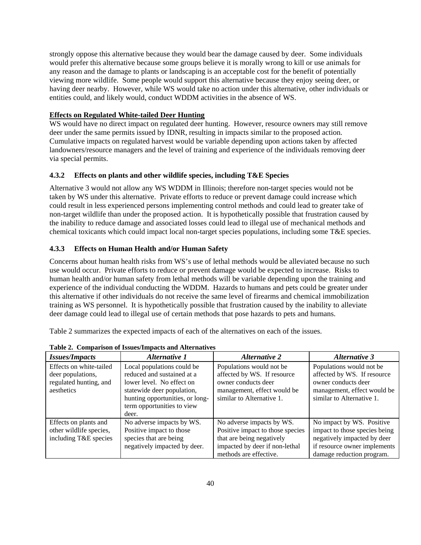strongly oppose this alternative because they would bear the damage caused by deer. Some individuals would prefer this alternative because some groups believe it is morally wrong to kill or use animals for any reason and the damage to plants or landscaping is an acceptable cost for the benefit of potentially viewing more wildlife. Some people would support this alternative because they enjoy seeing deer, or having deer nearby. However, while WS would take no action under this alternative, other individuals or entities could, and likely would, conduct WDDM activities in the absence of WS.

# **Effects on Regulated White-tailed Deer Hunting**

WS would have no direct impact on regulated deer hunting. However, resource owners may still remove deer under the same permits issued by IDNR, resulting in impacts similar to the proposed action. Cumulative impacts on regulated harvest would be variable depending upon actions taken by affected landowners/resource managers and the level of training and experience of the individuals removing deer via special permits.

## **4.3.2 Effects on plants and other wildlife species, including T&E Species**

Alternative 3 would not allow any WS WDDM in Illinois; therefore non-target species would not be taken by WS under this alternative. Private efforts to reduce or prevent damage could increase which could result in less experienced persons implementing control methods and could lead to greater take of non-target wildlife than under the proposed action. It is hypothetically possible that frustration caused by the inability to reduce damage and associated losses could lead to illegal use of mechanical methods and chemical toxicants which could impact local non-target species populations, including some T&E species.

### **4.3.3 Effects on Human Health and/or Human Safety**

Concerns about human health risks from WS's use of lethal methods would be alleviated because no such use would occur. Private efforts to reduce or prevent damage would be expected to increase. Risks to human health and/or human safety from lethal methods will be variable depending upon the training and experience of the individual conducting the WDDM. Hazards to humans and pets could be greater under this alternative if other individuals do not receive the same level of firearms and chemical immobilization training as WS personnel. It is hypothetically possible that frustration caused by the inability to alleviate deer damage could lead to illegal use of certain methods that pose hazards to pets and humans.

Table 2 summarizes the expected impacts of each of the alternatives on each of the issues.

| <b>Issues/Impacts</b>                                                                | Alternative 1                                                                                                                                                                                 | <b>Alternative 2</b>                                                                                                                                   | <b>Alternative 3</b>                                                                                                                                   |
|--------------------------------------------------------------------------------------|-----------------------------------------------------------------------------------------------------------------------------------------------------------------------------------------------|--------------------------------------------------------------------------------------------------------------------------------------------------------|--------------------------------------------------------------------------------------------------------------------------------------------------------|
| Effects on white-tailed<br>deer populations,<br>regulated hunting, and<br>aesthetics | Local populations could be<br>reduced and sustained at a<br>lower level. No effect on<br>statewide deer population,<br>hunting opportunities, or long-<br>term opportunities to view<br>deer. | Populations would not be<br>affected by WS. If resource<br>owner conducts deer<br>management, effect would be<br>similar to Alternative 1.             | Populations would not be<br>affected by WS. If resource<br>owner conducts deer<br>management, effect would be<br>similar to Alternative 1.             |
| Effects on plants and<br>other wildlife species,<br>including T&E species            | No adverse impacts by WS.<br>Positive impact to those<br>species that are being<br>negatively impacted by deer.                                                                               | No adverse impacts by WS.<br>Positive impact to those species<br>that are being negatively<br>impacted by deer if non-lethal<br>methods are effective. | No impact by WS. Positive<br>impact to those species being<br>negatively impacted by deer<br>if resource owner implements<br>damage reduction program. |

**Table 2. Comparison of Issues/Impacts and Alternatives**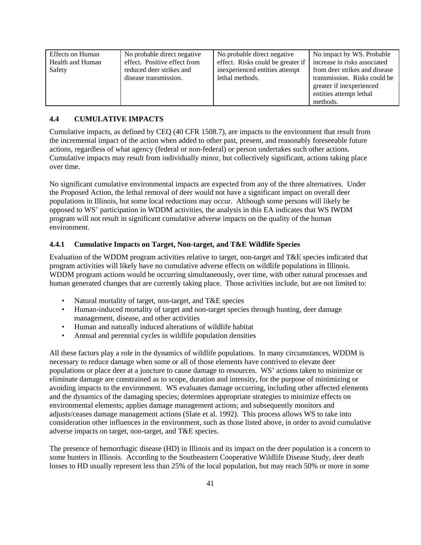| No probable direct negative  | No probable direct negative    | No impact by WS. Probable         |
|------------------------------|--------------------------------|-----------------------------------|
| effect. Positive effect from |                                | increase in risks associated      |
| reduced deer strikes and     | inexperienced entities attempt | from deer strikes and disease     |
| disease transmission.        | lethal methods.                | transmission. Risks could be      |
|                              |                                | greater if inexperienced          |
|                              |                                | entities attempt lethal           |
|                              |                                | methods.                          |
|                              |                                | effect. Risks could be greater if |

# **4.4 CUMULATIVE IMPACTS**

Cumulative impacts, as defined by CEQ (40 CFR 1508.7), are impacts to the environment that result from the incremental impact of the action when added to other past, present, and reasonably foreseeable future actions, regardless of what agency (federal or non-federal) or person undertakes such other actions. Cumulative impacts may result from individually minor, but collectively significant, actions taking place over time.

No significant cumulative environmental impacts are expected from any of the three alternatives. Under the Proposed Action, the lethal removal of deer would not have a significant impact on overall deer populations in Illinois, but some local reductions may occur. Although some persons will likely be opposed to WS' participation in WDDM activities, the analysis in this EA indicates that WS IWDM program will not result in significant cumulative adverse impacts on the quality of the human environment.

# **4.4.1 Cumulative Impacts on Target, Non-target, and T&E Wildlife Species**

Evaluation of the WDDM program activities relative to target, non-target and T&E species indicated that program activities will likely have no cumulative adverse effects on wildlife populations in Illinois. WDDM program actions would be occurring simultaneously, over time, with other natural processes and human generated changes that are currently taking place. Those activities include, but are not limited to:

- Natural mortality of target, non-target, and T&E species
- Human-induced mortality of target and non-target species through hunting, deer damage management, disease, and other activities
- Human and naturally induced alterations of wildlife habitat
- Annual and perennial cycles in wildlife population densities

All these factors play a role in the dynamics of wildlife populations. In many circumstances, WDDM is necessary to reduce damage when some or all of those elements have contrived to elevate deer populations or place deer at a juncture to cause damage to resources. WS' actions taken to minimize or eliminate damage are constrained as to scope, duration and intensity, for the purpose of minimizing or avoiding impacts to the environment. WS evaluates damage occurring, including other affected elements and the dynamics of the damaging species; determines appropriate strategies to minimize effects on environmental elements; applies damage management actions; and subsequently monitors and adjusts/ceases damage management actions (Slate et al. 1992). This process allows WS to take into consideration other influences in the environment, such as those listed above, in order to avoid cumulative adverse impacts on target, non-target, and T&E species.

The presence of hemorrhagic disease (HD) in Illinois and its impact on the deer population is a concern to some hunters in Illinois. According to the Southeastern Cooperative Wildlife Disease Study, deer death losses to HD usually represent less than 25% of the local population, but may reach 50% or more in some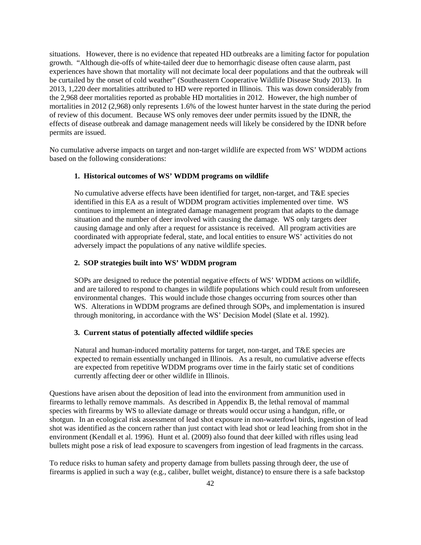situations. However, there is no evidence that repeated HD outbreaks are a limiting factor for population growth. "Although die-offs of white-tailed deer due to hemorrhagic disease often cause alarm, past experiences have shown that mortality will not decimate local deer populations and that the outbreak will be curtailed by the onset of cold weather" (Southeastern Cooperative Wildlife Disease Study 2013). In 2013, 1,220 deer mortalities attributed to HD were reported in Illinois. This was down considerably from the 2,968 deer mortalities reported as probable HD mortalities in 2012. However, the high number of mortalities in 2012 (2,968) only represents 1.6% of the lowest hunter harvest in the state during the period of review of this document. Because WS only removes deer under permits issued by the IDNR, the effects of disease outbreak and damage management needs will likely be considered by the IDNR before permits are issued.

No cumulative adverse impacts on target and non-target wildlife are expected from WS' WDDM actions based on the following considerations:

### **1. Historical outcomes of WS' WDDM programs on wildlife**

No cumulative adverse effects have been identified for target, non-target, and T&E species identified in this EA as a result of WDDM program activities implemented over time. WS continues to implement an integrated damage management program that adapts to the damage situation and the number of deer involved with causing the damage. WS only targets deer causing damage and only after a request for assistance is received. All program activities are coordinated with appropriate federal, state, and local entities to ensure WS' activities do not adversely impact the populations of any native wildlife species.

# **2. SOP strategies built into WS' WDDM program**

SOPs are designed to reduce the potential negative effects of WS' WDDM actions on wildlife, and are tailored to respond to changes in wildlife populations which could result from unforeseen environmental changes. This would include those changes occurring from sources other than WS. Alterations in WDDM programs are defined through SOPs, and implementation is insured through monitoring, in accordance with the WS' Decision Model (Slate et al. 1992).

#### **3. Current status of potentially affected wildlife species**

Natural and human-induced mortality patterns for target, non-target, and T&E species are expected to remain essentially unchanged in Illinois. As a result, no cumulative adverse effects are expected from repetitive WDDM programs over time in the fairly static set of conditions currently affecting deer or other wildlife in Illinois.

Questions have arisen about the deposition of lead into the environment from ammunition used in firearms to lethally remove mammals. As described in Appendix B, the lethal removal of mammal species with firearms by WS to alleviate damage or threats would occur using a handgun, rifle, or shotgun. In an ecological risk assessment of lead shot exposure in non-waterfowl birds, ingestion of lead shot was identified as the concern rather than just contact with lead shot or lead leaching from shot in the environment (Kendall et al. 1996). Hunt et al. (2009) also found that deer killed with rifles using lead bullets might pose a risk of lead exposure to scavengers from ingestion of lead fragments in the carcass.

To reduce risks to human safety and property damage from bullets passing through deer, the use of firearms is applied in such a way (e.g., caliber, bullet weight, distance) to ensure there is a safe backstop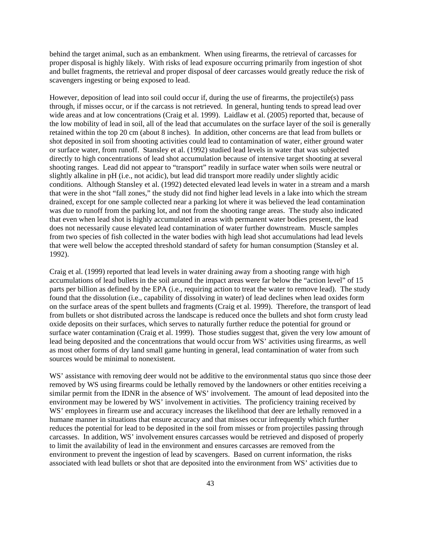behind the target animal, such as an embankment. When using firearms, the retrieval of carcasses for proper disposal is highly likely. With risks of lead exposure occurring primarily from ingestion of shot and bullet fragments, the retrieval and proper disposal of deer carcasses would greatly reduce the risk of scavengers ingesting or being exposed to lead.

However, deposition of lead into soil could occur if, during the use of firearms, the projectile(s) pass through, if misses occur, or if the carcass is not retrieved. In general, hunting tends to spread lead over wide areas and at low concentrations (Craig et al. 1999). Laidlaw et al. (2005) reported that, because of the low mobility of lead in soil, all of the lead that accumulates on the surface layer of the soil is generally retained within the top 20 cm (about 8 inches). In addition, other concerns are that lead from bullets or shot deposited in soil from shooting activities could lead to contamination of water, either ground water or surface water, from runoff. Stansley et al. (1992) studied lead levels in water that was subjected directly to high concentrations of lead shot accumulation because of intensive target shooting at several shooting ranges. Lead did not appear to "transport" readily in surface water when soils were neutral or slightly alkaline in pH (i.e., not acidic), but lead did transport more readily under slightly acidic conditions. Although Stansley et al. (1992) detected elevated lead levels in water in a stream and a marsh that were in the shot "fall zones," the study did not find higher lead levels in a lake into which the stream drained, except for one sample collected near a parking lot where it was believed the lead contamination was due to runoff from the parking lot, and not from the shooting range areas. The study also indicated that even when lead shot is highly accumulated in areas with permanent water bodies present, the lead does not necessarily cause elevated lead contamination of water further downstream. Muscle samples from two species of fish collected in the water bodies with high lead shot accumulations had lead levels that were well below the accepted threshold standard of safety for human consumption (Stansley et al. 1992).

Craig et al. (1999) reported that lead levels in water draining away from a shooting range with high accumulations of lead bullets in the soil around the impact areas were far below the "action level" of 15 parts per billion as defined by the EPA (i.e., requiring action to treat the water to remove lead). The study found that the dissolution (i.e., capability of dissolving in water) of lead declines when lead oxides form on the surface areas of the spent bullets and fragments (Craig et al. 1999). Therefore, the transport of lead from bullets or shot distributed across the landscape is reduced once the bullets and shot form crusty lead oxide deposits on their surfaces, which serves to naturally further reduce the potential for ground or surface water contamination (Craig et al. 1999). Those studies suggest that, given the very low amount of lead being deposited and the concentrations that would occur from WS' activities using firearms, as well as most other forms of dry land small game hunting in general, lead contamination of water from such sources would be minimal to nonexistent.

WS' assistance with removing deer would not be additive to the environmental status quo since those deer removed by WS using firearms could be lethally removed by the landowners or other entities receiving a similar permit from the IDNR in the absence of WS' involvement. The amount of lead deposited into the environment may be lowered by WS' involvement in activities. The proficiency training received by WS' employees in firearm use and accuracy increases the likelihood that deer are lethally removed in a humane manner in situations that ensure accuracy and that misses occur infrequently which further reduces the potential for lead to be deposited in the soil from misses or from projectiles passing through carcasses. In addition, WS' involvement ensures carcasses would be retrieved and disposed of properly to limit the availability of lead in the environment and ensures carcasses are removed from the environment to prevent the ingestion of lead by scavengers. Based on current information, the risks associated with lead bullets or shot that are deposited into the environment from WS' activities due to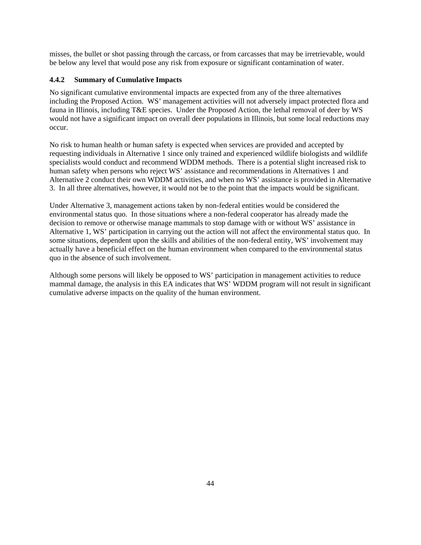misses, the bullet or shot passing through the carcass, or from carcasses that may be irretrievable, would be below any level that would pose any risk from exposure or significant contamination of water.

# **4.4.2 Summary of Cumulative Impacts**

No significant cumulative environmental impacts are expected from any of the three alternatives including the Proposed Action. WS' management activities will not adversely impact protected flora and fauna in Illinois, including T&E species. Under the Proposed Action, the lethal removal of deer by WS would not have a significant impact on overall deer populations in Illinois, but some local reductions may occur.

No risk to human health or human safety is expected when services are provided and accepted by requesting individuals in Alternative 1 since only trained and experienced wildlife biologists and wildlife specialists would conduct and recommend WDDM methods. There is a potential slight increased risk to human safety when persons who reject WS' assistance and recommendations in Alternatives 1 and Alternative 2 conduct their own WDDM activities, and when no WS' assistance is provided in Alternative 3. In all three alternatives, however, it would not be to the point that the impacts would be significant.

Under Alternative 3, management actions taken by non-federal entities would be considered the environmental status quo. In those situations where a non-federal cooperator has already made the decision to remove or otherwise manage mammals to stop damage with or without WS' assistance in Alternative 1, WS' participation in carrying out the action will not affect the environmental status quo. In some situations, dependent upon the skills and abilities of the non-federal entity, WS' involvement may actually have a beneficial effect on the human environment when compared to the environmental status quo in the absence of such involvement.

Although some persons will likely be opposed to WS' participation in management activities to reduce mammal damage, the analysis in this EA indicates that WS' WDDM program will not result in significant cumulative adverse impacts on the quality of the human environment.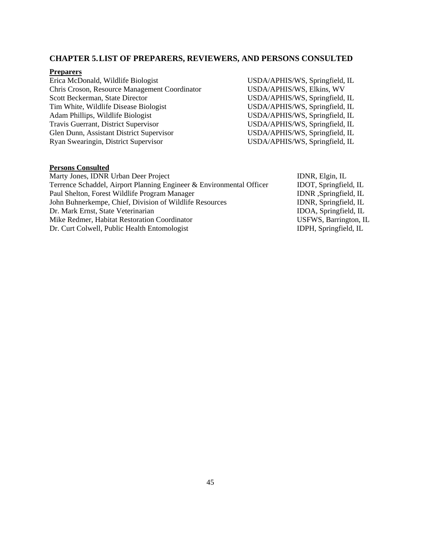# **CHAPTER 5.LIST OF PREPARERS, REVIEWERS, AND PERSONS CONSULTED**

# **Preparers**

| Erica McDonald, Wildlife Biologist            | USDA/APHIS/WS, Springfield, IL |
|-----------------------------------------------|--------------------------------|
| Chris Croson, Resource Management Coordinator | USDA/APHIS/WS, Elkins, WV      |
| Scott Beckerman, State Director               | USDA/APHIS/WS, Springfield, IL |
| Tim White, Wildlife Disease Biologist         | USDA/APHIS/WS, Springfield, IL |
| Adam Phillips, Wildlife Biologist             | USDA/APHIS/WS, Springfield, IL |
| Travis Guerrant, District Supervisor          | USDA/APHIS/WS, Springfield, IL |
| Glen Dunn, Assistant District Supervisor      | USDA/APHIS/WS, Springfield, IL |
| Ryan Swearingin, District Supervisor          | USDA/APHIS/WS, Springfield, IL |
|                                               |                                |

# **Persons Consulted**

| Marty Jones, IDNR Urban Deer Project                                 | IDNR, Elgin, IL       |
|----------------------------------------------------------------------|-----------------------|
| Terrence Schaddel, Airport Planning Engineer & Environmental Officer | IDOT, Springfield, IL |
| Paul Shelton, Forest Wildlife Program Manager                        | IDNR ,Springfield, IL |
| John Buhnerkempe, Chief, Division of Wildlife Resources              | IDNR, Springfield, IL |
| Dr. Mark Ernst, State Veterinarian                                   | IDOA, Springfield, IL |
| Mike Redmer, Habitat Restoration Coordinator                         | USFWS, Barrington, IL |
| Dr. Curt Colwell, Public Health Entomologist                         | IDPH, Springfield, IL |
|                                                                      |                       |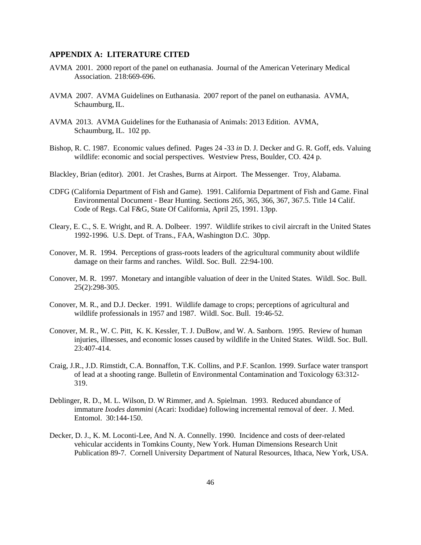# **APPENDIX A: LITERATURE CITED**

- AVMA 2001. 2000 report of the panel on euthanasia. Journal of the American Veterinary Medical Association. 218:669-696.
- AVMA 2007. AVMA Guidelines on Euthanasia. 2007 report of the panel on euthanasia. AVMA, Schaumburg, IL.
- AVMA 2013. AVMA Guidelines for the Euthanasia of Animals: 2013 Edition. AVMA, Schaumburg, IL. 102 pp.
- Bishop, R. C. 1987. Economic values defined. Pages 24 -33 *in* D. J. Decker and G. R. Goff, eds. Valuing wildlife: economic and social perspectives. Westview Press, Boulder, CO. 424 p.
- Blackley, Brian (editor). 2001. Jet Crashes, Burns at Airport. The Messenger. Troy, Alabama.
- CDFG (California Department of Fish and Game). 1991. California Department of Fish and Game. Final Environmental Document - Bear Hunting. Sections 265, 365, 366, 367, 367.5. Title 14 Calif. Code of Regs. Cal F&G, State Of California, April 25, 1991. 13pp.
- Cleary, E. C., S. E. Wright, and R. A. Dolbeer. 1997. Wildlife strikes to civil aircraft in the United States 1992-1996. U.S. Dept. of Trans., FAA, Washington D.C. 30pp.
- Conover, M. R. 1994. Perceptions of grass-roots leaders of the agricultural community about wildlife damage on their farms and ranches. Wildl. Soc. Bull. 22:94-100.
- Conover, M. R. 1997. Monetary and intangible valuation of deer in the United States. Wildl. Soc. Bull. 25(2):298-305.
- Conover, M. R., and D.J. Decker. 1991. Wildlife damage to crops; perceptions of agricultural and wildlife professionals in 1957 and 1987. Wildl. Soc. Bull. 19:46-52.
- Conover, M. R., W. C. Pitt, K. K. Kessler, T. J. DuBow, and W. A. Sanborn. 1995. Review of human injuries, illnesses, and economic losses caused by wildlife in the United States. Wildl. Soc. Bull. 23:407-414.
- Craig, J.R., J.D. Rimstidt, C.A. Bonnaffon, T.K. Collins, and P.F. ScanIon. 1999. Surface water transport of lead at a shooting range. Bulletin of Environmental Contamination and Toxicology 63:312- 319.
- Deblinger, R. D., M. L. Wilson, D. W Rimmer, and A. Spielman. 1993. Reduced abundance of immature *Ixodes dammini* (Acari: Ixodidae) following incremental removal of deer. J. Med. Entomol. 30:144-150.
- Decker, D. J., K. M. Loconti-Lee, And N. A. Connelly. 1990. Incidence and costs of deer-related vehicular accidents in Tomkins County, New York. Human Dimensions Research Unit Publication 89-7. Cornell University Department of Natural Resources, Ithaca, New York, USA.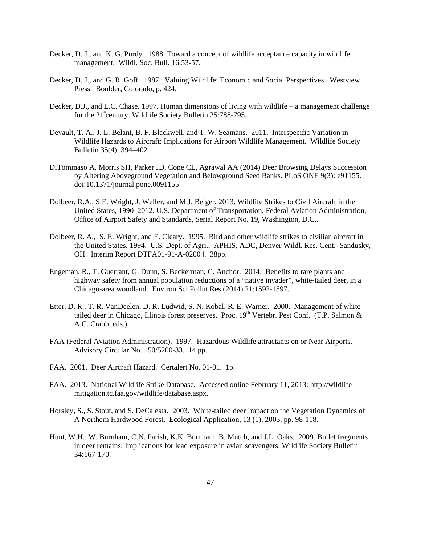- Decker, D. J., and K. G. Purdy. 1988. Toward a concept of wildlife acceptance capacity in wildlife management. Wildl. Soc. Bull. 16:53-57.
- Decker, D. J., and G. R. Goff. 1987. Valuing Wildlife: Economic and Social Perspectives. Westview Press. Boulder, Colorado, p. 424.
- for the 21<sup>st</sup> century. Wildlife Society Bulletin 25:788-795. Decker, D.J., and L.C. Chase. 1997. Human dimensions of living with wildlife – a management challenge
- Devault, T. A., J. L. Belant, B. F. Blackwell, and T. W. Seamans. 2011. Interspecific Variation in Wildlife Hazards to Aircraft: Implications for Airport Wildlife Management. Wildlife Society Bulletin 35(4): 394–402.
- DiTommaso A, Morris SH, Parker JD, Cone CL, Agrawal AA (2014) Deer Browsing Delays Succession by Altering Aboveground Vegetation and Belowground Seed Banks. PLoS ONE 9(3): e91155. doi:10.1371/journal.pone.0091155
- Dolbeer, R.A., S.E. Wright, J. Weller, and M.J. Beiger. 2013. Wildlife Strikes to Civil Aircraft in the United States, 1990–2012. U.S. Department of Transportation, Federal Aviation Administration, Office of Airport Safety and Standards, Serial Report No. 19, Washington, D.C..
- Dolbeer, R. A., S. E. Wright, and E. Cleary. 1995. Bird and other wildlife strikes to civilian aircraft in the United States, 1994. U.S. Dept. of Agri., APHIS, ADC, Denver Wildl. Res. Cent. Sandusky, OH. Interim Report DTFA01-91-A-02004. 38pp.
- Engeman, R., T. Guerrant, G. Dunn, S. Beckerman, C. Anchor. 2014. Benefits to rare plants and highway safety from annual population reductions of a "native invader", white-tailed deer, in a Chicago-area woodland. Environ Sci Pollut Res (2014) 21:1592-1597.
- Etter, D. R., T. R. VanDeelen, D. R. Ludwid, S. N. Kobal, R. E. Warner. 2000. Management of whitetailed deer in Chicago, Illinois forest preserves. Proc.  $19<sup>th</sup>$  Vertebr. Pest Conf. (T.P. Salmon  $\&$ A.C. Crabb, eds.)
- FAA (Federal Aviation Administration). 1997. Hazardous Wildlife attractants on or Near Airports. Advisory Circular No. 150/5200-33. 14 pp.
- FAA. 2001. Deer Aircraft Hazard. Certalert No. 01-01. 1p.
- FAA. 2013. National Wildlife Strike Database. Accessed online February 11, 2013: http://wildlifemitigation.tc.faa.gov/wildlife/database.aspx.
- Horsley, S., S. Stout, and S. DeCalesta. 2003. White-tailed deer Impact on the Vegetation Dynamics of A Northern Hardwood Forest. Ecological Application, 13 (1), 2003, pp. 98-118.
- Hunt, W.H., W. Burnham, C.N. Parish, K.K. Burnham, B. Mutch, and J.L. Oaks. 2009. Bullet fragments in deer remains: Implications for lead exposure in avian scavengers. Wildlife Society Bulletin 34:167-170.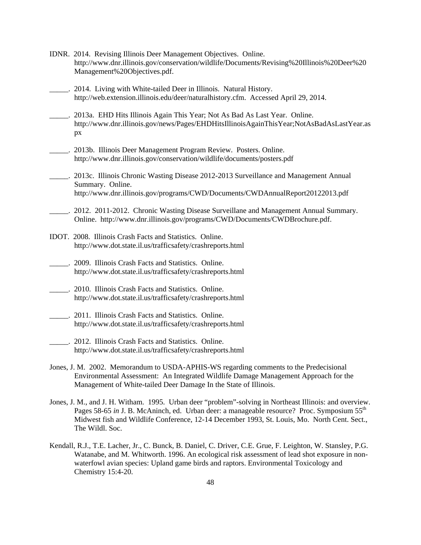- IDNR. 2014. Revising Illinois Deer Management Objectives. Online. http://www.dnr.illinois.gov/conservation/wildlife/Documents/Revising%20Illinois%20Deer%20 Management%20Objectives.pdf.
- \_\_\_\_\_. 2014. Living with White-tailed Deer in Illinois. Natural History. http://web.extension.illinois.edu/deer/naturalhistory.cfm. Accessed April 29, 2014.
- \_\_\_\_\_. 2013a. EHD Hits Illinois Again This Year; Not As Bad As Last Year. Online. http://www.dnr.illinois.gov/news/Pages/EHDHitsIllinoisAgainThisYear;NotAsBadAsLastYear.as px
- \_\_\_\_\_. 2013b. Illinois Deer Management Program Review. Posters. Online. http://www.dnr.illinois.gov/conservation/wildlife/documents/posters.pdf
- \_\_\_\_\_. 2013c. Illinois Chronic Wasting Disease 2012-2013 Surveillance and Management Annual Summary. Online. http://www.dnr.illinois.gov/programs/CWD/Documents/CWDAnnualReport20122013.pdf
- \_\_\_\_\_. 2012. 2011-2012. Chronic Wasting Disease Surveillane and Management Annual Summary. Online. http://www.dnr.illinois.gov/programs/CWD/Documents/CWDBrochure.pdf.
- IDOT. 2008. Illinois Crash Facts and Statistics. Online. http://www.dot.state.il.us/trafficsafety/crashreports.html
- \_\_\_\_\_. 2009. Illinois Crash Facts and Statistics. Online. http://www.dot.state.il.us/trafficsafety/crashreports.html
- \_\_\_\_\_. 2010. Illinois Crash Facts and Statistics. Online. http://www.dot.state.il.us/trafficsafety/crashreports.html
- \_\_\_\_\_. 2011. Illinois Crash Facts and Statistics. Online. http://www.dot.state.il.us/trafficsafety/crashreports.html
- \_\_\_\_\_. 2012. Illinois Crash Facts and Statistics. Online. http://www.dot.state.il.us/trafficsafety/crashreports.html
- Jones, J. M. 2002. Memorandum to USDA-APHIS-WS regarding comments to the Predecisional Environmental Assessment: An Integrated Wildlife Damage Management Approach for the Management of White-tailed Deer Damage In the State of Illinois.
- Jones, J. M., and J. H. Witham. 1995. Urban deer "problem"-solving in Northeast Illinois: and overview. Pages 58-65 *in* J. B. McAninch, ed. Urban deer: a manageable resource? Proc. Symposium 55<sup>th</sup> Midwest fish and Wildlife Conference, 12-14 December 1993, St. Louis, Mo. North Cent. Sect., The Wildl. Soc.
- Kendall, R.J., T.E. Lacher, Jr., C. Bunck, B. Daniel, C. Driver, C.E. Grue, F. Leighton, W. Stansley, P.G. Watanabe, and M. Whitworth. 1996. An ecological risk assessment of lead shot exposure in nonwaterfowl avian species: Upland game birds and raptors. Environmental Toxicology and Chemistry 15:4-20.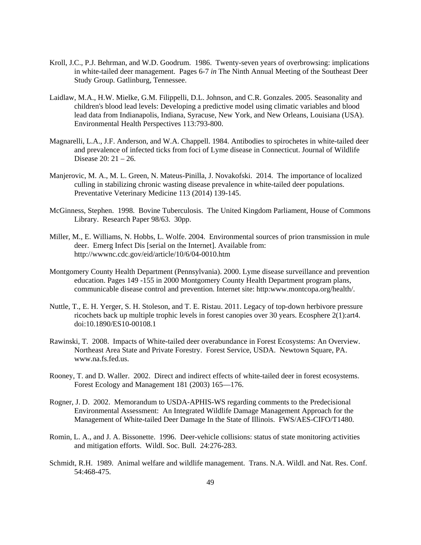- Kroll, J.C., P.J. Behrman, and W.D. Goodrum. 1986. Twenty-seven years of overbrowsing: implications in white-tailed deer management. Pages 6-7 *in* The Ninth Annual Meeting of the Southeast Deer Study Group. Gatlinburg, Tennessee.
- Laidlaw, M.A., H.W. Mielke, G.M. Filippelli, D.L. Johnson, and C.R. Gonzales. 2005. Seasonality and children's blood lead levels: Developing a predictive model using climatic variables and blood lead data from Indianapolis, Indiana, Syracuse, New York, and New Orleans, Louisiana (USA). Environmental Health Perspectives 113:793-800.
- Magnarelli, L.A., J.F. Anderson, and W.A. Chappell. 1984. Antibodies to spirochetes in white-tailed deer and prevalence of infected ticks from foci of Lyme disease in Connecticut. Journal of Wildlife Disease 20: 21 – 26.
- Manjerovic, M. A., M. L. Green, N. Mateus-Pinilla, J. Novakofski. 2014. The importance of localized culling in stabilizing chronic wasting disease prevalence in white-tailed deer populations. Preventative Veterinary Medicine 113 (2014) 139-145.
- McGinness, Stephen. 1998. Bovine Tuberculosis. The United Kingdom Parliament, House of Commons Library. Research Paper 98/63. 30pp.
- Miller, M., E. Williams, N. Hobbs, L. Wolfe. 2004. Environmental sources of prion transmission in mule deer. Emerg Infect Dis [serial on the Internet]. Available from: http://wwwnc.cdc.gov/eid/article/10/6/04-0010.htm
- Montgomery County Health Department (Pennsylvania). 2000. Lyme disease surveillance and prevention education. Pages 149 -155 in 2000 Montgomery County Health Department program plans, communicable disease control and prevention. Internet site: http:www.montcopa.org/health/.
- Nuttle, T., E. H. Yerger, S. H. Stoleson, and T. E. Ristau. 2011. Legacy of top-down herbivore pressure ricochets back up multiple trophic levels in forest canopies over 30 years. Ecosphere 2(1):art4. doi:10.1890/ES10-00108.1
- Rawinski, T. 2008. Impacts of White-tailed deer overabundance in Forest Ecosystems: An Overview. Northeast Area State and Private Forestry. Forest Service, USDA. Newtown Square, PA. www.na.fs.fed.us.
- Rooney, T. and D. Waller. 2002. Direct and indirect effects of white-tailed deer in forest ecosystems. Forest Ecology and Management 181 (2003) 165—176.
- Rogner, J. D. 2002. Memorandum to USDA-APHIS-WS regarding comments to the Predecisional Environmental Assessment: An Integrated Wildlife Damage Management Approach for the Management of White-tailed Deer Damage In the State of Illinois. FWS/AES-CIFO/T1480.
- Romin, L. A., and J. A. Bissonette. 1996. Deer-vehicle collisions: status of state monitoring activities and mitigation efforts. Wildl. Soc. Bull. 24:276-283.
- Schmidt, R.H. 1989. Animal welfare and wildlife management. Trans. N.A. Wildl. and Nat. Res. Conf. 54:468-475.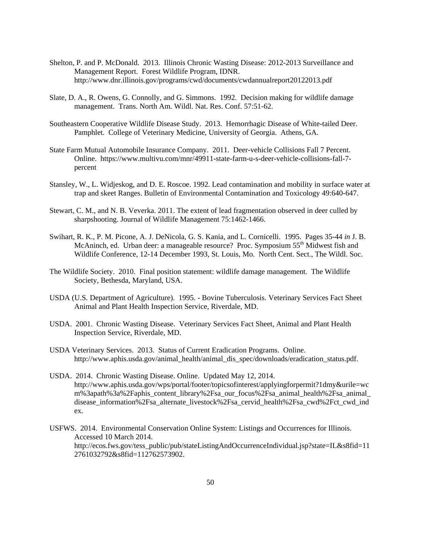- Shelton, P. and P. McDonald. 2013. Illinois Chronic Wasting Disease: 2012-2013 Surveillance and Management Report. Forest Wildlife Program, IDNR. http://www.dnr.illinois.gov/programs/cwd/documents/cwdannualreport20122013.pdf
- Slate, D. A., R. Owens, G. Connolly, and G. Simmons. 1992. Decision making for wildlife damage management. Trans. North Am. Wildl. Nat. Res. Conf. 57:51-62.
- Southeastern Cooperative Wildlife Disease Study. 2013. Hemorrhagic Disease of White-tailed Deer. Pamphlet. College of Veterinary Medicine, University of Georgia. Athens, GA.
- State Farm Mutual Automobile Insurance Company. 2011. Deer-vehicle Collisions Fall 7 Percent. Online. https://www.multivu.com/mnr/49911-state-farm-u-s-deer-vehicle-collisions-fall-7 percent
- Stansley, W., L. Widjeskog, and D. E. Roscoe. 1992. Lead contamination and mobility in surface water at trap and skeet Ranges. Bulletin of Environmental Contamination and Toxicology 49:640-647.
- Stewart, C. M., and N. B. Veverka. 2011. The extent of lead fragmentation observed in deer culled by sharpshooting. Journal of Wildlife Management 75:1462-1466.
- Swihart, R. K., P. M. Picone, A. J. DeNicola, G. S. Kania, and L. Cornicelli. 1995. Pages 35-44 *in* J. B. McAninch, ed. Urban deer: a manageable resource? Proc. Symposium  $55<sup>th</sup>$  Midwest fish and Wildlife Conference, 12-14 December 1993, St. Louis, Mo. North Cent. Sect., The Wildl. Soc.
- The Wildlife Society. 2010. Final position statement: wildlife damage management. The Wildlife Society, Bethesda, Maryland, USA.
- USDA (U.S. Department of Agriculture). 1995. Bovine Tuberculosis. Veterinary Services Fact Sheet Animal and Plant Health Inspection Service, Riverdale, MD.
- USDA. 2001. Chronic Wasting Disease. Veterinary Services Fact Sheet, Animal and Plant Health Inspection Service, Riverdale, MD.
- USDA Veterinary Services. 2013. Status of Current Eradication Programs. Online. http://www.aphis.usda.gov/animal\_health/animal\_dis\_spec/downloads/eradication\_status.pdf.
- USDA. 2014. Chronic Wasting Disease. Online. Updated May 12, 2014. http://www.aphis.usda.gov/wps/portal/footer/topicsofinterest/applyingforpermit?1dmy&urile=wc m%3apath%3a%2Faphis\_content\_library%2Fsa\_our\_focus%2Fsa\_animal\_health%2Fsa\_animal\_ disease\_information%2Fsa\_alternate\_livestock%2Fsa\_cervid\_health%2Fsa\_cwd%2Fct\_cwd\_ind ex.
- USFWS. 2014. Environmental Conservation Online System: Listings and Occurrences for Illinois. Accessed 10 March 2014. http://ecos.fws.gov/tess\_public/pub/stateListingAndOccurrenceIndividual.jsp?state=IL&s8fid=11 2761032792&s8fid=112762573902.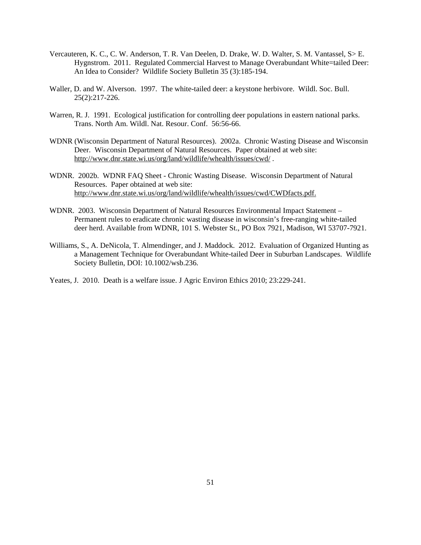- Vercauteren, K. C., C. W. Anderson, T. R. Van Deelen, D. Drake, W. D. Walter, S. M. Vantassel, S> E. Hygnstrom. 2011. Regulated Commercial Harvest to Manage Overabundant White=tailed Deer: An Idea to Consider? Wildlife Society Bulletin 35 (3):185-194.
- Waller, D. and W. Alverson. 1997. The white-tailed deer: a keystone herbivore. Wildl. Soc. Bull. 25(2):217-226.
- Warren, R. J. 1991. Ecological justification for controlling deer populations in eastern national parks. Trans. North Am. Wildl. Nat. Resour. Conf. 56:56-66.
- WDNR (Wisconsin Department of Natural Resources). 2002a. Chronic Wasting Disease and Wisconsin Deer. Wisconsin Department of Natural Resources. Paper obtained at web site: http://www.dnr.state.wi.us/org/land/wildlife/whealth/issues/cwd/ .
- WDNR. 2002b. WDNR FAQ Sheet Chronic Wasting Disease. Wisconsin Department of Natural Resources. Paper obtained at web site: http://www.dnr.state.wi.us/org/land/wildlife/whealth/issues/cwd/CWDfacts.pdf.
- WDNR. 2003. Wisconsin Department of Natural Resources Environmental Impact Statement Permanent rules to eradicate chronic wasting disease in wisconsin's free-ranging white-tailed deer herd. Available from WDNR, 101 S. Webster St., PO Box 7921, Madison, WI 53707-7921.
- Williams, S., A. DeNicola, T. Almendinger, and J. Maddock. 2012. Evaluation of Organized Hunting as a Management Technique for Overabundant White-tailed Deer in Suburban Landscapes. Wildlife Society Bulletin, DOI: 10.1002/wsb.236.

Yeates, J. 2010. Death is a welfare issue. J Agric Environ Ethics 2010; 23:229-241.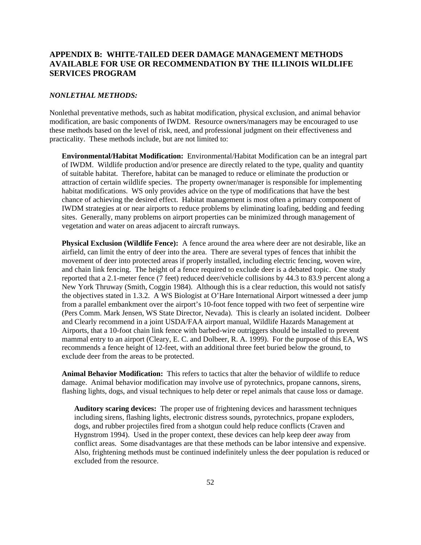# **APPENDIX B: WHITE-TAILED DEER DAMAGE MANAGEMENT METHODS AVAILABLE FOR USE OR RECOMMENDATION BY THE ILLINOIS WILDLIFE SERVICES PROGRAM**

#### *NONLETHAL METHODS:*

Nonlethal preventative methods, such as habitat modification, physical exclusion, and animal behavior modification, are basic components of IWDM. Resource owners/managers may be encouraged to use these methods based on the level of risk, need, and professional judgment on their effectiveness and practicality. These methods include, but are not limited to:

**Environmental/Habitat Modification:** Environmental/Habitat Modification can be an integral part of IWDM. Wildlife production and/or presence are directly related to the type, quality and quantity of suitable habitat. Therefore, habitat can be managed to reduce or eliminate the production or attraction of certain wildlife species. The property owner/manager is responsible for implementing habitat modifications. WS only provides advice on the type of modifications that have the best chance of achieving the desired effect. Habitat management is most often a primary component of IWDM strategies at or near airports to reduce problems by eliminating loafing, bedding and feeding sites. Generally, many problems on airport properties can be minimized through management of vegetation and water on areas adjacent to aircraft runways.

**Physical Exclusion (Wildlife Fence):** A fence around the area where deer are not desirable, like an airfield, can limit the entry of deer into the area. There are several types of fences that inhibit the movement of deer into protected areas if properly installed, including electric fencing, woven wire, and chain link fencing. The height of a fence required to exclude deer is a debated topic. One study reported that a 2.1-meter fence (7 feet) reduced deer/vehicle collisions by 44.3 to 83.9 percent along a New York Thruway (Smith, Coggin 1984). Although this is a clear reduction, this would not satisfy the objectives stated in 1.3.2. A WS Biologist at O'Hare International Airport witnessed a deer jump from a parallel embankment over the airport's 10-foot fence topped with two feet of serpentine wire (Pers Comm. Mark Jensen, WS State Director, Nevada). This is clearly an isolated incident. Dolbeer and Clearly recommend in a joint USDA/FAA airport manual, Wildlife Hazards Management at Airports, that a 10-foot chain link fence with barbed-wire outriggers should be installed to prevent mammal entry to an airport (Cleary, E. C. and Dolbeer, R. A. 1999). For the purpose of this EA, WS recommends a fence height of 12-feet, with an additional three feet buried below the ground, to exclude deer from the areas to be protected.

**Animal Behavior Modification:** This refers to tactics that alter the behavior of wildlife to reduce damage. Animal behavior modification may involve use of pyrotechnics, propane cannons, sirens, flashing lights, dogs, and visual techniques to help deter or repel animals that cause loss or damage.

**Auditory scaring devices:** The proper use of frightening devices and harassment techniques including sirens, flashing lights, electronic distress sounds, pyrotechnics, propane exploders, dogs, and rubber projectiles fired from a shotgun could help reduce conflicts (Craven and Hygnstrom 1994). Used in the proper context, these devices can help keep deer away from conflict areas. Some disadvantages are that these methods can be labor intensive and expensive. Also, frightening methods must be continued indefinitely unless the deer population is reduced or excluded from the resource.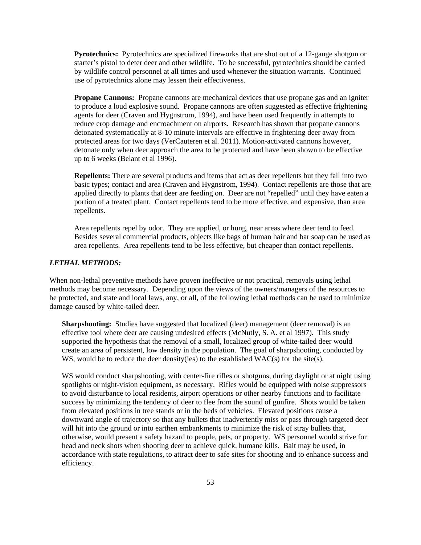**Pyrotechnics:** Pyrotechnics are specialized fireworks that are shot out of a 12-gauge shotgun or starter's pistol to deter deer and other wildlife. To be successful, pyrotechnics should be carried by wildlife control personnel at all times and used whenever the situation warrants. Continued use of pyrotechnics alone may lessen their effectiveness.

**Propane Cannons:** Propane cannons are mechanical devices that use propane gas and an igniter to produce a loud explosive sound. Propane cannons are often suggested as effective frightening agents for deer (Craven and Hygnstrom, 1994), and have been used frequently in attempts to reduce crop damage and encroachment on airports. Research has shown that propane cannons detonated systematically at 8-10 minute intervals are effective in frightening deer away from protected areas for two days (VerCauteren et al. 2011). Motion-activated cannons however, detonate only when deer approach the area to be protected and have been shown to be effective up to 6 weeks (Belant et al 1996).

**Repellents:** There are several products and items that act as deer repellents but they fall into two basic types; contact and area (Craven and Hygnstrom, 1994). Contact repellents are those that are applied directly to plants that deer are feeding on. Deer are not "repelled" until they have eaten a portion of a treated plant. Contact repellents tend to be more effective, and expensive, than area repellents.

Area repellents repel by odor. They are applied, or hung, near areas where deer tend to feed. Besides several commercial products, objects like bags of human hair and bar soap can be used as area repellents. Area repellents tend to be less effective, but cheaper than contact repellents.

# *LETHAL METHODS:*

When non-lethal preventive methods have proven ineffective or not practical, removals using lethal methods may become necessary. Depending upon the views of the owners/managers of the resources to be protected, and state and local laws, any, or all, of the following lethal methods can be used to minimize damage caused by white-tailed deer.

**Sharpshooting:** Studies have suggested that localized (deer) management (deer removal) is an effective tool where deer are causing undesired effects (McNutly, S. A. et al 1997). This study supported the hypothesis that the removal of a small, localized group of white-tailed deer would create an area of persistent, low density in the population. The goal of sharpshooting, conducted by WS, would be to reduce the deer density(ies) to the established WAC(s) for the site(s).

WS would conduct sharpshooting, with center-fire rifles or shotguns, during daylight or at night using spotlights or night-vision equipment, as necessary. Rifles would be equipped with noise suppressors to avoid disturbance to local residents, airport operations or other nearby functions and to facilitate success by minimizing the tendency of deer to flee from the sound of gunfire. Shots would be taken from elevated positions in tree stands or in the beds of vehicles. Elevated positions cause a downward angle of trajectory so that any bullets that inadvertently miss or pass through targeted deer will hit into the ground or into earthen embankments to minimize the risk of stray bullets that, otherwise, would present a safety hazard to people, pets, or property. WS personnel would strive for head and neck shots when shooting deer to achieve quick, humane kills. Bait may be used, in accordance with state regulations, to attract deer to safe sites for shooting and to enhance success and efficiency.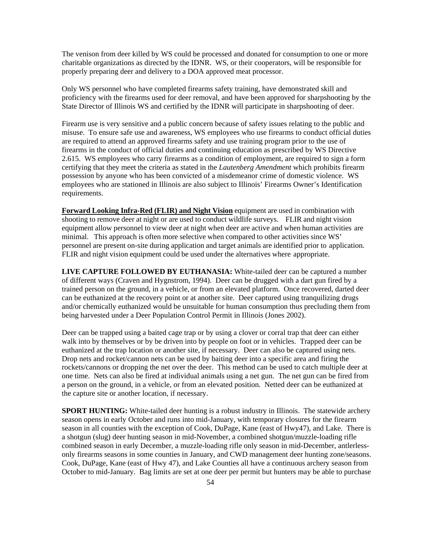The venison from deer killed by WS could be processed and donated for consumption to one or more charitable organizations as directed by the IDNR. WS, or their cooperators, will be responsible for properly preparing deer and delivery to a DOA approved meat processor.

Only WS personnel who have completed firearms safety training, have demonstrated skill and proficiency with the firearms used for deer removal, and have been approved for sharpshooting by the State Director of Illinois WS and certified by the IDNR will participate in sharpshooting of deer.

Firearm use is very sensitive and a public concern because of safety issues relating to the public and misuse. To ensure safe use and awareness, WS employees who use firearms to conduct official duties are required to attend an approved firearms safety and use training program prior to the use of firearms in the conduct of official duties and continuing education as prescribed by WS Directive 2.615. WS employees who carry firearms as a condition of employment, are required to sign a form certifying that they meet the criteria as stated in the *Lautenberg Amendment* which prohibits firearm possession by anyone who has been convicted of a misdemeanor crime of domestic violence. WS employees who are stationed in Illinois are also subject to Illinois' Firearms Owner's Identification requirements.

**Forward Looking Infra-Red (FLIR) and Night Vision** equipment are used in combination with shooting to remove deer at night or are used to conduct wildlife surveys. FLIR and night vision equipment allow personnel to view deer at night when deer are active and when human activities are minimal. This approach is often more selective when compared to other activities since WS' personnel are present on-site during application and target animals are identified prior to application. FLIR and night vision equipment could be used under the alternatives where appropriate.

**LIVE CAPTURE FOLLOWED BY EUTHANASIA:** White-tailed deer can be captured a number of different ways (Craven and Hygnstrom, 1994). Deer can be drugged with a dart gun fired by a trained person on the ground, in a vehicle, or from an elevated platform. Once recovered, darted deer can be euthanized at the recovery point or at another site. Deer captured using tranquilizing drugs and/or chemically euthanized would be unsuitable for human consumption thus precluding them from being harvested under a Deer Population Control Permit in Illinois (Jones 2002).

Deer can be trapped using a baited cage trap or by using a clover or corral trap that deer can either walk into by themselves or by be driven into by people on foot or in vehicles. Trapped deer can be euthanized at the trap location or another site, if necessary. Deer can also be captured using nets. Drop nets and rocket/cannon nets can be used by baiting deer into a specific area and firing the rockets/cannons or dropping the net over the deer. This method can be used to catch multiple deer at one time. Nets can also be fired at individual animals using a net gun. The net gun can be fired from a person on the ground, in a vehicle, or from an elevated position. Netted deer can be euthanized at the capture site or another location, if necessary.

**SPORT HUNTING:** White-tailed deer hunting is a robust industry in Illinois. The statewide archery season opens in early October and runs into mid-January, with temporary closures for the firearm season in all counties with the exception of Cook, DuPage, Kane (east of Hwy47), and Lake. There is a shotgun (slug) deer hunting season in mid-November, a combined shotgun/muzzle-loading rifle combined season in early December, a muzzle-loading rifle only season in mid-December, antlerlessonly firearms seasons in some counties in January, and CWD management deer hunting zone/seasons. Cook, DuPage, Kane (east of Hwy 47), and Lake Counties all have a continuous archery season from October to mid-January. Bag limits are set at one deer per permit but hunters may be able to purchase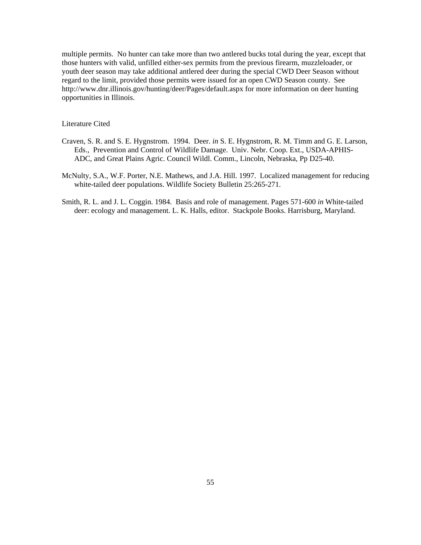multiple permits. No hunter can take more than two antlered bucks total during the year, except that those hunters with valid, unfilled either-sex permits from the previous firearm, muzzleloader, or youth deer season may take additional antlered deer during the special CWD Deer Season without regard to the limit, provided those permits were issued for an open CWD Season county. See http://www.dnr.illinois.gov/hunting/deer/Pages/default.aspx for more information on deer hunting opportunities in Illinois.

### Literature Cited

- Craven, S. R. and S. E. Hygnstrom. 1994. Deer. *in* S. E. Hygnstrom, R. M. Timm and G. E. Larson, Eds., Prevention and Control of Wildlife Damage. Univ. Nebr. Coop. Ext., USDA-APHIS-ADC, and Great Plains Agric. Council Wildl. Comm., Lincoln, Nebraska, Pp D25-40.
- McNulty, S.A., W.F. Porter, N.E. Mathews, and J.A. Hill. 1997. Localized management for reducing white-tailed deer populations. Wildlife Society Bulletin 25:265-271.
- Smith, R. L. and J. L. Coggin. 1984. Basis and role of management. Pages 571-600 *in* White-tailed deer: ecology and management. L. K. Halls, editor. Stackpole Books. Harrisburg, Maryland.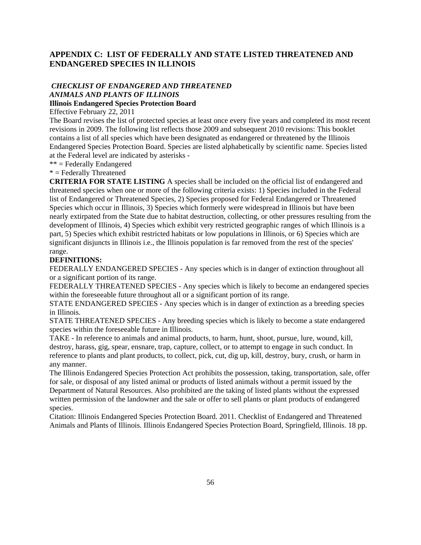# **APPENDIX C: LIST OF FEDERALLY AND STATE LISTED THREATENED AND ENDANGERED SPECIES IN ILLINOIS**

# *CHECKLIST OF ENDANGERED AND THREATENED ANIMALS AND PLANTS OF ILLINOIS*

# **Illinois Endangered Species Protection Board**

Effective February 22, 2011

The Board revises the list of protected species at least once every five years and completed its most recent revisions in 2009. The following list reflects those 2009 and subsequent 2010 revisions: This booklet contains a list of all species which have been designated as endangered or threatened by the Illinois Endangered Species Protection Board. Species are listed alphabetically by scientific name. Species listed at the Federal level are indicated by asterisks -

\*\* = Federally Endangered

### $*$  = Federally Threatened

**CRITERIA FOR STATE LISTING** A species shall be included on the official list of endangered and threatened species when one or more of the following criteria exists: 1) Species included in the Federal list of Endangered or Threatened Species, 2) Species proposed for Federal Endangered or Threatened Species which occur in Illinois, 3) Species which formerly were widespread in Illinois but have been nearly extirpated from the State due to habitat destruction, collecting, or other pressures resulting from the development of Illinois, 4) Species which exhibit very restricted geographic ranges of which Illinois is a part, 5) Species which exhibit restricted habitats or low populations in Illinois, or 6) Species which are significant disjuncts in Illinois i.e., the Illinois population is far removed from the rest of the species' range.

### **DEFINITIONS:**

FEDERALLY ENDANGERED SPECIES - Any species which is in danger of extinction throughout all or a significant portion of its range.

FEDERALLY THREATENED SPECIES - Any species which is likely to become an endangered species within the foreseeable future throughout all or a significant portion of its range.

STATE ENDANGERED SPECIES - Any species which is in danger of extinction as a breeding species in Illinois.

STATE THREATENED SPECIES - Any breeding species which is likely to become a state endangered species within the foreseeable future in Illinois.

TAKE - In reference to animals and animal products, to harm, hunt, shoot, pursue, lure, wound, kill, destroy, harass, gig, spear, ensnare, trap, capture, collect, or to attempt to engage in such conduct. In reference to plants and plant products, to collect, pick, cut, dig up, kill, destroy, bury, crush, or harm in any manner.

The Illinois Endangered Species Protection Act prohibits the possession, taking, transportation, sale, offer for sale, or disposal of any listed animal or products of listed animals without a permit issued by the Department of Natural Resources. Also prohibited are the taking of listed plants without the expressed written permission of the landowner and the sale or offer to sell plants or plant products of endangered species.

Citation: Illinois Endangered Species Protection Board. 2011. Checklist of Endangered and Threatened Animals and Plants of Illinois. Illinois Endangered Species Protection Board, Springfield, Illinois. 18 pp.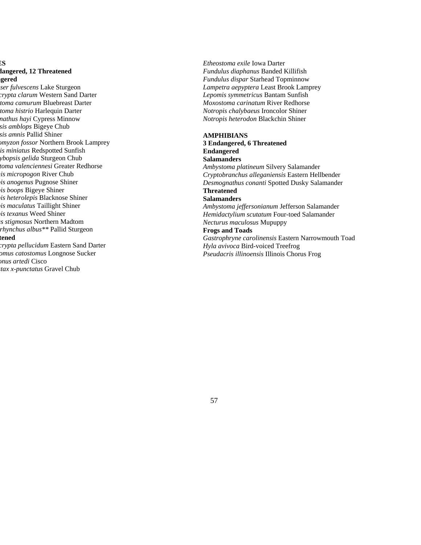### **ES dangered, 12 Threatened ngered**

*ser fulvescens* Lake Sturgeon *crypta clarum* Western Sand Darter *toma camurum* Bluebreast Darter *toma histrio* Harlequin Darter *nathus hayi* Cypress Minnow *sis amblops* Bigeye Chub *sis amnis* Pallid Shiner *omyzon fossor* Northern Brook Lamprey *is miniatus* Redspotted Sunfish *ybopsis gelida* Sturgeon Chub *toma valenciennesi* Greater Redhorse *mis micropogon* River Chub *pis anogenus* Pugnose Shiner *pis boops* Bigeye Shiner *pis heterolepis* Blacknose Shiner *pis maculatus* Taillight Shiner *pis texanus* Weed Shiner *us stigmosus* Northern Madtom *rhynchus albus\*\** Pallid Sturgeon

#### **tened**

*crypta pellucidum* Eastern Sand Darter *omus catostomus* Longnose Sucker *onus artedi* Cisco *stax x-punctatus* Gravel Chub

*Etheostoma exile* Iowa Darter *Fundulus diaphanus* Banded Killifish *Fundulus dispar* Starhead Topminnow *Lampetra aepyptera* Least Brook Lamprey *Lepomis symmetricus* Bantam Sunfish *Moxostoma carinatum* River Redhorse *Notropis chalybaeus* Ironcolor Shiner *Notropis heterodon* Blackchin Shiner

#### **AMPHIBIANS**

# **3 Endangered, 6 Threatened Endangered**

**Salamanders** 

*Ambystoma platineum* Silvery Salamander *Cryptobranchus alleganiensis* Eastern Hellbender *Desmognathus conanti* Spotted Dusky Salamander **Threatened** 

### **Salamanders**

*Ambystoma jeffersonianum* Jefferson Salamander *Hemidactylium scutatum* Four-toed Salamander *Necturus maculosus* Mupuppy

#### **Frogs and Toads**

*Gastrophryne carolinensis* Eastern Narrowmouth Toad *Hyla avivoca* Bird-voiced Treefrog *Pseudacris illinoensis* Illinois Chorus Frog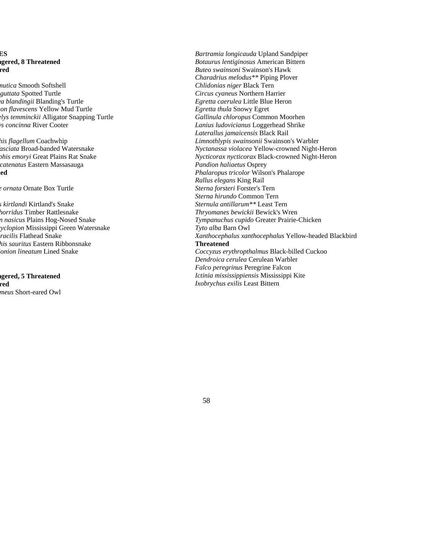# **ES ngered, 8 Threatened red**

- *mutica* Smooth Softshell *guttata* Spotted Turtle *ea blandingii* Blanding's Turtle *non flavescens* Yellow Mud Turtle *elys temminckii* Alligator Snapping Turtle *ys concinna* River Cooter
- *his flagellum* Coachwhip *fasciata* Broad-banded Watersnake *phis emoryi* Great Plains Rat Snake *catenatus* Eastern Massasauga **ned**

*e ornata* Ornate Box Turtle

*s kirtlandi* Kirtland's Snake *horridus* Timber Rattlesnake *n nasicus* Plains Hog-Nosed Snake *cyclopion* Mississippi Green Watersnake *gracilis* Flathead Snake *his sauritus* Eastern Ribbonsnake *lonion lineatum* Lined Snake

**ngered, 5 Threatened red**  *meus* Short-eared Owl *Bartramia longicauda* Upland Sandpiper *Botaurus lentiginosus* American Bittern *Buteo swainsoni* Swainson's Hawk *Charadrius melodus\*\** Piping Plover *Chlidonias niger* Black Tern *Circus cyaneus* Northern Harrier *Egretta caerulea* Little Blue Heron *Egretta thula* Snowy Egret *Gallinula chloropus* Common Moorhen *Lanius ludovicianus* Loggerhead Shrike *Laterallus jamaicensis* Black Rail *Limnothlypis swainsonii* Swainson's Warbler *Nyctanassa violacea* Yellow-crowned Night-Heron *Nycticorax nycticorax* Black-crowned Night-Heron *Pandion haliaetus* Osprey *Phalaropus tricolor* Wilson's Phalarope *Rallus elegans* King Rail *Sterna forsteri* Forster's Tern *Sterna hirundo* Common Tern *Sternula antillarum\*\** Least Tern *Thryomanes bewickii* Bewick's Wren *Tympanuchus cupido* Greater Prairie-Chicken *Tyto alba* Barn Owl *Xanthocephalus xanthocephalus* Yellow-headed Blackbird **Threatened**  *Coccyzus erythropthalmus* Black-billed Cuckoo *Dendroica cerulea* Cerulean Warbler *Falco peregrinus* Peregrine Falcon *Ictinia mississippiensis* Mississippi Kite *Ixobrychus exilis* Least Bittern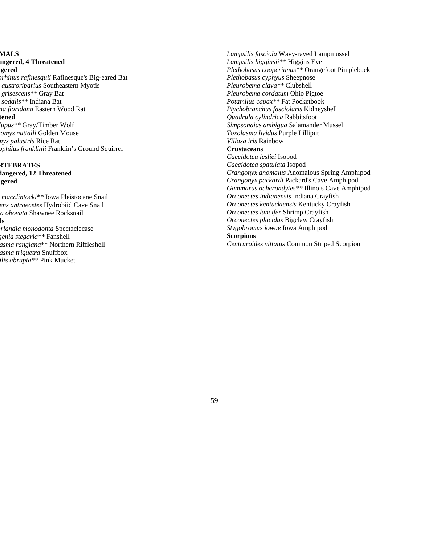# **MALS**

**angered, 4 Threatened ngered** 

*orhinus rafinesquii* Rafinesque's Big-eared Bat *austroriparius* Southeastern Myotis *grisescens\*\** Gray Bat *sodalis\*\** Indiana Bat *ma floridana* Eastern Wood Rat **tened**  *lupus\*\** Gray/Timber Wolf

*tomys nuttalli* Golden Mouse *mys palustris* Rice Rat *ophilus franklinii* Franklin's Ground Squirrel

# **RTEBRATES dangered, 12 Threatened ngered**

*macclintocki\*\** Iowa Pleistocene Snail *ens antroecetes* Hydrobiid Cave Snail *ia obovata* Shawnee Rocksnail **ls**  *erlandia monodonta* Spectaclecase *genia stegaria\*\** Fanshell *asma rangiana*\*\* Northern Riffleshell

*asma triquetra* Snuffbox *ilis abrupta\*\** Pink Mucket *Lampsilis fasciola* Wavy-rayed Lampmussel *Lampsilis higginsii\*\** Higgins Eye *Plethobasus cooperianus\*\** Orangefoot Pimpleback *Plethobasus cyphyus* Sheepnose *Pleurobema clava\*\** Clubshell *Pleurobema cordatum* Ohio Pigtoe *Potamilus capax\*\** Fat Pocketbook *Ptychobranchus fasciolaris* Kidneyshell *Quadrula cylindrica* Rabbitsfoot *Simpsonaias ambigua* Salamander Mussel *Toxolasma lividus* Purple Lilliput *Villosa iris* Rainbow **Crustaceans**  *Caecidotea lesliei* Isopod *Caecidotea spatulata* Isopod *Crangonyx anomalus* Anomalous Spring Amphipod *Crangonyx packardi* Packard's Cave Amphipod *Gammarus acherondytes\*\** Illinois Cave Amphipod *Orconectes indianensis* Indiana Crayfish *Orconectes kentuckiensis* Kentucky Crayfish *Orconectes lancifer* Shrimp Crayfish

*Orconectes placidus* Bigclaw Crayfish

*Stygobromus iowae* Iowa Amphipod

# **Scorpions**

*Centruroides vittatus* Common Striped Scorpion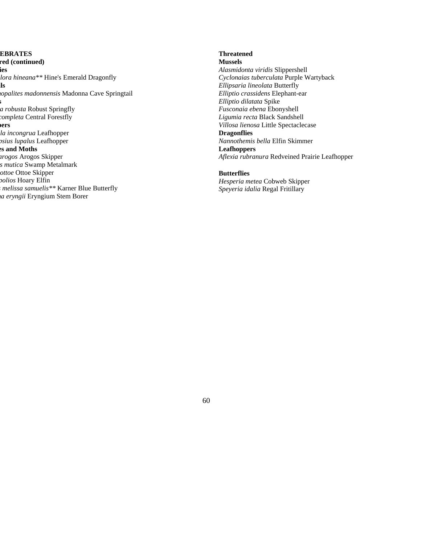**EBRATES red (continued) ies**  *lora hineana\*\** Hine's Emerald Dragonfly **ils**  *hopalites madonnensis* Madonna Cave Springtail **s** *la robusta* Robust Springfly *completa* Central Forestfly **pers**  *lla incongrua* Leafhopper *psius lupalus* Leafhopper **es and Moths**  *arogos* Arogos Skipper *s mutica* Swamp Metalmark *ottoe* Ottoe Skipper *polios* Hoary Elfin *s melissa samuelis\*\** Karner Blue Butterfly *ma eryngii* Eryngium Stem Borer

# **Threatened**

**Mussels**  *Alasmidonta viridis* Slippershell *Cyclonaias tuberculata* Purple Wartyback *Ellipsaria lineolata* Butterfly *Elliptio crassidens* Elephant-ear *Elliptio dilatata* Spike *Fusconaia ebena* Ebonyshell *Ligumia recta* Black Sandshell *Villosa lienosa* Little Spectaclecase **Dragonflies**  *Nannothemis bella* Elfin Skimmer **Leafhoppers**  *Aflexia rubranura* Redveined Prairie Leafhopper

#### **Butterflies**

*Hesperia metea* Cobweb Skipper *Speyeria idalia* Regal Fritillary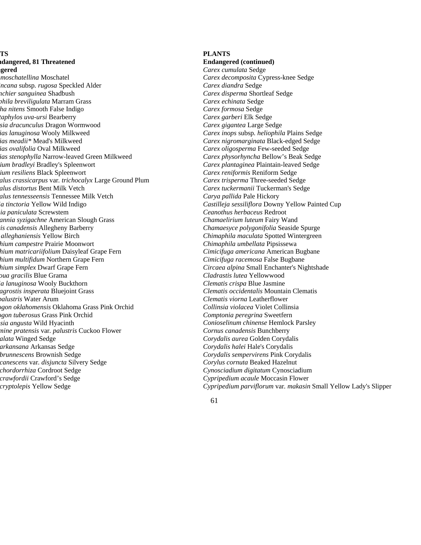# **TS ndangered, 81 Threatened ngered**

*moschatellina* Moschatel *incana* subsp*. rugosa* Speckled Alder *nchier sanguinea* Shadbush *phila breviligulata* Marram Grass *ha nitens* Smooth False Indigo *taphylos uva-ursi* Bearberry *sia dracunculus* Dragon Wormwood *ias lanuginosa* Wooly Milkweed *ias meadii\** Mead's Milkweed *ias ovalifolia* Oval Milkweed *ias stenophylla* Narrow-leaved Green Milkweed *ium bradleyi* Bradley's Spleenwort *ium resiliens* Black Spleenwort *alus crassicarpus* var*. trichocalyx* Large Ground Plum *alus distortus* Bent Milk Vetch *alus tennesseensis* Tennessee Milk Vetch *ia tinctoria* Yellow Wild Indigo *ia paniculata* Screwstem *annia syzigachne* American Slough Grass *ris canadensis* Allegheny Barberry *alleghaniensis* Yellow Birch *hium campestre* Prairie Moonwort *hium matricariifolium* Daisyleaf Grape Fern *hium multifidum* Northern Grape Fern *hium simplex* Dwarf Grape Fern *oua gracilis* Blue Grama *ia lanuginosa* Wooly Buckthorn *agrostis insperata* Bluejoint Grass *palustris* Water Arum *ogon oklahomensis* Oklahoma Grass Pink Orchid *ogon tuberosus* Grass Pink Orchid *ssia angusta* Wild Hyacinth *mine pratensis* var*. palustris* Cuckoo Flower *alata* Winged Sedge *arkansana* Arkansas Sedge *brunnescens* Brownish Sedge *canescens* var*. disjuncta* Silvery Sedge *chordorrhiza* Cordroot Sedge *crawfordii* Crawford's Sedge *cryptolepis* Yellow Sedge

### **PLANTS**

**Endangered (continued)** 

*Carex cumulata* Sedge *Carex decomposita* Cypress-knee Sedge *Carex diandra* Sedge *Carex disperma* Shortleaf Sedge *Carex echinata* Sedge *Carex formosa* Sedge *Carex garberi* Elk Sedge *Carex gigantea* Large Sedge *Carex inops* subsp*. heliophila* Plains Sedge *Carex nigromarginata* Black-edged Sedge *Carex oligosperma* Few-seeded Sedge *Carex physorhyncha* Bellow's Beak Sedge *Carex plantaginea* Plaintain-leaved Sedge *Carex reniformis* Reniform Sedge *Carex trisperma* Three-seeded Sedge *Carex tuckermanii* Tuckerman's Sedge *Carya pallida* Pale Hickory *Castilleja sessiliflora* Downy Yellow Painted Cup *Ceanothus herbaceus* Redroot *Chamaelirium luteum* Fairy Wand *Chamaesyce polygonifolia* Seaside Spurge *Chimaphila maculata* Spotted Wintergreen *Chimaphila umbellata* Pipsissewa *Cimicifuga americana* American Bugbane *Cimicifuga racemosa* False Bugbane *Circaea alpina* Small Enchanter's Nightshade *Cladrastis lutea* Yellowwood *Clematis crispa* Blue Jasmine *Clematis occidentalis* Mountain Clematis *Clematis viorna* Leatherflower *Collinsia violacea* Violet Collinsia *Comptonia peregrina* Sweetfern *Conioselinum chinense* Hemlock Parsley *Cornus canadensis* Bunchberry *Corydalis aurea* Golden Corydalis *Corydalis halei* Hale's Corydalis *Corydalis sempervirens* Pink Corydalis *Corylus cornuta* Beaked Hazelnut *Cynosciadium digitatum* Cynosciadium *Cypripedium acaule* Moccasin Flower *Cypripedium parviflorum* var*. makasin* Small Yellow Lady's Slipper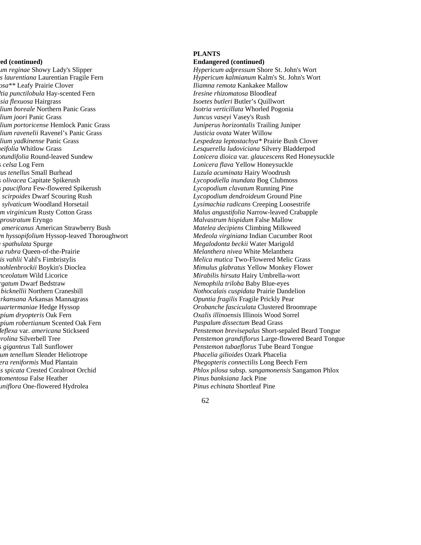#### **red (continued)**

*um reginae* Showy Lady's Slipper *s laurentiana* Laurentian Fragile Fern *osa\*\** Leafy Prairie Clover *dtia punctilobula* Hay-scented Fern *psia flexuosa* Hairgrass *lium boreale* Northern Panic Grass *lium joori* Panic Grass *lium portoricense* Hemlock Panic Grass *lium ravenelii* Ravenel's Panic Grass *lium yadkinense* Panic Grass *neifolia* Whitlow Grass *otundifolia* Round-leaved Sundew *s celsa* Log Fern *rus tenellus* Small Burhead *s olivacea* Capitate Spikerush *s pauciflora* Few-flowered Spikerush *scirpoides* Dwarf Scouring Rush *m sylvaticum* Woodland Horsetail *m virginicum* Rusty Cotton Grass *prostratum* Eryngo *americanus* American Strawberry Bush *m hyssopifolium* Hyssop-leaved Thoroughwort *a spathulata* Spurge *la rubra* Queen-of-the-Prairie *lis vahlii* Vahl's Fimbristylis *mohlenbrockii* Boykin's Dioclea *nceolatum* Wild Licorice *rgatum* Dwarf Bedstraw *bicknellii* Northern Cranesbill *arkansana* Arkansas Mannagrass *uartermaniae* Hedge Hyssop *rpium dryopteris* Oak Fern *rpium robertianum* Scented Oak Fern *deflexa* var. *americana* Stickseed *arolina* Silverbell Tree *s giganteus* Tall Sunflower *um tenellum* Slender Heliotrope *era reniformis* Mud Plantain *is spicata* Crested Coralroot Orchid *tomentosa* False Heather *uniflora* One-flowered Hydrolea

#### **PLANTS**

**Endangered (continued)** 

*Hypericum adpressum* Shore St. John's Wort *Hypericum kalmianum* Kalm's St. John's Wort *Iliamna remota* Kankakee Mallow *Iresine rhizomatosa* Bloodleaf *Isoetes butleri* Butler's Quillwort *Isotria verticillata* Whorled Pogonia *Juncus vaseyi* Vasey's Rush *Juniperus horizontalis* Trailing Juniper *Justicia ovata* Water Willow *Lespedeza leptostachya\** Prairie Bush Clover *Lesquerella ludoviciana* Silvery Bladderpod *Lonicera dioica* var*. glaucescens* Red Honeysuckle *Lonicera flava* Yellow Honeysuckle *Luzula acuminata* Hairy Woodrush *Lycopodiella inundata* Bog Clubmoss *Lycopodium clavatum* Running Pine *Lycopodium dendroideum* Ground Pine *Lysimachia radicans* Creeping Loosestrife *Malus angustifolia* Narrow-leaved Crabapple *Malvastrum hispidum* False Mallow *Matelea decipiens* Climbing Milkweed *Medeola virginiana* Indian Cucumber Root *Megalodonta beckii* Water Marigold *Melanthera nivea* White Melanthera *Melica mutica* Two-Flowered Melic Grass *Mimulus glabratus* Yellow Monkey Flower *Mirabilis hirsuta* Hairy Umbrella-wort *Nemophila triloba* Baby Blue-eyes *Nothocalais cuspidata* Prairie Dandelion *Opuntia fragilis* Fragile Prickly Pear *Orobanche fasciculata* Clustered Broomrape *Oxalis illinoensis* Illinois Wood Sorrel *Paspalum dissectum* Bead Grass *Penstemon brevisepalus* Short-sepaled Beard Tongue *Penstemon grandiflorus* Large-flowered Beard Tongue *Penstemon tubaeflorus* Tube Beard Tongue *Phacelia gilioides* Ozark Phacelia *Phegopteris connectilis* Long Beech Fern *Phlox pilosa* subsp*. sangamonensis* Sangamon Phlox *Pinus banksiana* Jack Pine *Pinus echinata* Shortleaf Pine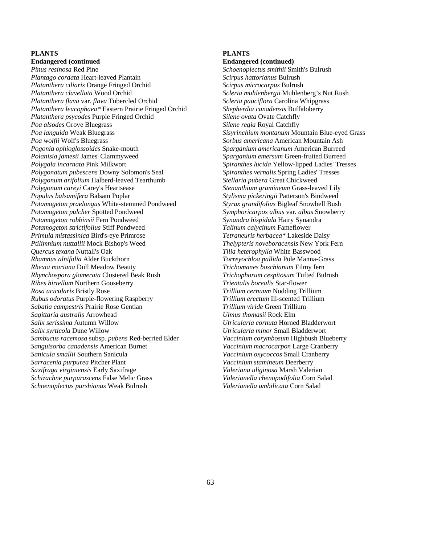### **PLANTS**

**Endangered (continued**  *Pinus resinosa* Red Pine *Plantago cordata* Heart-leaved Plantain *Platanthera ciliaris* Orange Fringed Orchid *Platanthera clavellata* Wood Orchid *Platanthera flava* var*. flava* Tubercled Orchid *Platanthera leucophaea\** Eastern Prairie Fringed Orchid *Platanthera psycodes* Purple Fringed Orchid *Poa alsodes* Grove Bluegrass *Poa languida* Weak Bluegrass *Poa wolfii* Wolf's Bluegrass *Pogonia ophioglossoides* Snake-mouth *Polanisia jamesii* James' Clammyweed *Polygala incarnata* Pink Milkwort *Polygonatum pubescens* Downy Solomon's Seal *Polygonum arifolium* Halberd-leaved Tearthumb *Polygonum careyi* Carey's Heartsease *Populus balsamifera* Balsam Poplar *Potamogeton praelongus* White-stemmed Pondweed *Potamogeton pulcher* Spotted Pondweed *Potamogeton robbinsii* Fern Pondweed *Potamogeton strictifolius* Stiff Pondweed *Primula mistassinica* Bird's-eye Primrose *Ptilimnium nuttallii* Mock Bishop's Weed *Quercus texana* Nuttall's Oak *Rhamnus alnifolia* Alder Buckthorn *Rhexia mariana* Dull Meadow Beauty *Rhynchospora glomerata* Clustered Beak Rush *Ribes hirtellum* Northern Gooseberry *Rosa acicularis* Bristly Rose *Rubus odoratus* Purple-flowering Raspberry *Sabatia campestris* Prairie Rose Gentian *Sagittaria australis* Arrowhead *Salix serissima* Autumn Willow *Salix syrticola* Dune Willow *Sambucus racemosa* subsp*. pubens* Red-berried Elder *Sanguisorba canadensis* American Burnet *Sanicula smallii* Southern Sanicula *Sarracenia purpurea* Pitcher Plant *Saxifraga virginiensis* Early Saxifrage *Schizachne purpurascens* False Melic Grass *Schoenoplectus purshianus* Weak Bulrush

### **PLANTS**

#### **Endangered (continued)**

*Schoenoplectus smithii* Smith's Bulrush *Scirpus hattorianus* Bulrush *Scirpus microcarpus* Bulrush *Scleria muhlenbergii* Muhlenberg's Nut Rush *Scleria pauciflora* Carolina Whipgrass *Shepherdia canadensis* Buffaloberry *Silene ovata* Ovate Catchfly *Silene regia* Royal Catchfly *Sisyrinchium montanum* Mountain Blue-eyed Grass *Sorbus americana* American Mountain Ash *Sparganium americanum* American Burreed *Sparganium emersum* Green-fruited Burreed *Spiranthes lucida* Yellow-lipped Ladies' Tresses *Spiranthes vernalis* Spring Ladies' Tresses *Stellaria pubera* Great Chickweed *Stenanthium gramineum* Grass-leaved Lily *Stylisma pickeringii* Patterson's Bindweed *Styrax grandifolius* Bigleaf Snowbell Bush *Symphoricarpos albus* var*. albus* Snowberry *Synandra hispidula* Hairy Synandra *Talinum calycinum* Fameflower *Tetraneuris herbacea\** Lakeside Daisy *Thelypteris noveboracensis* New York Fern *Tilia heterophylla* White Basswood *Torreyochloa pallida* Pole Manna-Grass *Trichomanes boschianum* Filmy fern *Trichophorum cespitosum* Tufted Bulrush *Trientalis borealis* Star-flower *Trillium cernuum* Nodding Trillium *Trillium erectum* Ill-scented Trillium *Trillium viride* Green Trillium *Ulmus thomasii* Rock Elm *Utricularia cornuta* Horned Bladderwort *Utricularia minor* Small Bladderwort *Vaccinium corymbosum* Highbush Blueberry *Vaccinium macrocarpon* Large Cranberry *Vaccinium oxycoccos* Small Cranberry *Vaccinium stamineum* Deerberry *Valeriana uliginosa* Marsh Valerian *Valerianella chenopodifolia* Corn Salad *Valerianella umbilicata* Corn Salad